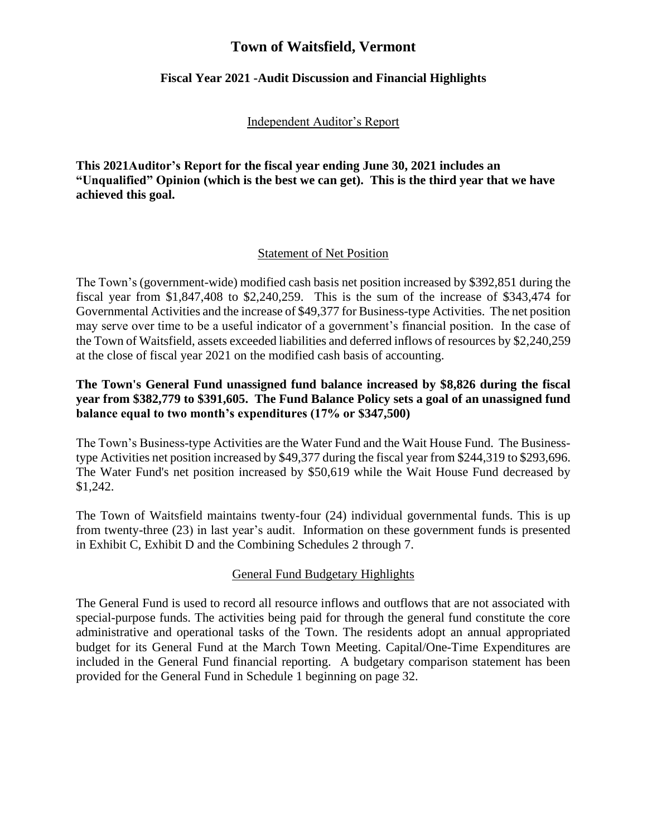# **Town of Waitsfield, Vermont**

### **Fiscal Year 2021 -Audit Discussion and Financial Highlights**

### Independent Auditor's Report

**This 2021Auditor's Report for the fiscal year ending June 30, 2021 includes an "Unqualified" Opinion (which is the best we can get). This is the third year that we have achieved this goal.** 

### Statement of Net Position

The Town's (government-wide) modified cash basis net position increased by \$392,851 during the fiscal year from \$1,847,408 to \$2,240,259. This is the sum of the increase of \$343,474 for Governmental Activities and the increase of \$49,377 for Business-type Activities. The net position may serve over time to be a useful indicator of a government's financial position. In the case of the Town of Waitsfield, assets exceeded liabilities and deferred inflows of resources by \$2,240,259 at the close of fiscal year 2021 on the modified cash basis of accounting.

## **The Town's General Fund unassigned fund balance increased by \$8,826 during the fiscal year from \$382,779 to \$391,605. The Fund Balance Policy sets a goal of an unassigned fund balance equal to two month's expenditures (17% or \$347,500)**

The Town's Business-type Activities are the Water Fund and the Wait House Fund. The Businesstype Activities net position increased by \$49,377 during the fiscal year from \$244,319 to \$293,696. The Water Fund's net position increased by \$50,619 while the Wait House Fund decreased by \$1,242.

The Town of Waitsfield maintains twenty-four (24) individual governmental funds. This is up from twenty-three (23) in last year's audit. Information on these government funds is presented in Exhibit C, Exhibit D and the Combining Schedules 2 through 7.

# General Fund Budgetary Highlights

The General Fund is used to record all resource inflows and outflows that are not associated with special-purpose funds. The activities being paid for through the general fund constitute the core administrative and operational tasks of the Town. The residents adopt an annual appropriated budget for its General Fund at the March Town Meeting. Capital/One-Time Expenditures are included in the General Fund financial reporting. A budgetary comparison statement has been provided for the General Fund in Schedule 1 beginning on page 32.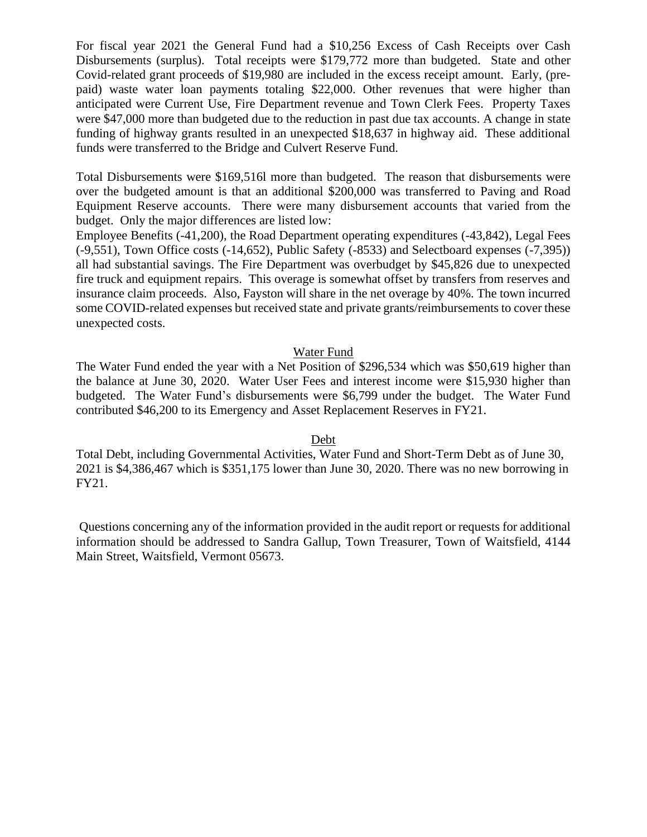For fiscal year 2021 the General Fund had a \$10,256 Excess of Cash Receipts over Cash Disbursements (surplus). Total receipts were \$179,772 more than budgeted. State and other Covid-related grant proceeds of \$19,980 are included in the excess receipt amount. Early, (prepaid) waste water loan payments totaling \$22,000. Other revenues that were higher than anticipated were Current Use, Fire Department revenue and Town Clerk Fees. Property Taxes were \$47,000 more than budgeted due to the reduction in past due tax accounts. A change in state funding of highway grants resulted in an unexpected \$18,637 in highway aid. These additional funds were transferred to the Bridge and Culvert Reserve Fund.

Total Disbursements were \$169,516l more than budgeted. The reason that disbursements were over the budgeted amount is that an additional \$200,000 was transferred to Paving and Road Equipment Reserve accounts. There were many disbursement accounts that varied from the budget. Only the major differences are listed low:

Employee Benefits (-41,200), the Road Department operating expenditures (-43,842), Legal Fees (-9,551), Town Office costs (-14,652), Public Safety (-8533) and Selectboard expenses (-7,395)) all had substantial savings. The Fire Department was overbudget by \$45,826 due to unexpected fire truck and equipment repairs. This overage is somewhat offset by transfers from reserves and insurance claim proceeds. Also, Fayston will share in the net overage by 40%. The town incurred some COVID-related expenses but received state and private grants/reimbursements to cover these unexpected costs.

#### Water Fund

The Water Fund ended the year with a Net Position of \$296,534 which was \$50,619 higher than the balance at June 30, 2020. Water User Fees and interest income were \$15,930 higher than budgeted. The Water Fund's disbursements were \$6,799 under the budget. The Water Fund contributed \$46,200 to its Emergency and Asset Replacement Reserves in FY21.

#### Debt

Total Debt, including Governmental Activities, Water Fund and Short-Term Debt as of June 30, 2021 is \$4,386,467 which is \$351,175 lower than June 30, 2020. There was no new borrowing in FY21.

Questions concerning any of the information provided in the audit report or requests for additional information should be addressed to Sandra Gallup, Town Treasurer, Town of Waitsfield, 4144 Main Street, Waitsfield, Vermont 05673.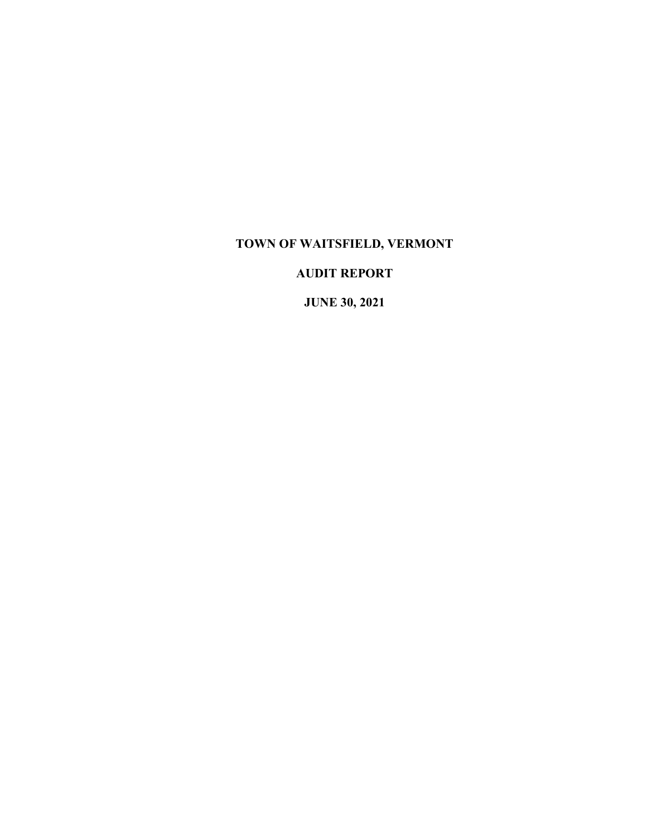# **TOWN OF WAITSFIELD, VERMONT**

# **AUDIT REPORT**

**JUNE 30, 2021**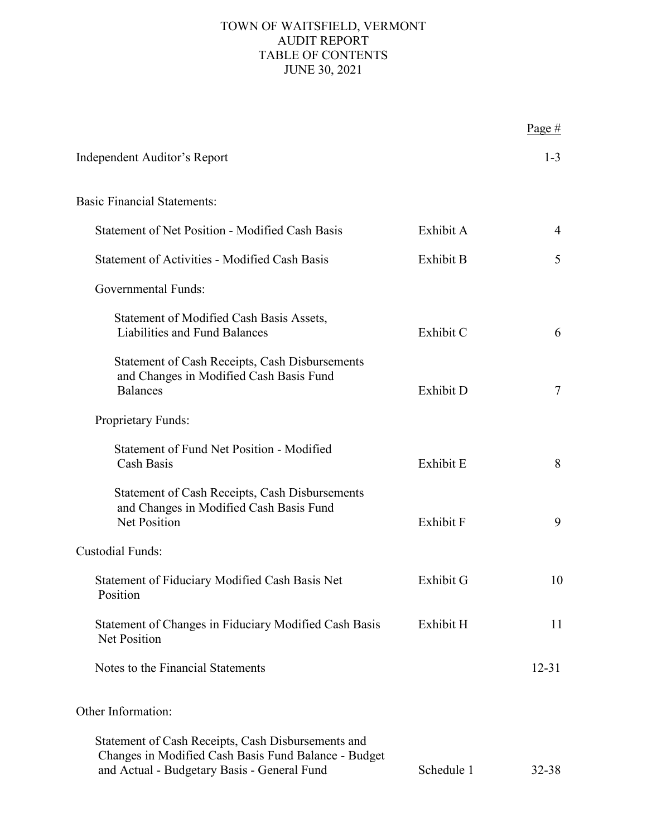# TOWN OF WAITSFIELD, VERMONT AUDIT REPORT TABLE OF CONTENTS JUNE 30, 2021

|                                                                                                                                                           |            | Page #    |
|-----------------------------------------------------------------------------------------------------------------------------------------------------------|------------|-----------|
| Independent Auditor's Report                                                                                                                              |            | $1 - 3$   |
| <b>Basic Financial Statements:</b>                                                                                                                        |            |           |
| <b>Statement of Net Position - Modified Cash Basis</b>                                                                                                    | Exhibit A  | 4         |
| <b>Statement of Activities - Modified Cash Basis</b>                                                                                                      | Exhibit B  | 5         |
| <b>Governmental Funds:</b>                                                                                                                                |            |           |
| Statement of Modified Cash Basis Assets,<br>Liabilities and Fund Balances                                                                                 | Exhibit C  | 6         |
| Statement of Cash Receipts, Cash Disbursements<br>and Changes in Modified Cash Basis Fund<br><b>Balances</b>                                              | Exhibit D  | $\tau$    |
| Proprietary Funds:                                                                                                                                        |            |           |
| <b>Statement of Fund Net Position - Modified</b><br>Cash Basis                                                                                            | Exhibit E  | 8         |
| Statement of Cash Receipts, Cash Disbursements<br>and Changes in Modified Cash Basis Fund<br><b>Net Position</b>                                          | Exhibit F  | 9         |
| <b>Custodial Funds:</b>                                                                                                                                   |            |           |
| Statement of Fiduciary Modified Cash Basis Net<br>Position                                                                                                | Exhibit G  | 10        |
| Statement of Changes in Fiduciary Modified Cash Basis<br>Net Position                                                                                     | Exhibit H  | 11        |
| Notes to the Financial Statements                                                                                                                         |            | $12 - 31$ |
| Other Information:                                                                                                                                        |            |           |
| Statement of Cash Receipts, Cash Disbursements and<br>Changes in Modified Cash Basis Fund Balance - Budget<br>and Actual - Budgetary Basis - General Fund | Schedule 1 | $32 - 38$ |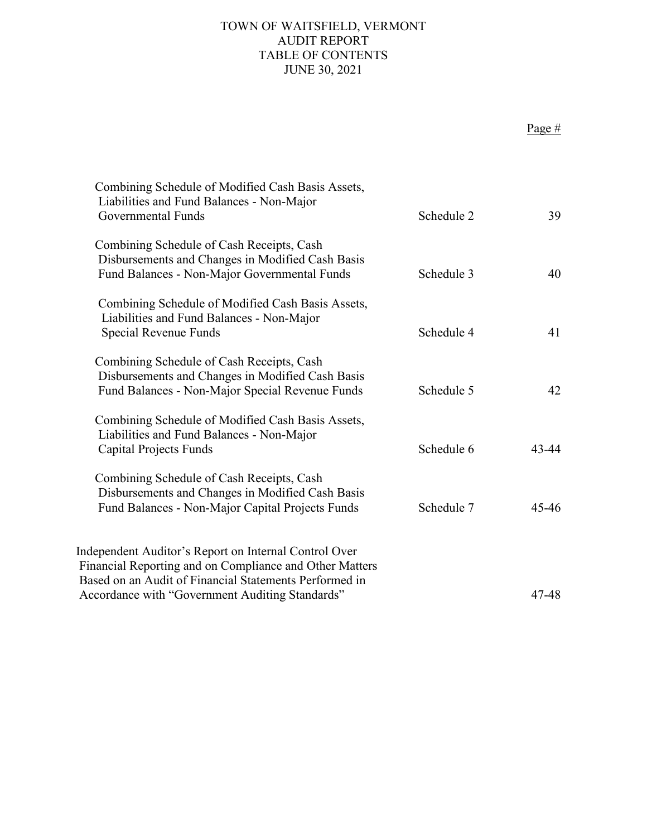# TOWN OF WAITSFIELD, VERMONT AUDIT REPORT TABLE OF CONTENTS JUNE 30, 2021

Page #

| Combining Schedule of Modified Cash Basis Assets,<br>Liabilities and Fund Balances - Non-Major<br>Governmental Funds                              | Schedule 2 | 39        |
|---------------------------------------------------------------------------------------------------------------------------------------------------|------------|-----------|
| Combining Schedule of Cash Receipts, Cash<br>Disbursements and Changes in Modified Cash Basis<br>Fund Balances - Non-Major Governmental Funds     | Schedule 3 | 40        |
| Combining Schedule of Modified Cash Basis Assets,<br>Liabilities and Fund Balances - Non-Major<br>Special Revenue Funds                           | Schedule 4 | 41        |
| Combining Schedule of Cash Receipts, Cash<br>Disbursements and Changes in Modified Cash Basis<br>Fund Balances - Non-Major Special Revenue Funds  | Schedule 5 | 42        |
| Combining Schedule of Modified Cash Basis Assets,<br>Liabilities and Fund Balances - Non-Major<br><b>Capital Projects Funds</b>                   | Schedule 6 | $43 - 44$ |
| Combining Schedule of Cash Receipts, Cash<br>Disbursements and Changes in Modified Cash Basis<br>Fund Balances - Non-Major Capital Projects Funds | Schedule 7 | $45 - 46$ |
| Independent Auditor's Report on Internal Control Over<br>Financial Reporting and on Compliance and Other Matters                                  |            |           |
| Based on an Audit of Financial Statements Performed in<br>Accordance with "Government Auditing Standards"                                         |            | 47-48     |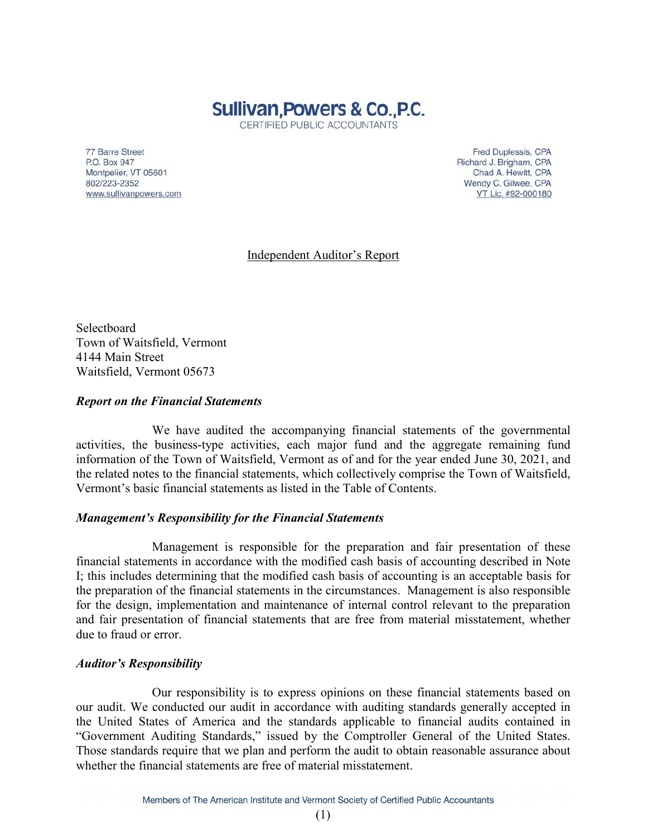

CERTIFIED PUBLIC ACCOUNTANTS

77 Barre Street P.O. Box 947 Montpelier, VT 05601 802/223-2352 www.sullivanpowers.com

Fred Duplessis, CPA Richard J. Brigham, CPA Chad A. Hewitt, CPA Wendy C. Gilwee, CPA VT Lic. #92-000180

Independent Auditor's Report

**Selectboard** Town of Waitsfield, Vermont 4144 Main Street Waitsfield, Vermont 05673

### *Report on the Financial Statements*

We have audited the accompanying financial statements of the governmental activities, the business-type activities, each major fund and the aggregate remaining fund information of the Town of Waitsfield, Vermont as of and for the year ended June 30, 2021, and the related notes to the financial statements, which collectively comprise the Town of Waitsfield, Vermont's basic financial statements as listed in the Table of Contents.

### *Management's Responsibility for the Financial Statements*

Management is responsible for the preparation and fair presentation of these financial statements in accordance with the modified cash basis of accounting described in Note I; this includes determining that the modified cash basis of accounting is an acceptable basis for the preparation of the financial statements in the circumstances. Management is also responsible for the design, implementation and maintenance of internal control relevant to the preparation and fair presentation of financial statements that are free from material misstatement, whether due to fraud or error.

#### *Auditor's Responsibility*

Our responsibility is to express opinions on these financial statements based on our audit. We conducted our audit in accordance with auditing standards generally accepted in the United States of America and the standards applicable to financial audits contained in "Government Auditing Standards," issued by the Comptroller General of the United States. Those standards require that we plan and perform the audit to obtain reasonable assurance about whether the financial statements are free of material misstatement.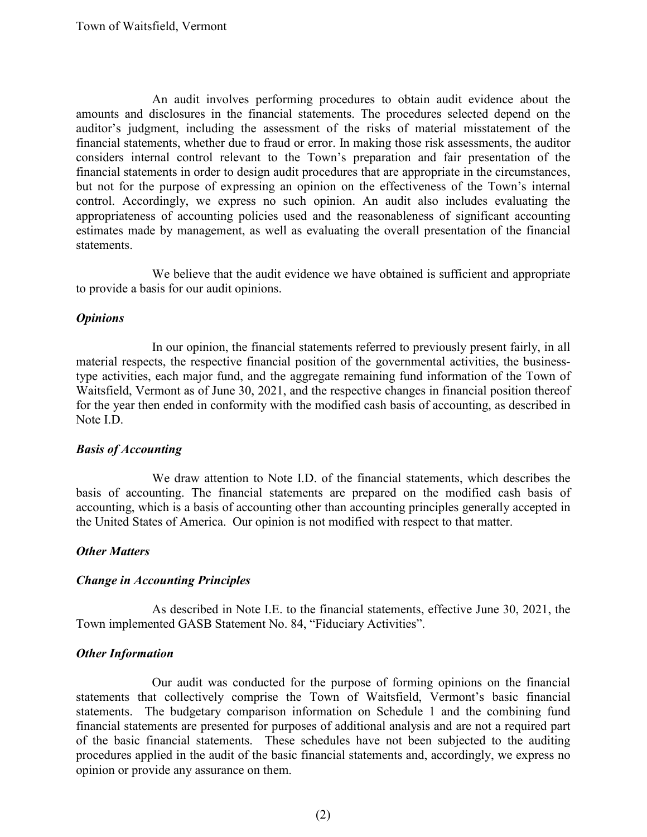An audit involves performing procedures to obtain audit evidence about the amounts and disclosures in the financial statements. The procedures selected depend on the auditor's judgment, including the assessment of the risks of material misstatement of the financial statements, whether due to fraud or error. In making those risk assessments, the auditor considers internal control relevant to the Town's preparation and fair presentation of the financial statements in order to design audit procedures that are appropriate in the circumstances, but not for the purpose of expressing an opinion on the effectiveness of the Town's internal control. Accordingly, we express no such opinion. An audit also includes evaluating the appropriateness of accounting policies used and the reasonableness of significant accounting estimates made by management, as well as evaluating the overall presentation of the financial statements.

We believe that the audit evidence we have obtained is sufficient and appropriate to provide a basis for our audit opinions.

### *Opinions*

In our opinion, the financial statements referred to previously present fairly, in all material respects, the respective financial position of the governmental activities, the businesstype activities, each major fund, and the aggregate remaining fund information of the Town of Waitsfield, Vermont as of June 30, 2021, and the respective changes in financial position thereof for the year then ended in conformity with the modified cash basis of accounting, as described in Note I.D.

#### *Basis of Accounting*

We draw attention to Note I.D. of the financial statements, which describes the basis of accounting. The financial statements are prepared on the modified cash basis of accounting, which is a basis of accounting other than accounting principles generally accepted in the United States of America. Our opinion is not modified with respect to that matter.

#### *Other Matters*

### *Change in Accounting Principles*

As described in Note I.E. to the financial statements, effective June 30, 2021, the Town implemented GASB Statement No. 84, "Fiduciary Activities".

#### *Other Information*

Our audit was conducted for the purpose of forming opinions on the financial statements that collectively comprise the Town of Waitsfield, Vermont's basic financial statements. The budgetary comparison information on Schedule 1 and the combining fund financial statements are presented for purposes of additional analysis and are not a required part of the basic financial statements. These schedules have not been subjected to the auditing procedures applied in the audit of the basic financial statements and, accordingly, we express no opinion or provide any assurance on them.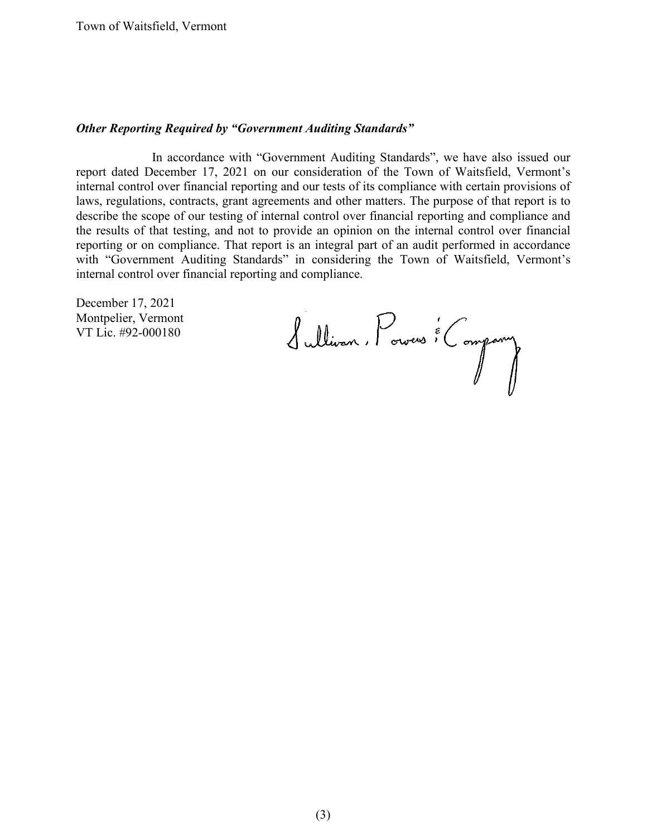### *Other Reporting Required by "Government Auditing Standards"*

In accordance with "Government Auditing Standards", we have also issued our report dated December 17, 2021 on our consideration of the Town of Waitsfield, Vermont's internal control over financial reporting and our tests of its compliance with certain provisions of laws, regulations, contracts, grant agreements and other matters. The purpose of that report is to describe the scope of our testing of internal control over financial reporting and compliance and the results of that testing, and not to provide an opinion on the internal control over financial reporting or on compliance. That report is an integral part of an audit performed in accordance with "Government Auditing Standards" in considering the Town of Waitsfield, Vermont's internal control over financial reporting and compliance.

December 17, 2021 Montpelier, Vermont VT Lic. #92-000180

Sullivan, Powers : Company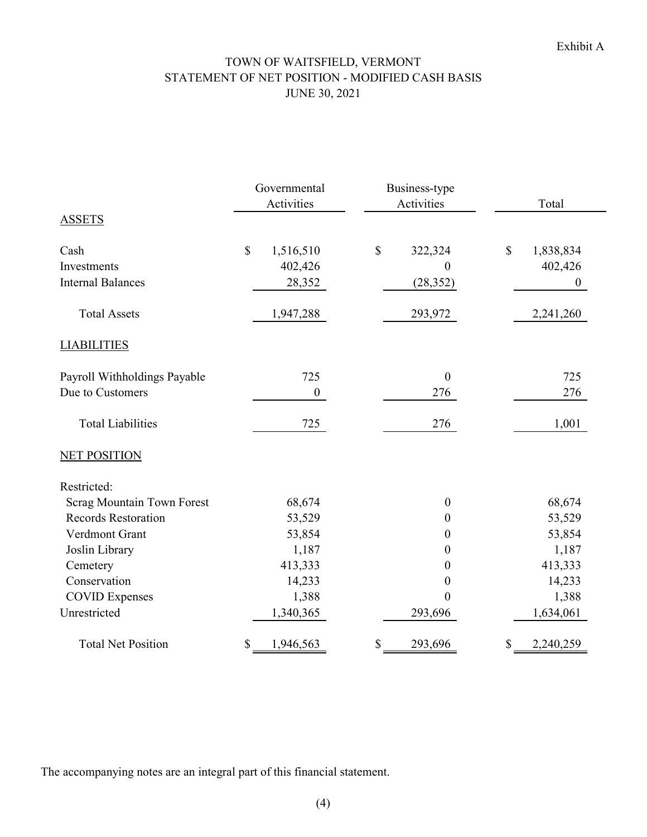# TOWN OF WAITSFIELD, VERMONT STATEMENT OF NET POSITION - MODIFIED CASH BASIS JUNE 30, 2021

|                              | Governmental<br>Business-type<br>Activities<br>Activities |                  |              | Total            |              |                  |
|------------------------------|-----------------------------------------------------------|------------------|--------------|------------------|--------------|------------------|
| <b>ASSETS</b>                |                                                           |                  |              |                  |              |                  |
| Cash                         | $\boldsymbol{\mathsf{S}}$                                 | 1,516,510        | $\mathbb{S}$ | 322,324          | $\mathbb{S}$ | 1,838,834        |
| Investments                  |                                                           | 402,426          |              | $\boldsymbol{0}$ |              | 402,426          |
| <b>Internal Balances</b>     |                                                           | 28,352           |              | (28, 352)        |              | $\boldsymbol{0}$ |
| <b>Total Assets</b>          |                                                           | 1,947,288        |              | 293,972          |              | 2,241,260        |
| <b>LIABILITIES</b>           |                                                           |                  |              |                  |              |                  |
| Payroll Withholdings Payable |                                                           | 725              |              | $\boldsymbol{0}$ |              | 725              |
| Due to Customers             |                                                           | $\boldsymbol{0}$ |              | 276              |              | 276              |
| <b>Total Liabilities</b>     |                                                           | 725              |              | 276              |              | 1,001            |
| <b>NET POSITION</b>          |                                                           |                  |              |                  |              |                  |
| Restricted:                  |                                                           |                  |              |                  |              |                  |
| Scrag Mountain Town Forest   |                                                           | 68,674           |              | $\boldsymbol{0}$ |              | 68,674           |
| <b>Records Restoration</b>   |                                                           | 53,529           |              | $\boldsymbol{0}$ |              | 53,529           |
| Verdmont Grant               |                                                           | 53,854           |              | $\boldsymbol{0}$ |              | 53,854           |
| Joslin Library               |                                                           | 1,187            |              | $\boldsymbol{0}$ |              | 1,187            |
| Cemetery                     |                                                           | 413,333          |              | $\boldsymbol{0}$ |              | 413,333          |
| Conservation                 |                                                           | 14,233           |              | 0                |              | 14,233           |
| <b>COVID Expenses</b>        |                                                           | 1,388            |              | $\mathbf{0}$     |              | 1,388            |
| Unrestricted                 |                                                           | 1,340,365        |              | 293,696          |              | 1,634,061        |
| <b>Total Net Position</b>    | \$                                                        | 1,946,563        | \$           | 293,696          | \$           | 2,240,259        |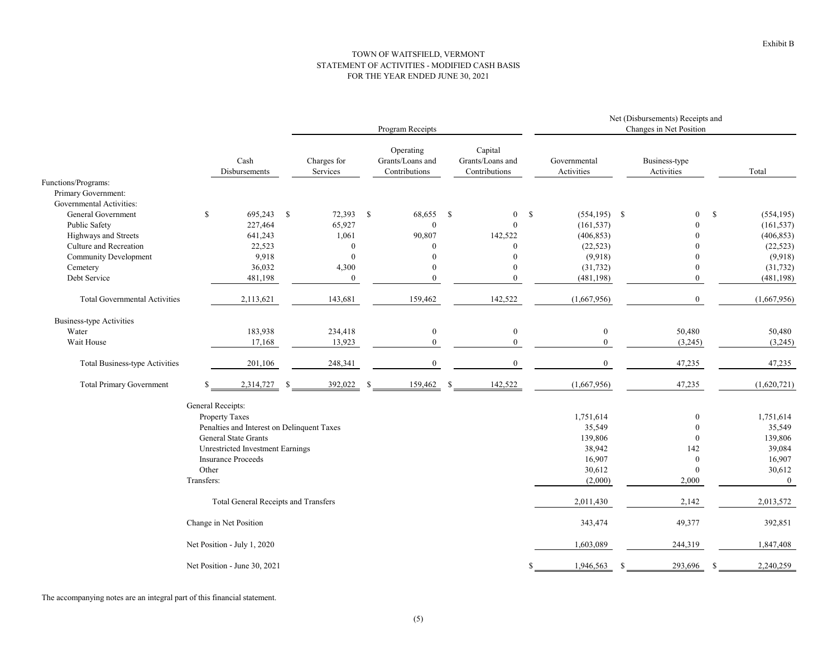#### TOWN OF WAITSFIELD, VERMONT STATEMENT OF ACTIVITIES - MODIFIED CASH BASIS FOR THE YEAR ENDED JUNE 30, 2021

|                                       |                                            | Program Receipts        |              |                                                |              |                                              |    |                            | Net (Disbursements) Receipts and<br>Changes in Net Position |                             |              |                |
|---------------------------------------|--------------------------------------------|-------------------------|--------------|------------------------------------------------|--------------|----------------------------------------------|----|----------------------------|-------------------------------------------------------------|-----------------------------|--------------|----------------|
|                                       | Cash<br>Disbursements                      | Charges for<br>Services |              | Operating<br>Grants/Loans and<br>Contributions |              | Capital<br>Grants/Loans and<br>Contributions |    | Governmental<br>Activities |                                                             | Business-type<br>Activities |              | Total          |
| Functions/Programs:                   |                                            |                         |              |                                                |              |                                              |    |                            |                                                             |                             |              |                |
| Primary Government:                   |                                            |                         |              |                                                |              |                                              |    |                            |                                                             |                             |              |                |
| Governmental Activities:              |                                            |                         |              |                                                |              |                                              |    |                            |                                                             |                             |              |                |
| General Government                    | 695,243 \$<br>\$                           | 72,393                  | $\mathbf{s}$ | 68,655                                         | $\mathbf{s}$ | $\boldsymbol{0}$                             | \$ | $(554, 195)$ \$            |                                                             | $\mathbf{0}$                | $\mathbb{S}$ | (554, 195)     |
| Public Safety                         | 227,464                                    | 65,927                  |              | $\boldsymbol{0}$                               |              | $\mathbf{0}$                                 |    | (161, 537)                 |                                                             | $\Omega$                    |              | (161, 537)     |
| Highways and Streets                  | 641,243                                    | 1,061                   |              | 90,807                                         |              | 142,522                                      |    | (406, 853)                 |                                                             |                             |              | (406, 853)     |
| Culture and Recreation                | 22,523                                     |                         | $\Omega$     | $\Omega$                                       |              | $\Omega$                                     |    | (22, 523)                  |                                                             |                             |              | (22, 523)      |
| <b>Community Development</b>          | 9,918                                      |                         | $\mathbf{0}$ | $\Omega$                                       |              | $\Omega$                                     |    | (9,918)                    |                                                             | $\Omega$                    |              | (9,918)        |
| Cemetery                              | 36,032                                     | 4,300                   |              | $\theta$                                       |              | $\theta$                                     |    | (31, 732)                  |                                                             | $\bf{0}$                    |              | (31, 732)      |
| Debt Service                          | 481,198                                    |                         | $\mathbf{0}$ | $\theta$                                       |              | $\theta$                                     |    | (481, 198)                 |                                                             | $\mathbf{0}$                |              | (481, 198)     |
| <b>Total Governmental Activities</b>  | 2,113,621                                  | 143,681                 |              | 159,462                                        |              | 142,522                                      |    | (1,667,956)                |                                                             | $\boldsymbol{0}$            |              | (1,667,956)    |
| <b>Business-type Activities</b>       |                                            |                         |              |                                                |              |                                              |    |                            |                                                             |                             |              |                |
| Water                                 | 183,938                                    | 234,418                 |              | $\bf{0}$                                       |              | $\mathbf{0}$                                 |    | $\bf{0}$                   |                                                             | 50,480                      |              | 50,480         |
| Wait House                            | 17,168                                     | 13,923                  |              | $\mathbf{0}$                                   |              | $\overline{0}$                               |    | $\mathbf{0}$               |                                                             | (3,245)                     |              | (3,245)        |
| <b>Total Business-type Activities</b> | 201,106                                    | 248,341                 |              | $\boldsymbol{0}$                               |              | $\mathbf{0}$                                 |    | $\boldsymbol{0}$           |                                                             | 47,235                      |              | 47,235         |
| <b>Total Primary Government</b>       | 2,314,727                                  | 392,022<br>-S           | -S           | 159,462                                        | -S           | 142,522                                      |    | (1,667,956)                |                                                             | 47,235                      |              | (1,620,721)    |
|                                       | General Receipts:                          |                         |              |                                                |              |                                              |    |                            |                                                             |                             |              |                |
|                                       | <b>Property Taxes</b>                      |                         |              |                                                |              |                                              |    | 1,751,614                  |                                                             | $\bf{0}$                    |              | 1,751,614      |
|                                       | Penalties and Interest on Delinquent Taxes |                         |              |                                                |              |                                              |    | 35,549                     |                                                             | $\mathbf{0}$                |              | 35,549         |
|                                       | <b>General State Grants</b>                |                         |              |                                                |              |                                              |    | 139,806                    |                                                             | $\theta$                    |              | 139,806        |
|                                       | <b>Unrestricted Investment Earnings</b>    |                         |              |                                                |              |                                              |    | 38,942                     |                                                             | 142                         |              | 39,084         |
|                                       | <b>Insurance Proceeds</b>                  |                         |              |                                                |              |                                              |    | 16,907                     |                                                             | $\bf{0}$                    |              | 16,907         |
|                                       | Other                                      |                         |              |                                                |              |                                              |    | 30,612                     |                                                             | $\mathbf{0}$                |              | 30,612         |
|                                       | Transfers:                                 |                         |              |                                                |              |                                              |    | (2,000)                    |                                                             | 2,000                       |              | $\overline{0}$ |
|                                       | Total General Receipts and Transfers       |                         |              |                                                |              |                                              |    | 2,011,430                  |                                                             | 2,142                       |              | 2,013,572      |
|                                       | Change in Net Position                     |                         |              |                                                |              |                                              |    | 343,474                    |                                                             | 49,377                      |              | 392,851        |
|                                       | Net Position - July 1, 2020                |                         |              |                                                |              |                                              |    | 1,603,089                  |                                                             | 244,319                     |              | 1,847,408      |
|                                       | Net Position - June 30, 2021               |                         |              |                                                |              |                                              | S  | 1,946,563                  | -8                                                          | 293,696                     | -S           | 2,240,259      |
|                                       |                                            |                         |              |                                                |              |                                              |    |                            |                                                             |                             |              |                |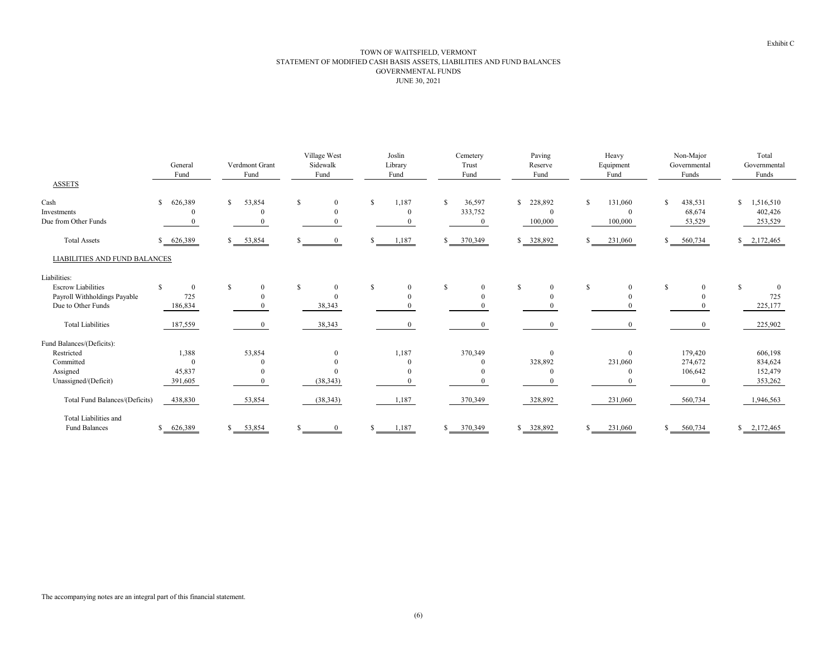#### TOWN OF WAITSFIELD, VERMONT STATEMENT OF MODIFIED CASH BASIS ASSETS, LIABILITIES AND FUND BALANCES JUNE 30, 2021 GOVERNMENTAL FUNDS

|                                             | General<br>Fund         | Verdmont Grant<br>Fund   | Village West<br>Sidewalk<br>Fund | Joslin<br>Library<br>Fund         | Cemetery<br>Trust<br>Fund           | Paving<br>Reserve<br>Fund             | Heavy<br>Equipment<br>Fund     | Non-Major<br>Governmental<br>Funds | Total<br>Governmental<br>Funds        |
|---------------------------------------------|-------------------------|--------------------------|----------------------------------|-----------------------------------|-------------------------------------|---------------------------------------|--------------------------------|------------------------------------|---------------------------------------|
| <b>ASSETS</b>                               |                         |                          |                                  |                                   |                                     |                                       |                                |                                    |                                       |
| Cash<br>Investments<br>Due from Other Funds | $\mathbb{S}$<br>626,389 | $\mathbb{S}$<br>53,854   | <sup>\$</sup><br>$\overline{0}$  | 1,187<br>$\mathbf{s}$<br>$\theta$ | 36,597<br>£.<br>333,752<br>$\Omega$ | 228,892<br>\$.<br>$\bf{0}$<br>100,000 | 131,060<br>$\bf{0}$<br>100,000 | S<br>438,531<br>68,674<br>53,529   | 1,516,510<br>S.<br>402,426<br>253,529 |
| <b>Total Assets</b>                         | 626,389<br>S.           | \$ 53,854                | $\theta$                         | 1,187<br>S.                       | 370,349<br>S.                       | \$328,892                             | 231,060                        | 560,734                            | $\frac{1}{2}$ , 172, 465              |
| <b>LIABILITIES AND FUND BALANCES</b>        |                         |                          |                                  |                                   |                                     |                                       |                                |                                    |                                       |
| Liabilities:                                |                         |                          |                                  |                                   |                                     |                                       |                                |                                    |                                       |
| <b>Escrow Liabilities</b>                   | $\theta$                | $\mathbb{S}$<br>$\theta$ | <sup>\$</sup><br>$\overline{0}$  | S<br>$\Omega$                     | S<br>$\theta$                       | S<br>$\mathbf{0}$                     | S<br>$\overline{0}$            | S<br>$\Omega$                      | -S<br>$\theta$                        |
| Payroll Withholdings Payable                | 725                     |                          | $\Omega$                         |                                   |                                     | $\Omega$                              | $\Omega$                       |                                    | 725                                   |
| Due to Other Funds                          | 186,834                 |                          | 38,343                           |                                   |                                     |                                       |                                |                                    | 225,177                               |
| <b>Total Liabilities</b>                    | 187,559                 | $\bf{0}$                 | 38,343                           | $\boldsymbol{0}$                  | $\theta$                            | $\mathbf{0}$                          | $\mathbf{0}$                   | $\overline{0}$                     | 225,902                               |
| Fund Balances/(Deficits):                   |                         |                          |                                  |                                   |                                     |                                       |                                |                                    |                                       |
| Restricted                                  | 1,388                   | 53,854                   | $\theta$                         | 1,187                             | 370,349                             | $\mathbf{0}$                          | $\theta$                       | 179,420                            | 606,198                               |
| Committed                                   | $\Omega$                |                          |                                  |                                   |                                     | 328,892                               | 231,060                        | 274,672                            | 834,624                               |
| Assigned                                    | 45,837                  |                          | $\theta$                         |                                   |                                     | $\Omega$                              | $\Omega$                       | 106,642                            | 152,479                               |
| Unassigned/(Deficit)                        | 391,605                 |                          | (38, 343)                        |                                   |                                     |                                       | $\Omega$                       |                                    | 353,262                               |
| Total Fund Balances/(Deficits)              | 438,830                 | 53,854                   | (38, 343)                        | 1,187                             | 370,349                             | 328,892                               | 231,060                        | 560,734                            | 1,946,563                             |
| Total Liabilities and                       |                         |                          |                                  |                                   |                                     |                                       |                                |                                    |                                       |
| Fund Balances                               | 626,389<br>S.           | 53,854<br>$\mathbf{s}$   |                                  | 1,187                             | 370,349                             | \$ 328,892                            | 231,060                        | 560,734                            | \$2,172,465                           |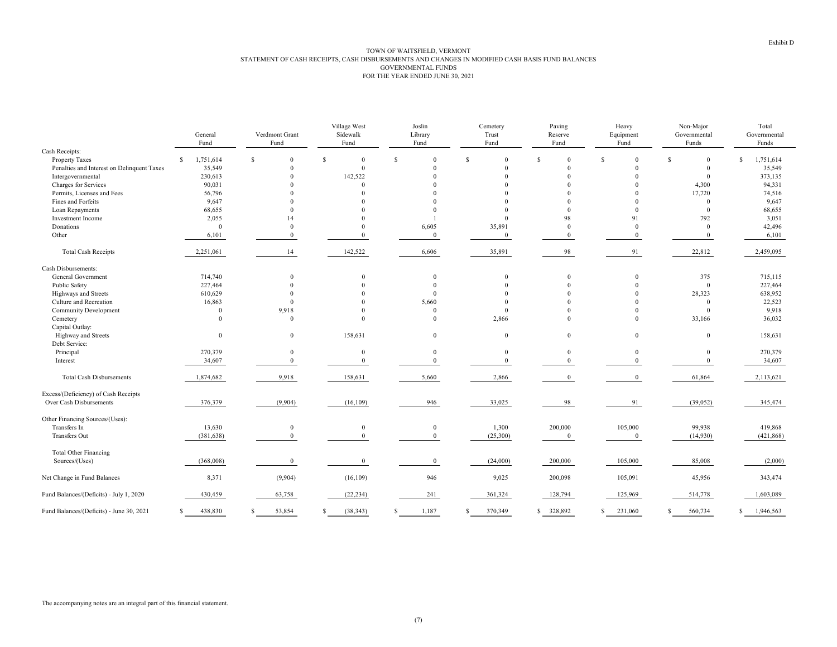|                                            |    | General<br>Fund |              | Verdmont Grant<br>Fund |              | Village West<br>Sidewalk<br>Fund |   | Joslin<br>Library<br>Fund |              | Cemetery<br>Trust<br>Fund |              | Paving<br>Reserve<br>Fund |     | Heavy<br>Equipment<br>Fund |               | Non-Major<br>Governmental<br>Funds |   | Total<br>Governmental<br>Funds |  |
|--------------------------------------------|----|-----------------|--------------|------------------------|--------------|----------------------------------|---|---------------------------|--------------|---------------------------|--------------|---------------------------|-----|----------------------------|---------------|------------------------------------|---|--------------------------------|--|
| Cash Receipts:                             |    |                 |              |                        |              |                                  |   |                           |              |                           |              |                           |     |                            |               |                                    |   |                                |  |
| <b>Property Taxes</b>                      | S. | 1,751,614       | $\mathbf{s}$ | $\Omega$               | $\mathbf{s}$ | $\Omega$                         | S | $\Omega$                  | $\mathbb{S}$ | $\Omega$                  | $\mathbb{S}$ | $\Omega$                  | \$. | $\Omega$                   | <sup>\$</sup> | $\mathbf{0}$                       | S | 1,751,614                      |  |
| Penalties and Interest on Delinquent Taxes |    | 35,549          |              | $\Omega$               |              | $\mathbf{0}$                     |   | $\Omega$                  |              | $\Omega$                  |              | $\Omega$                  |     | $\Omega$                   |               | $\mathbf{0}$                       |   | 35,549                         |  |
| Intergovernmental                          |    | 230,613         |              | $\Omega$               |              | 142,522                          |   | $\Omega$                  |              |                           |              |                           |     | $\Omega$                   |               | $\mathbf{0}$                       |   | 373,135                        |  |
| Charges for Services                       |    | 90,031          |              |                        |              | $\Omega$                         |   | $\Omega$                  |              |                           |              |                           |     | $\Omega$                   |               | 4,300                              |   | 94,331                         |  |
| Permits, Licenses and Fees                 |    | 56,796          |              |                        |              |                                  |   |                           |              |                           |              |                           |     |                            |               | 17,720                             |   | 74,516                         |  |
| Fines and Forfeits                         |    | 9,647           |              |                        |              |                                  |   |                           |              |                           |              |                           |     |                            |               | $\mathbf{0}$                       |   | 9,647                          |  |
| Loan Repayments                            |    | 68,655          |              | $\Omega$               |              |                                  |   | $\Omega$                  |              |                           |              | $\Omega$                  |     | $\Omega$                   |               | $\mathbf{0}$                       |   | 68,655                         |  |
| Investment Income                          |    | 2,055           |              | 14                     |              |                                  |   |                           |              |                           |              | 98                        |     | 91                         |               | 792                                |   | 3,051                          |  |
| Donations                                  |    | $\theta$        |              | $\Omega$               |              | $\Omega$                         |   | 6,605                     |              | 35,891                    |              | $\mathbf{0}$              |     | $\Omega$                   |               | $\mathbf{0}$                       |   | 42,496                         |  |
| Other                                      |    | 6,101           |              | $\theta$               |              | $\theta$                         |   | $\mathbf{0}$              |              | $\bf{0}$                  |              | $\mathbf{0}$              |     | $\Omega$                   |               | $\overline{0}$                     |   | 6,101                          |  |
| <b>Total Cash Receipts</b>                 |    | 2,251,061       |              | 14                     |              | 142,522                          |   | 6,606                     |              | 35,891                    |              | 98                        |     | 91                         |               | 22,812                             |   | 2,459,095                      |  |
| Cash Disbursements:                        |    |                 |              |                        |              |                                  |   |                           |              |                           |              |                           |     |                            |               |                                    |   |                                |  |
| General Government                         |    | 714,740         |              | $\Omega$               |              | $\Omega$                         |   | $\Omega$                  |              | $\Omega$                  |              | $\mathbf{0}$              |     | $\Omega$                   |               | 375                                |   | 715,115                        |  |
| Public Safety                              |    | 227,464         |              | $\Omega$               |              | $\Omega$                         |   | $\Omega$                  |              |                           |              |                           |     | $\Omega$                   |               | $\mathbf{0}$                       |   | 227,464                        |  |
| Highways and Streets                       |    | 610,629         |              |                        |              |                                  |   | $\Omega$                  |              |                           |              |                           |     |                            |               | 28,323                             |   | 638,952                        |  |
| Culture and Recreation                     |    | 16,863          |              | $\Omega$               |              |                                  |   | 5,660                     |              | $\Omega$                  |              |                           |     |                            |               | $\overline{0}$                     |   | 22,523                         |  |
| <b>Community Development</b>               |    | $\theta$        |              | 9,918                  |              | $\Omega$                         |   | $\Omega$                  |              | $\Omega$                  |              |                           |     | $\Omega$                   |               | $\mathbf{0}$                       |   | 9,918                          |  |
| Cemetery                                   |    | $\theta$        |              | $\theta$               |              | $\Omega$                         |   | $\Omega$                  |              | 2,866                     |              | $\Omega$                  |     | $\Omega$                   |               | 33,166                             |   | 36,032                         |  |
| Capital Outlay:                            |    |                 |              |                        |              |                                  |   |                           |              |                           |              |                           |     |                            |               |                                    |   |                                |  |
| Highway and Streets                        |    | $\mathbf{0}$    |              | $\mathbf{0}$           |              | 158,631                          |   | $\mathbf{0}$              |              | $\Omega$                  |              | $\mathbf{0}$              |     | $\mathbf{0}$               |               | $\mathbf{0}$                       |   | 158,631                        |  |
| Debt Service:                              |    |                 |              |                        |              |                                  |   |                           |              |                           |              |                           |     |                            |               |                                    |   |                                |  |
| Principal                                  |    | 270,379         |              | $\mathbf{0}$           |              | $\theta$                         |   | $\overline{0}$            |              | $\Omega$                  |              | $\mathbf{0}$              |     | $\mathbf{0}$               |               | $\mathbf{0}$                       |   | 270,379                        |  |
| Interest                                   |    | 34,607          |              | $\mathbf{0}$           |              | $\bf{0}$                         |   | $\overline{0}$            |              | $\Omega$                  |              | $\mathbf{0}$              |     | $\overline{0}$             |               | $\mathbf{0}$                       |   | 34,607                         |  |
| <b>Total Cash Disbursements</b>            |    | 1,874,682       |              | 9,918                  |              | 158,631                          |   | 5,660                     |              | 2,866                     |              | $\bf{0}$                  |     | $\overline{0}$             |               | 61,864                             |   | 2,113,621                      |  |
| Excess/(Deficiency) of Cash Receipts       |    |                 |              |                        |              |                                  |   |                           |              |                           |              |                           |     |                            |               |                                    |   |                                |  |
| Over Cash Disbursements                    |    | 376,379         |              | (9,904)                |              | (16, 109)                        |   | 946                       |              | 33,025                    |              | 98                        |     | 91                         |               | (39,052)                           |   | 345,474                        |  |
| Other Financing Sources/(Uses):            |    |                 |              |                        |              |                                  |   |                           |              |                           |              |                           |     |                            |               |                                    |   |                                |  |
| Transfers In                               |    | 13,630          |              | $\mathbf{0}$           |              | $\mathbf{0}$                     |   | $\mathbf{0}$              |              | 1,300                     |              | 200,000                   |     | 105,000                    |               | 99,938                             |   | 419,868                        |  |
| <b>Transfers Out</b>                       |    | (381, 638)      |              | $\mathbf{0}$           |              | $\mathbf{0}$                     |   | $\overline{0}$            |              | (25,300)                  |              | $\bf{0}$                  |     | $\overline{0}$             |               | (14,930)                           |   | (421, 868)                     |  |
| <b>Total Other Financing</b>               |    |                 |              |                        |              |                                  |   |                           |              |                           |              |                           |     |                            |               |                                    |   |                                |  |
| Sources/(Uses)                             |    | (368,008)       |              | $\mathbf{0}$           |              | $\bf{0}$                         |   | $\mathbf{0}$              |              | (24,000)                  |              | 200,000                   |     | 105,000                    |               | 85,008                             |   | (2,000)                        |  |
| Net Change in Fund Balances                |    | 8,371           |              | (9,904)                |              | (16, 109)                        |   | 946                       |              | 9,025                     |              | 200,098                   |     | 105,091                    |               | 45,956                             |   | 343,474                        |  |
| Fund Balances/(Deficits) - July 1, 2020    |    | 430,459         |              | 63,758                 |              | (22, 234)                        |   | 241                       |              | 361,324                   |              | 128,794                   |     | 125,969                    |               | 514,778                            |   | 1,603,089                      |  |
| Fund Balances/(Deficits) - June 30, 2021   | S  | 438,830         |              | 53.854                 |              | (38, 343)                        |   | 1,187                     | S.           | 370,349                   |              | \$ 328,892                |     | 231,060                    | \$            | 560,734                            | S | 1,946,563                      |  |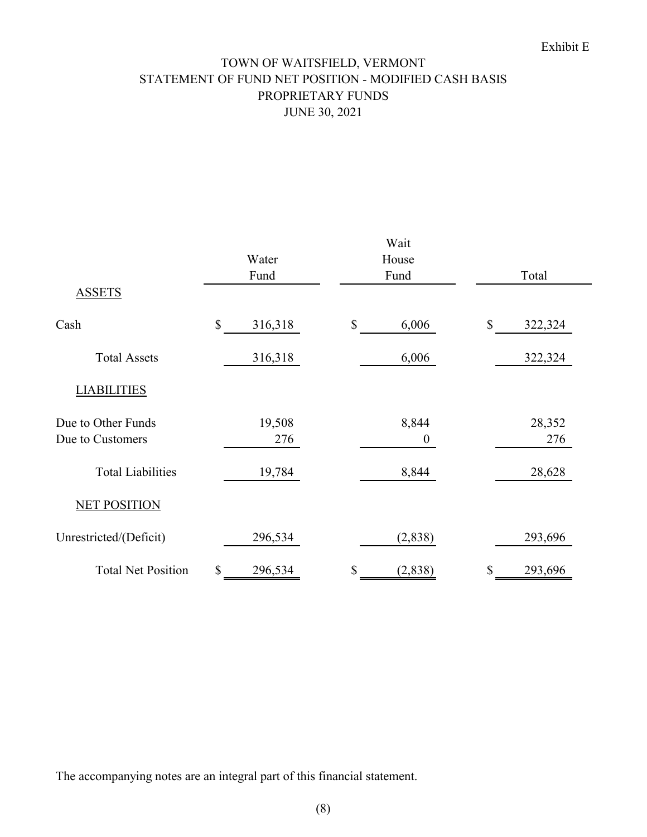# TOWN OF WAITSFIELD, VERMONT STATEMENT OF FUND NET POSITION - MODIFIED CASH BASIS PROPRIETARY FUNDS JUNE 30, 2021

| <b>ASSETS</b>             | Water<br>Fund | Wait<br>House<br>Fund | Total         |
|---------------------------|---------------|-----------------------|---------------|
|                           |               |                       |               |
| Cash                      | \$<br>316,318 | $\mathbb{S}$<br>6,006 | \$<br>322,324 |
| <b>Total Assets</b>       | 316,318       | 6,006                 | 322,324       |
| <b>LIABILITIES</b>        |               |                       |               |
| Due to Other Funds        | 19,508        | 8,844                 | 28,352        |
| Due to Customers          | 276           | $\boldsymbol{0}$      | 276           |
| <b>Total Liabilities</b>  | 19,784        | 8,844                 | 28,628        |
| <b>NET POSITION</b>       |               |                       |               |
| Unrestricted/(Deficit)    | 296,534       | (2, 838)              | 293,696       |
| <b>Total Net Position</b> | \$<br>296,534 | \$<br>(2,838)         | \$<br>293,696 |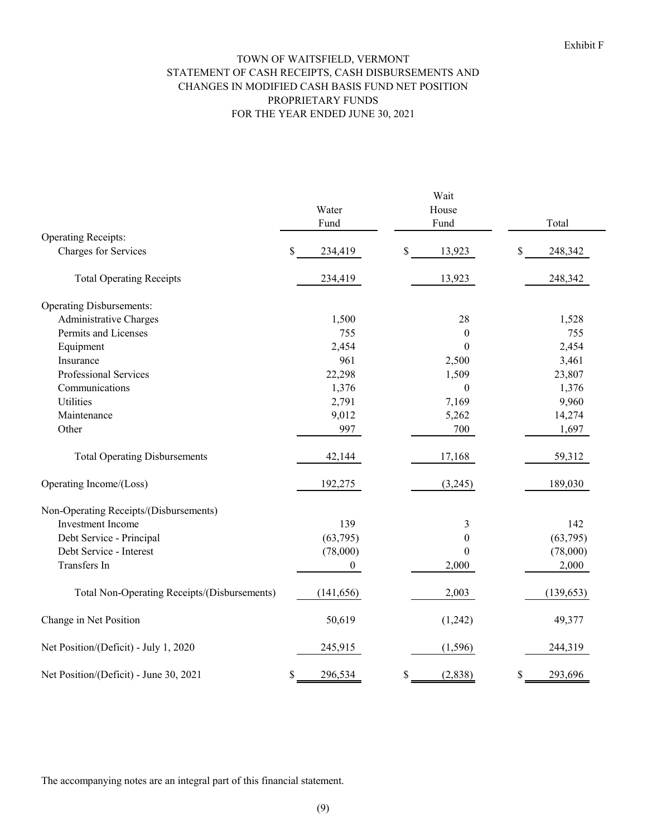#### TOWN OF WAITSFIELD, VERMONT STATEMENT OF CASH RECEIPTS, CASH DISBURSEMENTS AND PROPRIETARY FUNDS FOR THE YEAR ENDED JUNE 30, 2021 CHANGES IN MODIFIED CASH BASIS FUND NET POSITION

|                                                    | Water          | House                  |               |
|----------------------------------------------------|----------------|------------------------|---------------|
|                                                    | Fund           | Fund                   | Total         |
| <b>Operating Receipts:</b><br>Charges for Services | \$<br>234,419  | $\mathbb{S}$<br>13,923 | \$<br>248,342 |
|                                                    |                |                        |               |
| <b>Total Operating Receipts</b>                    | 234,419        | 13,923                 | 248,342       |
| <b>Operating Disbursements:</b>                    |                |                        |               |
| Administrative Charges                             | 1,500          | 28                     | 1,528         |
| Permits and Licenses                               | 755            | $\mathbf{0}$           | 755           |
| Equipment                                          | 2,454          | $\theta$               | 2,454         |
| Insurance                                          | 961            | 2,500                  | 3,461         |
| Professional Services                              | 22,298         | 1,509                  | 23,807        |
| Communications                                     | 1,376          | $\boldsymbol{0}$       | 1,376         |
| Utilities                                          | 2,791          | 7,169                  | 9,960         |
| Maintenance                                        | 9,012          | 5,262                  | 14,274        |
| Other                                              | 997            | 700                    | 1,697         |
| <b>Total Operating Disbursements</b>               | 42,144         | 17,168                 | 59,312        |
| Operating Income/(Loss)                            | 192,275        | (3,245)                | 189,030       |
| Non-Operating Receipts/(Disbursements)             |                |                        |               |
| Investment Income                                  | 139            | 3                      | 142           |
| Debt Service - Principal                           | (63,795)       | $\theta$               | (63,795)      |
| Debt Service - Interest                            | (78,000)       | 0                      | (78,000)      |
| Transfers In                                       | $\overline{0}$ | 2,000                  | 2,000         |
| Total Non-Operating Receipts/(Disbursements)       | (141, 656)     | 2,003                  | (139, 653)    |
| Change in Net Position                             | 50,619         | (1,242)                | 49,377        |
| Net Position/(Deficit) - July 1, 2020              | 245,915        | (1, 596)               | 244,319       |
| Net Position/(Deficit) - June 30, 2021             | \$<br>296,534  | \$<br>(2,838)          | \$<br>293,696 |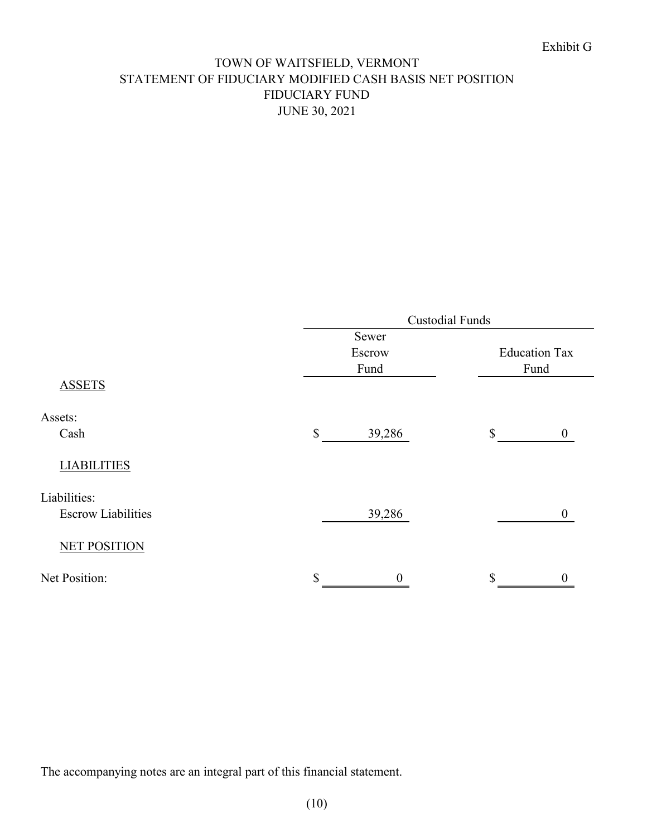# TOWN OF WAITSFIELD, VERMONT STATEMENT OF FIDUCIARY MODIFIED CASH BASIS NET POSITION FIDUCIARY FUND JUNE 30, 2021

|                           |                        | <b>Custodial Funds</b>          |  |  |  |  |  |
|---------------------------|------------------------|---------------------------------|--|--|--|--|--|
|                           | Sewer                  |                                 |  |  |  |  |  |
|                           | Escrow                 | <b>Education Tax</b>            |  |  |  |  |  |
|                           | Fund                   | Fund                            |  |  |  |  |  |
| <b>ASSETS</b>             |                        |                                 |  |  |  |  |  |
| Assets:                   |                        |                                 |  |  |  |  |  |
| Cash                      | 39,286<br>$\mathbb{S}$ | $\mathcal{S}$<br>$\overline{0}$ |  |  |  |  |  |
| <b>LIABILITIES</b>        |                        |                                 |  |  |  |  |  |
| Liabilities:              |                        |                                 |  |  |  |  |  |
| <b>Escrow Liabilities</b> | 39,286                 | $\boldsymbol{0}$                |  |  |  |  |  |
| <b>NET POSITION</b>       |                        |                                 |  |  |  |  |  |
| Net Position:             | \$                     | \$                              |  |  |  |  |  |
|                           |                        |                                 |  |  |  |  |  |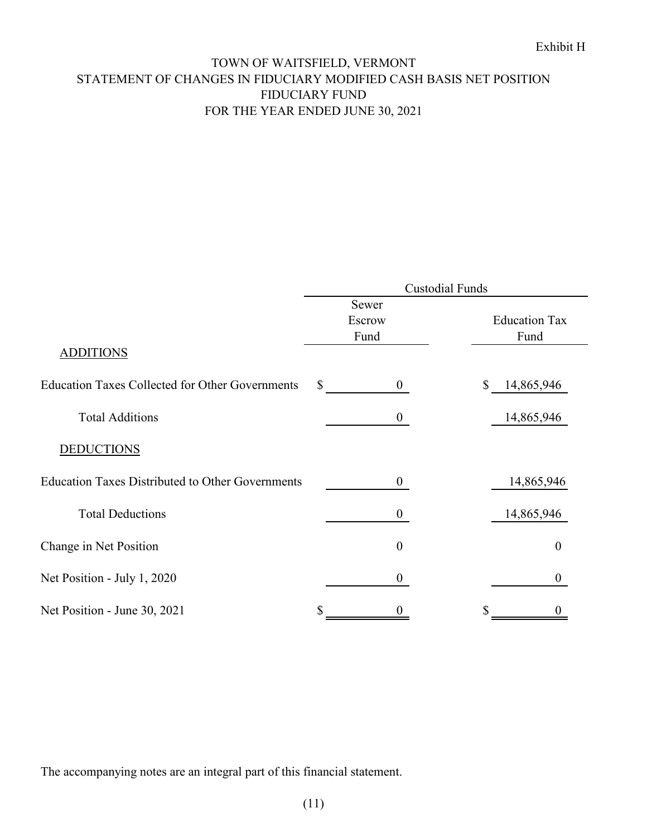# TOWN OF WAITSFIELD, VERMONT STATEMENT OF CHANGES IN FIDUCIARY MODIFIED CASH BASIS NET POSITION FIDUCIARY FUND FOR THE YEAR ENDED JUNE 30, 2021

|                                                         |        |                  | <b>Custodial Funds</b> |                      |
|---------------------------------------------------------|--------|------------------|------------------------|----------------------|
|                                                         | Sewer  |                  |                        |                      |
|                                                         | Escrow |                  |                        | <b>Education Tax</b> |
|                                                         | Fund   |                  |                        | Fund                 |
| <b>ADDITIONS</b>                                        |        |                  |                        |                      |
| <b>Education Taxes Collected for Other Governments</b>  | \$     | $\overline{0}$   | \$                     | 14,865,946           |
| <b>Total Additions</b>                                  |        | $\boldsymbol{0}$ |                        | 14,865,946           |
| <b>DEDUCTIONS</b>                                       |        |                  |                        |                      |
| <b>Education Taxes Distributed to Other Governments</b> |        | $\boldsymbol{0}$ |                        | 14,865,946           |
| <b>Total Deductions</b>                                 |        | $\boldsymbol{0}$ |                        | 14,865,946           |
| Change in Net Position                                  |        | $\boldsymbol{0}$ |                        | $\boldsymbol{0}$     |
| Net Position - July 1, 2020                             |        | $\boldsymbol{0}$ |                        | $\Omega$             |
| Net Position - June 30, 2021                            | \$     |                  |                        |                      |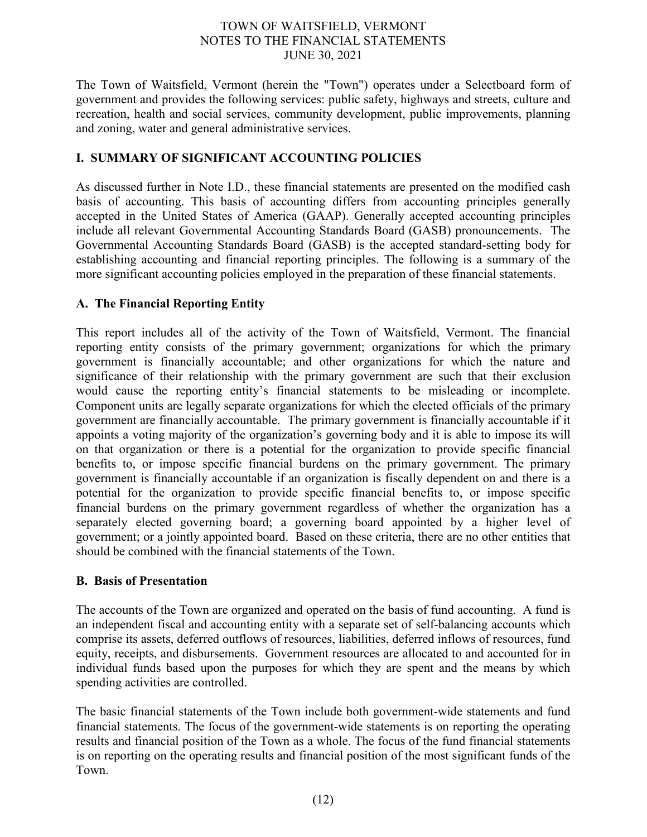The Town of Waitsfield, Vermont (herein the "Town") operates under a Selectboard form of government and provides the following services: public safety, highways and streets, culture and recreation, health and social services, community development, public improvements, planning and zoning, water and general administrative services.

# **I. SUMMARY OF SIGNIFICANT ACCOUNTING POLICIES**

As discussed further in Note I.D., these financial statements are presented on the modified cash basis of accounting. This basis of accounting differs from accounting principles generally accepted in the United States of America (GAAP). Generally accepted accounting principles include all relevant Governmental Accounting Standards Board (GASB) pronouncements. The Governmental Accounting Standards Board (GASB) is the accepted standard-setting body for establishing accounting and financial reporting principles. The following is a summary of the more significant accounting policies employed in the preparation of these financial statements.

# **A. The Financial Reporting Entity**

This report includes all of the activity of the Town of Waitsfield, Vermont. The financial reporting entity consists of the primary government; organizations for which the primary government is financially accountable; and other organizations for which the nature and significance of their relationship with the primary government are such that their exclusion would cause the reporting entity's financial statements to be misleading or incomplete. Component units are legally separate organizations for which the elected officials of the primary government are financially accountable. The primary government is financially accountable if it appoints a voting majority of the organization's governing body and it is able to impose its will on that organization or there is a potential for the organization to provide specific financial benefits to, or impose specific financial burdens on the primary government. The primary government is financially accountable if an organization is fiscally dependent on and there is a potential for the organization to provide specific financial benefits to, or impose specific financial burdens on the primary government regardless of whether the organization has a separately elected governing board; a governing board appointed by a higher level of government; or a jointly appointed board. Based on these criteria, there are no other entities that should be combined with the financial statements of the Town.

# **B. Basis of Presentation**

The accounts of the Town are organized and operated on the basis of fund accounting. A fund is an independent fiscal and accounting entity with a separate set of self-balancing accounts which comprise its assets, deferred outflows of resources, liabilities, deferred inflows of resources, fund equity, receipts, and disbursements. Government resources are allocated to and accounted for in individual funds based upon the purposes for which they are spent and the means by which spending activities are controlled.

The basic financial statements of the Town include both government-wide statements and fund financial statements. The focus of the government-wide statements is on reporting the operating results and financial position of the Town as a whole. The focus of the fund financial statements is on reporting on the operating results and financial position of the most significant funds of the Town.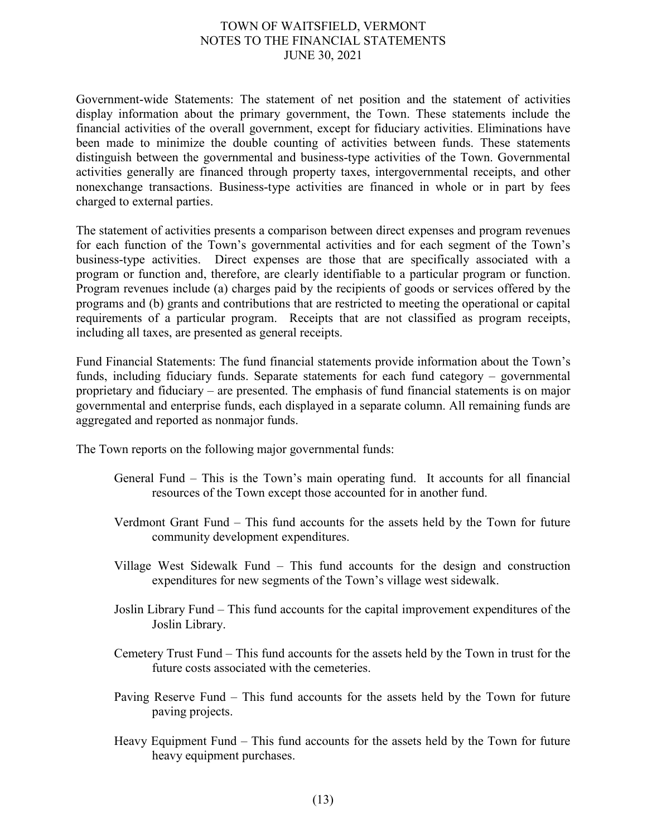Government-wide Statements: The statement of net position and the statement of activities display information about the primary government, the Town. These statements include the financial activities of the overall government, except for fiduciary activities. Eliminations have been made to minimize the double counting of activities between funds. These statements distinguish between the governmental and business-type activities of the Town. Governmental activities generally are financed through property taxes, intergovernmental receipts, and other nonexchange transactions. Business-type activities are financed in whole or in part by fees charged to external parties.

The statement of activities presents a comparison between direct expenses and program revenues for each function of the Town's governmental activities and for each segment of the Town's business-type activities. Direct expenses are those that are specifically associated with a program or function and, therefore, are clearly identifiable to a particular program or function. Program revenues include (a) charges paid by the recipients of goods or services offered by the programs and (b) grants and contributions that are restricted to meeting the operational or capital requirements of a particular program. Receipts that are not classified as program receipts, including all taxes, are presented as general receipts.

Fund Financial Statements: The fund financial statements provide information about the Town's funds, including fiduciary funds. Separate statements for each fund category – governmental proprietary and fiduciary – are presented. The emphasis of fund financial statements is on major governmental and enterprise funds, each displayed in a separate column. All remaining funds are aggregated and reported as nonmajor funds.

The Town reports on the following major governmental funds:

- General Fund This is the Town's main operating fund. It accounts for all financial resources of the Town except those accounted for in another fund.
- Verdmont Grant Fund This fund accounts for the assets held by the Town for future community development expenditures.
- Village West Sidewalk Fund This fund accounts for the design and construction expenditures for new segments of the Town's village west sidewalk.
- Joslin Library Fund This fund accounts for the capital improvement expenditures of the Joslin Library.
- Cemetery Trust Fund This fund accounts for the assets held by the Town in trust for the future costs associated with the cemeteries.
- Paving Reserve Fund This fund accounts for the assets held by the Town for future paving projects.
- Heavy Equipment Fund This fund accounts for the assets held by the Town for future heavy equipment purchases.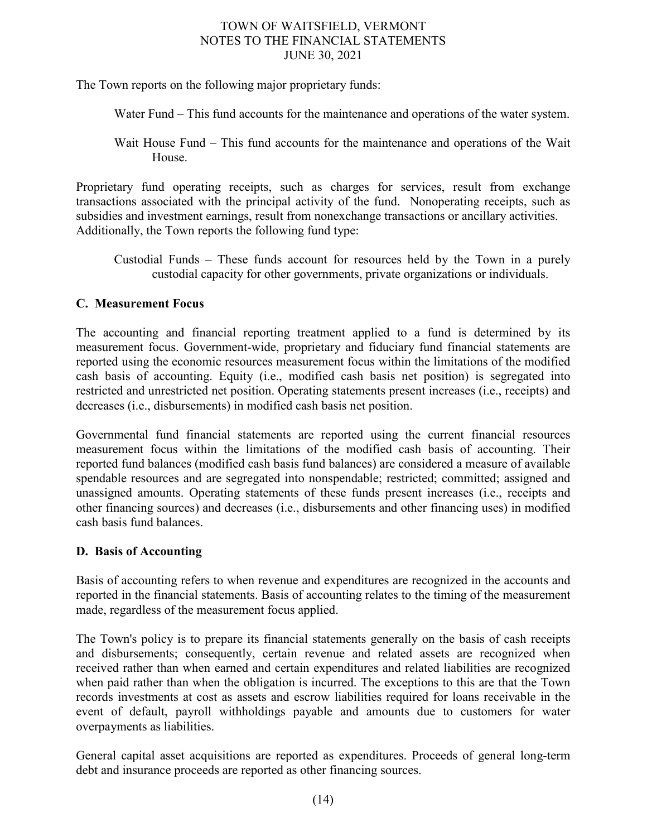The Town reports on the following major proprietary funds:

Water Fund – This fund accounts for the maintenance and operations of the water system.

Wait House Fund – This fund accounts for the maintenance and operations of the Wait House.

Proprietary fund operating receipts, such as charges for services, result from exchange transactions associated with the principal activity of the fund. Nonoperating receipts, such as subsidies and investment earnings, result from nonexchange transactions or ancillary activities. Additionally, the Town reports the following fund type:

Custodial Funds – These funds account for resources held by the Town in a purely custodial capacity for other governments, private organizations or individuals.

# **C. Measurement Focus**

The accounting and financial reporting treatment applied to a fund is determined by its measurement focus. Government-wide, proprietary and fiduciary fund financial statements are reported using the economic resources measurement focus within the limitations of the modified cash basis of accounting. Equity (i.e., modified cash basis net position) is segregated into restricted and unrestricted net position. Operating statements present increases (i.e., receipts) and decreases (i.e., disbursements) in modified cash basis net position.

Governmental fund financial statements are reported using the current financial resources measurement focus within the limitations of the modified cash basis of accounting. Their reported fund balances (modified cash basis fund balances) are considered a measure of available spendable resources and are segregated into nonspendable; restricted; committed; assigned and unassigned amounts. Operating statements of these funds present increases (i.e., receipts and other financing sources) and decreases (i.e., disbursements and other financing uses) in modified cash basis fund balances.

### **D. Basis of Accounting**

Basis of accounting refers to when revenue and expenditures are recognized in the accounts and reported in the financial statements. Basis of accounting relates to the timing of the measurement made, regardless of the measurement focus applied.

The Town's policy is to prepare its financial statements generally on the basis of cash receipts and disbursements; consequently, certain revenue and related assets are recognized when received rather than when earned and certain expenditures and related liabilities are recognized when paid rather than when the obligation is incurred. The exceptions to this are that the Town records investments at cost as assets and escrow liabilities required for loans receivable in the event of default, payroll withholdings payable and amounts due to customers for water overpayments as liabilities.

General capital asset acquisitions are reported as expenditures. Proceeds of general long-term debt and insurance proceeds are reported as other financing sources.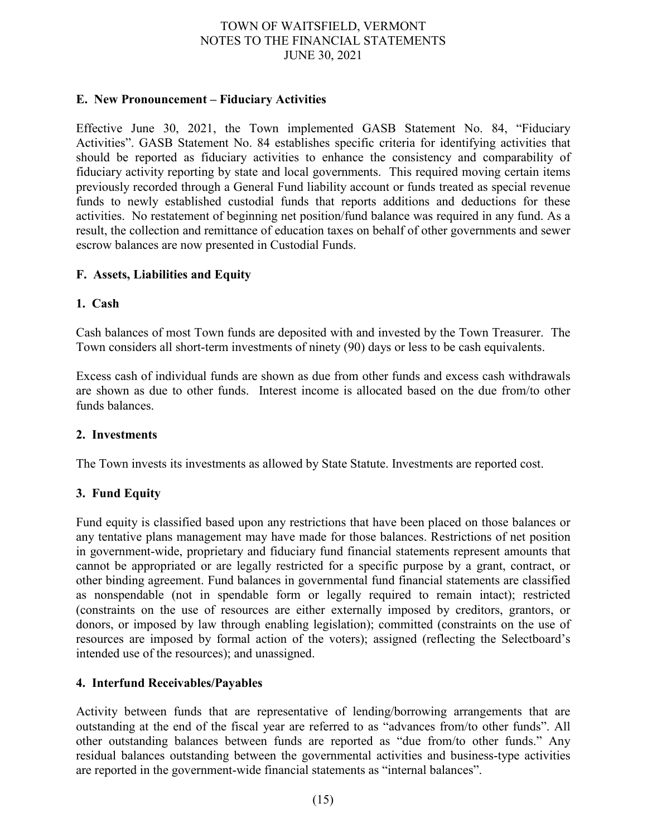### **E. New Pronouncement – Fiduciary Activities**

Effective June 30, 2021, the Town implemented GASB Statement No. 84, "Fiduciary Activities". GASB Statement No. 84 establishes specific criteria for identifying activities that should be reported as fiduciary activities to enhance the consistency and comparability of fiduciary activity reporting by state and local governments. This required moving certain items previously recorded through a General Fund liability account or funds treated as special revenue funds to newly established custodial funds that reports additions and deductions for these activities. No restatement of beginning net position/fund balance was required in any fund. As a result, the collection and remittance of education taxes on behalf of other governments and sewer escrow balances are now presented in Custodial Funds.

### **F. Assets, Liabilities and Equity**

### **1. Cash**

Cash balances of most Town funds are deposited with and invested by the Town Treasurer. The Town considers all short-term investments of ninety (90) days or less to be cash equivalents.

Excess cash of individual funds are shown as due from other funds and excess cash withdrawals are shown as due to other funds. Interest income is allocated based on the due from/to other funds balances.

### **2. Investments**

The Town invests its investments as allowed by State Statute. Investments are reported cost.

# **3. Fund Equity**

Fund equity is classified based upon any restrictions that have been placed on those balances or any tentative plans management may have made for those balances. Restrictions of net position in government-wide, proprietary and fiduciary fund financial statements represent amounts that cannot be appropriated or are legally restricted for a specific purpose by a grant, contract, or other binding agreement. Fund balances in governmental fund financial statements are classified as nonspendable (not in spendable form or legally required to remain intact); restricted (constraints on the use of resources are either externally imposed by creditors, grantors, or donors, or imposed by law through enabling legislation); committed (constraints on the use of resources are imposed by formal action of the voters); assigned (reflecting the Selectboard's intended use of the resources); and unassigned.

### **4. Interfund Receivables/Payables**

Activity between funds that are representative of lending/borrowing arrangements that are outstanding at the end of the fiscal year are referred to as "advances from/to other funds". All other outstanding balances between funds are reported as "due from/to other funds." Any residual balances outstanding between the governmental activities and business-type activities are reported in the government-wide financial statements as "internal balances".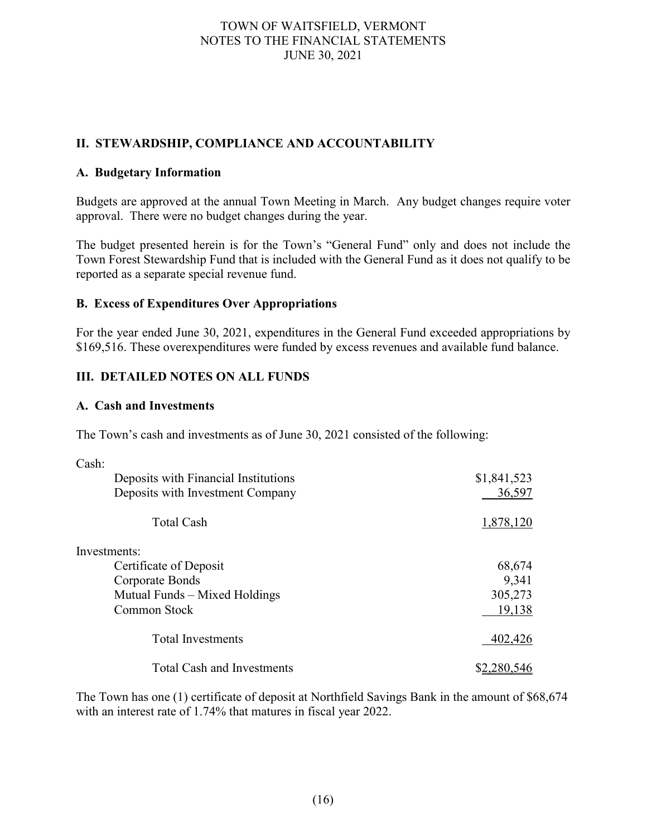# **II. STEWARDSHIP, COMPLIANCE AND ACCOUNTABILITY**

### **A. Budgetary Information**

Budgets are approved at the annual Town Meeting in March. Any budget changes require voter approval. There were no budget changes during the year.

The budget presented herein is for the Town's "General Fund" only and does not include the Town Forest Stewardship Fund that is included with the General Fund as it does not qualify to be reported as a separate special revenue fund.

### **B. Excess of Expenditures Over Appropriations**

For the year ended June 30, 2021, expenditures in the General Fund exceeded appropriations by \$169,516. These overexpenditures were funded by excess revenues and available fund balance.

# **III. DETAILED NOTES ON ALL FUNDS**

### **A. Cash and Investments**

The Town's cash and investments as of June 30, 2021 consisted of the following:

| Cash:                                |             |
|--------------------------------------|-------------|
| Deposits with Financial Institutions | \$1,841,523 |
| Deposits with Investment Company     | 36,597      |
| Total Cash                           | 1,878,120   |
| Investments:                         |             |
| Certificate of Deposit               | 68,674      |
| Corporate Bonds                      | 9,341       |
| Mutual Funds – Mixed Holdings        | 305,273     |
| Common Stock                         | 19,138      |
| <b>Total Investments</b>             | 402,426     |
| <b>Total Cash and Investments</b>    |             |

The Town has one (1) certificate of deposit at Northfield Savings Bank in the amount of \$68,674 with an interest rate of 1.74% that matures in fiscal year 2022.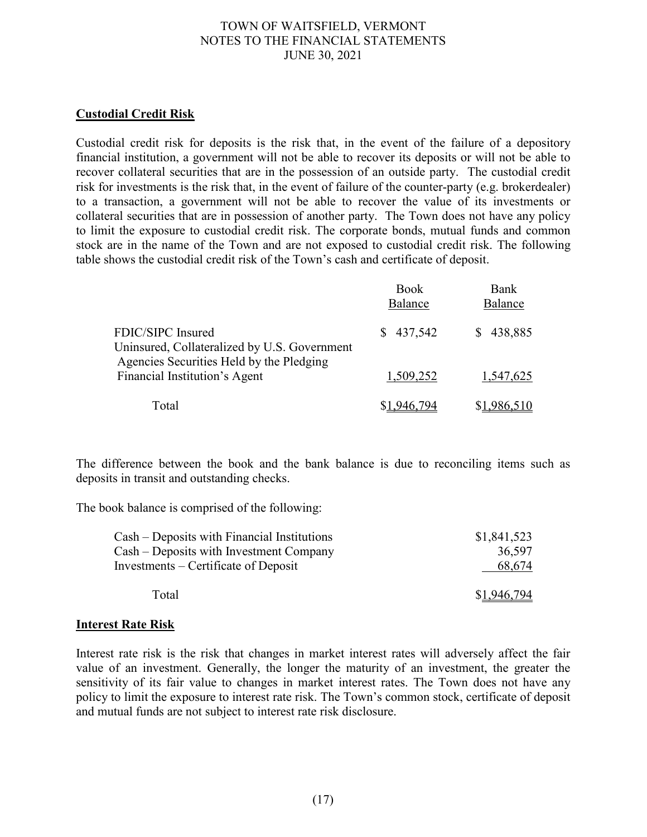### **Custodial Credit Risk**

Custodial credit risk for deposits is the risk that, in the event of the failure of a depository financial institution, a government will not be able to recover its deposits or will not be able to recover collateral securities that are in the possession of an outside party. The custodial credit risk for investments is the risk that, in the event of failure of the counter-party (e.g. brokerdealer) to a transaction, a government will not be able to recover the value of its investments or collateral securities that are in possession of another party. The Town does not have any policy to limit the exposure to custodial credit risk. The corporate bonds, mutual funds and common stock are in the name of the Town and are not exposed to custodial credit risk. The following table shows the custodial credit risk of the Town's cash and certificate of deposit.

|                                                                                                               | <b>Book</b><br>Balance | Bank<br>Balance |
|---------------------------------------------------------------------------------------------------------------|------------------------|-----------------|
| FDIC/SIPC Insured<br>Uninsured, Collateralized by U.S. Government<br>Agencies Securities Held by the Pledging | \$437,542              | \$438,885       |
| Financial Institution's Agent                                                                                 | 1,509,252              | 1,547,625       |
| Total                                                                                                         |                        |                 |

The difference between the book and the bank balance is due to reconciling items such as deposits in transit and outstanding checks.

The book balance is comprised of the following:

| Cash – Deposits with Financial Institutions | \$1,841,523 |
|---------------------------------------------|-------------|
| Cash – Deposits with Investment Company     | 36.597      |
| Investments – Certificate of Deposit        | 68,674      |
| Total                                       | \$1,946,794 |

### **Interest Rate Risk**

Interest rate risk is the risk that changes in market interest rates will adversely affect the fair value of an investment. Generally, the longer the maturity of an investment, the greater the sensitivity of its fair value to changes in market interest rates. The Town does not have any policy to limit the exposure to interest rate risk. The Town's common stock, certificate of deposit and mutual funds are not subject to interest rate risk disclosure.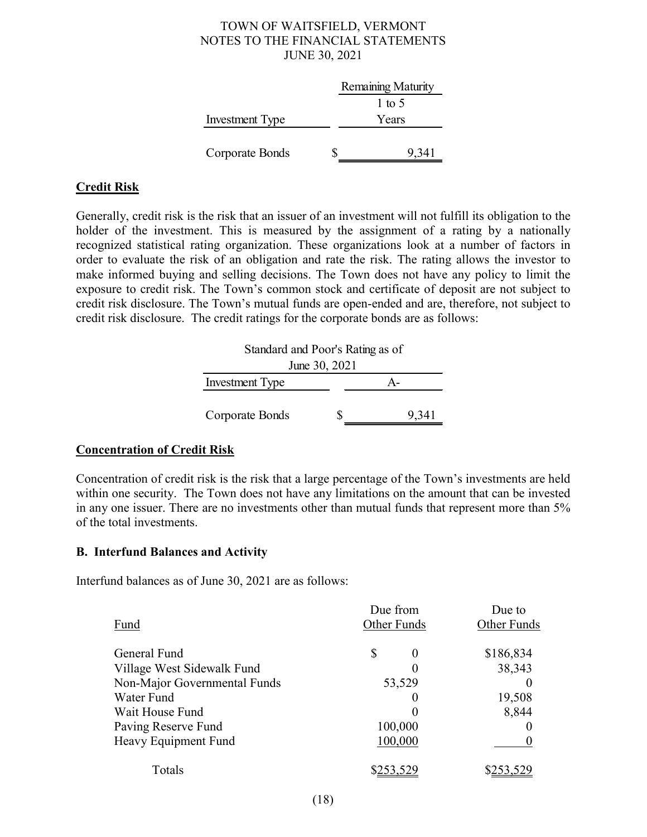|                        | Remaining Maturity |
|------------------------|--------------------|
|                        | 1 to 5             |
| <b>Investment Type</b> | Years              |
|                        |                    |
| Corporate Bonds        | 9,341              |

# **Credit Risk**

Generally, credit risk is the risk that an issuer of an investment will not fulfill its obligation to the holder of the investment. This is measured by the assignment of a rating by a nationally recognized statistical rating organization. These organizations look at a number of factors in order to evaluate the risk of an obligation and rate the risk. The rating allows the investor to make informed buying and selling decisions. The Town does not have any policy to limit the exposure to credit risk. The Town's common stock and certificate of deposit are not subject to credit risk disclosure. The Town's mutual funds are open-ended and are, therefore, not subject to credit risk disclosure. The credit ratings for the corporate bonds are as follows:

| Standard and Poor's Rating as of |  |       |  |  |
|----------------------------------|--|-------|--|--|
| June 30, 2021                    |  |       |  |  |
| Investment Type                  |  |       |  |  |
|                                  |  |       |  |  |
| Corporate Bonds                  |  | 9,341 |  |  |

# **Concentration of Credit Risk**

Concentration of credit risk is the risk that a large percentage of the Town's investments are held within one security. The Town does not have any limitations on the amount that can be invested in any one issuer. There are no investments other than mutual funds that represent more than 5% of the total investments.

# **B. Interfund Balances and Activity**

Interfund balances as of June 30, 2021 are as follows:

|                              | Due from       | Due to      |  |
|------------------------------|----------------|-------------|--|
| Fund                         | Other Funds    | Other Funds |  |
| General Fund                 | \$<br>$\theta$ | \$186,834   |  |
| Village West Sidewalk Fund   |                | 38,343      |  |
| Non-Major Governmental Funds | 53,529         |             |  |
| Water Fund                   |                | 19,508      |  |
| Wait House Fund              |                | 8,844       |  |
| Paving Reserve Fund          | 100,000        |             |  |
| Heavy Equipment Fund         | 100,000        |             |  |
| Totals                       | \$253,529      | \$253.529   |  |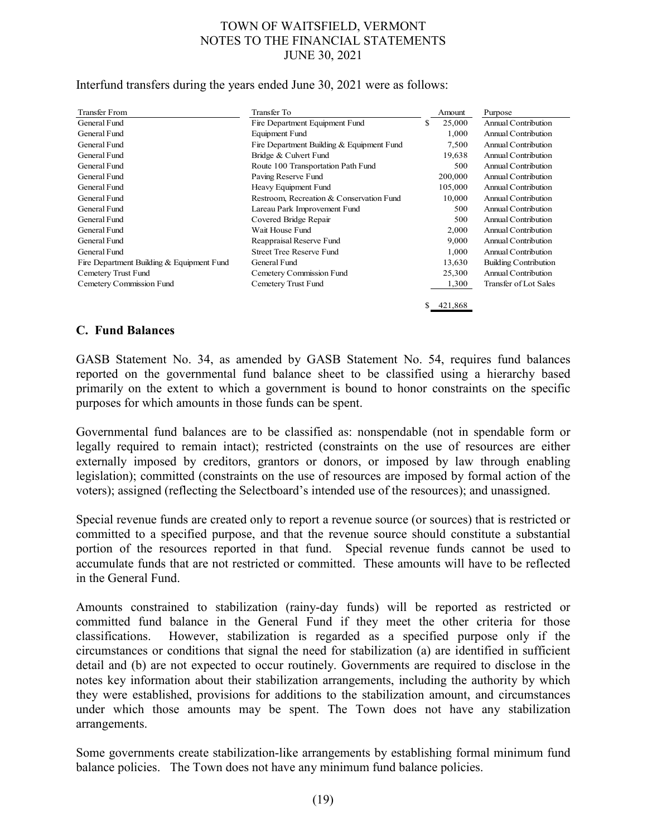Interfund transfers during the years ended June 30, 2021 were as follows:

| <b>Transfer From</b>                      | Transfer To                               | Amount        | Purpose                      |
|-------------------------------------------|-------------------------------------------|---------------|------------------------------|
| General Fund                              | Fire Department Equipment Fund            | \$<br>25,000  | Annual Contribution          |
| General Fund                              | Equipment Fund                            | 1.000         | Annual Contribution          |
| General Fund                              | Fire Department Building & Equipment Fund | 7,500         | Annual Contribution          |
| General Fund                              | Bridge & Culvert Fund                     | 19,638        | Annual Contribution          |
| General Fund                              | Route 100 Transportation Path Fund        | 500           | Annual Contribution          |
| General Fund                              | Paving Reserve Fund                       | 200,000       | <b>Annual Contribution</b>   |
| General Fund                              | Heavy Equipment Fund                      | 105,000       | Annual Contribution          |
| General Fund                              | Restroom, Recreation & Conservation Fund  | 10,000        | Annual Contribution          |
| General Fund                              | Lareau Park Improvement Fund              | 500           | Annual Contribution          |
| General Fund                              | Covered Bridge Repair                     | 500           | Annual Contribution          |
| General Fund                              | Wait House Fund                           | 2.000         | Annual Contribution          |
| General Fund                              | Reappraisal Reserve Fund                  | 9,000         | Annual Contribution          |
| General Fund                              | <b>Street Tree Reserve Fund</b>           | 1,000         | Annual Contribution          |
| Fire Department Building & Equipment Fund | General Fund                              | 13,630        | <b>Building Contribution</b> |
| Cemetery Trust Fund                       | Cemetery Commission Fund                  | 25,300        | Annual Contribution          |
| Cemetery Commission Fund                  | Cemetery Trust Fund                       | 1,300         | Transfer of Lot Sales        |
|                                           |                                           | \$<br>421,868 |                              |

### **C. Fund Balances**

GASB Statement No. 34, as amended by GASB Statement No. 54, requires fund balances reported on the governmental fund balance sheet to be classified using a hierarchy based primarily on the extent to which a government is bound to honor constraints on the specific purposes for which amounts in those funds can be spent.

Governmental fund balances are to be classified as: nonspendable (not in spendable form or legally required to remain intact); restricted (constraints on the use of resources are either externally imposed by creditors, grantors or donors, or imposed by law through enabling legislation); committed (constraints on the use of resources are imposed by formal action of the voters); assigned (reflecting the Selectboard's intended use of the resources); and unassigned.

Special revenue funds are created only to report a revenue source (or sources) that is restricted or committed to a specified purpose, and that the revenue source should constitute a substantial portion of the resources reported in that fund. Special revenue funds cannot be used to accumulate funds that are not restricted or committed. These amounts will have to be reflected in the General Fund.

Amounts constrained to stabilization (rainy-day funds) will be reported as restricted or committed fund balance in the General Fund if they meet the other criteria for those classifications. However, stabilization is regarded as a specified purpose only if the circumstances or conditions that signal the need for stabilization (a) are identified in sufficient detail and (b) are not expected to occur routinely. Governments are required to disclose in the notes key information about their stabilization arrangements, including the authority by which they were established, provisions for additions to the stabilization amount, and circumstances under which those amounts may be spent. The Town does not have any stabilization arrangements.

Some governments create stabilization-like arrangements by establishing formal minimum fund balance policies. The Town does not have any minimum fund balance policies.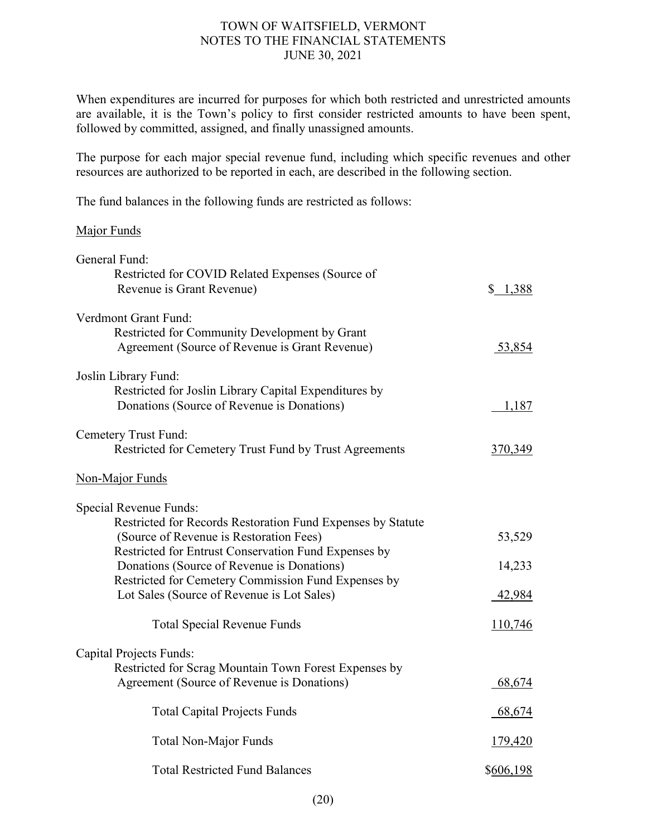When expenditures are incurred for purposes for which both restricted and unrestricted amounts are available, it is the Town's policy to first consider restricted amounts to have been spent, followed by committed, assigned, and finally unassigned amounts.

The purpose for each major special revenue fund, including which specific revenues and other resources are authorized to be reported in each, are described in the following section.

The fund balances in the following funds are restricted as follows:

### Major Funds

| General Fund:                                                                                                               |           |
|-----------------------------------------------------------------------------------------------------------------------------|-----------|
| Restricted for COVID Related Expenses (Source of<br>Revenue is Grant Revenue)                                               | \$1,388   |
| Verdmont Grant Fund:                                                                                                        |           |
| Restricted for Community Development by Grant<br>Agreement (Source of Revenue is Grant Revenue)                             | 53,854    |
| Joslin Library Fund:<br>Restricted for Joslin Library Capital Expenditures by<br>Donations (Source of Revenue is Donations) | 1,187     |
| Cemetery Trust Fund:<br>Restricted for Cemetery Trust Fund by Trust Agreements                                              | 370,349   |
| Non-Major Funds                                                                                                             |           |
| Special Revenue Funds:                                                                                                      |           |
| Restricted for Records Restoration Fund Expenses by Statute<br>(Source of Revenue is Restoration Fees)                      | 53,529    |
| Restricted for Entrust Conservation Fund Expenses by<br>Donations (Source of Revenue is Donations)                          | 14,233    |
| Restricted for Cemetery Commission Fund Expenses by<br>Lot Sales (Source of Revenue is Lot Sales)                           | 42,984    |
| <b>Total Special Revenue Funds</b>                                                                                          | 110,746   |
| <b>Capital Projects Funds:</b>                                                                                              |           |
| Restricted for Scrag Mountain Town Forest Expenses by<br>Agreement (Source of Revenue is Donations)                         | 68,674    |
| <b>Total Capital Projects Funds</b>                                                                                         | 68,674    |
| <b>Total Non-Major Funds</b>                                                                                                | 179,420   |
| <b>Total Restricted Fund Balances</b>                                                                                       | \$606,198 |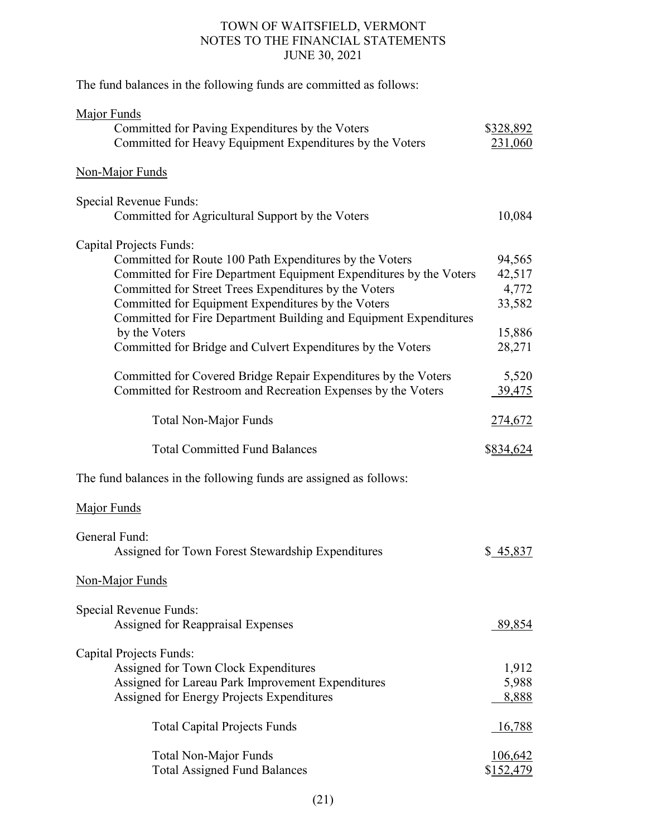The fund balances in the following funds are committed as follows:

| Major Funds<br>Committed for Paving Expenditures by the Voters<br>Committed for Heavy Equipment Expenditures by the Voters                                                                                                                                                                                                                                                                                                          | \$328,892<br>231,060                                    |
|-------------------------------------------------------------------------------------------------------------------------------------------------------------------------------------------------------------------------------------------------------------------------------------------------------------------------------------------------------------------------------------------------------------------------------------|---------------------------------------------------------|
| <b>Non-Major Funds</b>                                                                                                                                                                                                                                                                                                                                                                                                              |                                                         |
| Special Revenue Funds:<br>Committed for Agricultural Support by the Voters                                                                                                                                                                                                                                                                                                                                                          | 10,084                                                  |
| <b>Capital Projects Funds:</b><br>Committed for Route 100 Path Expenditures by the Voters<br>Committed for Fire Department Equipment Expenditures by the Voters<br>Committed for Street Trees Expenditures by the Voters<br>Committed for Equipment Expenditures by the Voters<br>Committed for Fire Department Building and Equipment Expenditures<br>by the Voters<br>Committed for Bridge and Culvert Expenditures by the Voters | 94,565<br>42,517<br>4,772<br>33,582<br>15,886<br>28,271 |
| Committed for Covered Bridge Repair Expenditures by the Voters<br>Committed for Restroom and Recreation Expenses by the Voters                                                                                                                                                                                                                                                                                                      | 5,520<br><u>39,475</u>                                  |
| <b>Total Non-Major Funds</b>                                                                                                                                                                                                                                                                                                                                                                                                        | 274,672                                                 |
| <b>Total Committed Fund Balances</b>                                                                                                                                                                                                                                                                                                                                                                                                | \$834,624                                               |
| The fund balances in the following funds are assigned as follows:                                                                                                                                                                                                                                                                                                                                                                   |                                                         |
| Major Funds                                                                                                                                                                                                                                                                                                                                                                                                                         |                                                         |
| General Fund:<br>Assigned for Town Forest Stewardship Expenditures                                                                                                                                                                                                                                                                                                                                                                  | \$45,837                                                |
| Non-Major Funds                                                                                                                                                                                                                                                                                                                                                                                                                     |                                                         |
| Special Revenue Funds:<br>Assigned for Reappraisal Expenses                                                                                                                                                                                                                                                                                                                                                                         | 89,854                                                  |
| Capital Projects Funds:<br>Assigned for Town Clock Expenditures<br>Assigned for Lareau Park Improvement Expenditures<br>Assigned for Energy Projects Expenditures                                                                                                                                                                                                                                                                   | 1,912<br>5,988<br>8,888                                 |
| <b>Total Capital Projects Funds</b>                                                                                                                                                                                                                                                                                                                                                                                                 | <u>16,788</u>                                           |
| <b>Total Non-Major Funds</b><br><b>Total Assigned Fund Balances</b>                                                                                                                                                                                                                                                                                                                                                                 | <u>106,642</u><br><u>\$152,479</u>                      |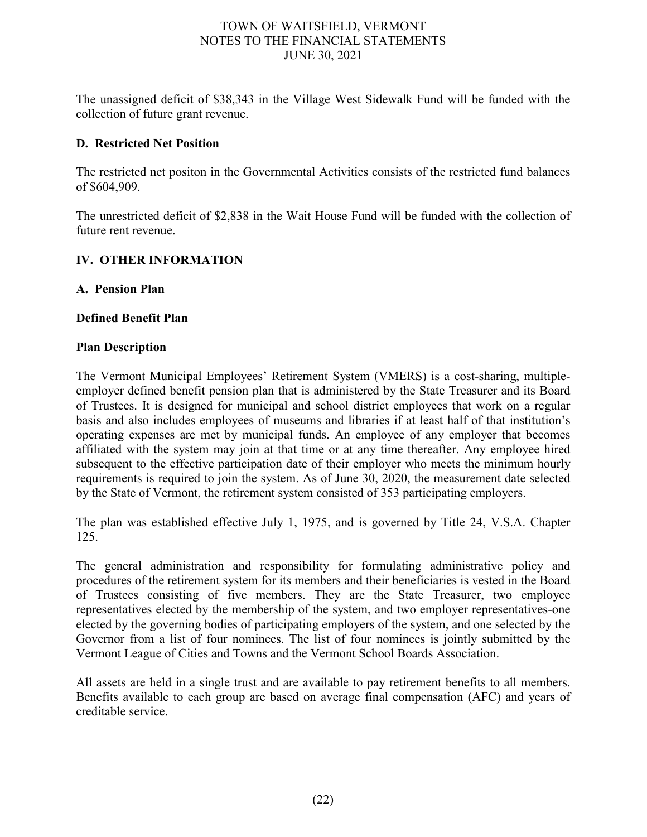The unassigned deficit of \$38,343 in the Village West Sidewalk Fund will be funded with the collection of future grant revenue.

## **D. Restricted Net Position**

The restricted net positon in the Governmental Activities consists of the restricted fund balances of \$604,909.

The unrestricted deficit of \$2,838 in the Wait House Fund will be funded with the collection of future rent revenue.

### **IV. OTHER INFORMATION**

### **A. Pension Plan**

#### **Defined Benefit Plan**

#### **Plan Description**

The Vermont Municipal Employees' Retirement System (VMERS) is a cost-sharing, multipleemployer defined benefit pension plan that is administered by the State Treasurer and its Board of Trustees. It is designed for municipal and school district employees that work on a regular basis and also includes employees of museums and libraries if at least half of that institution's operating expenses are met by municipal funds. An employee of any employer that becomes affiliated with the system may join at that time or at any time thereafter. Any employee hired subsequent to the effective participation date of their employer who meets the minimum hourly requirements is required to join the system. As of June 30, 2020, the measurement date selected by the State of Vermont, the retirement system consisted of 353 participating employers.

The plan was established effective July 1, 1975, and is governed by Title 24, V.S.A. Chapter 125.

The general administration and responsibility for formulating administrative policy and procedures of the retirement system for its members and their beneficiaries is vested in the Board of Trustees consisting of five members. They are the State Treasurer, two employee representatives elected by the membership of the system, and two employer representatives-one elected by the governing bodies of participating employers of the system, and one selected by the Governor from a list of four nominees. The list of four nominees is jointly submitted by the Vermont League of Cities and Towns and the Vermont School Boards Association.

All assets are held in a single trust and are available to pay retirement benefits to all members. Benefits available to each group are based on average final compensation (AFC) and years of creditable service.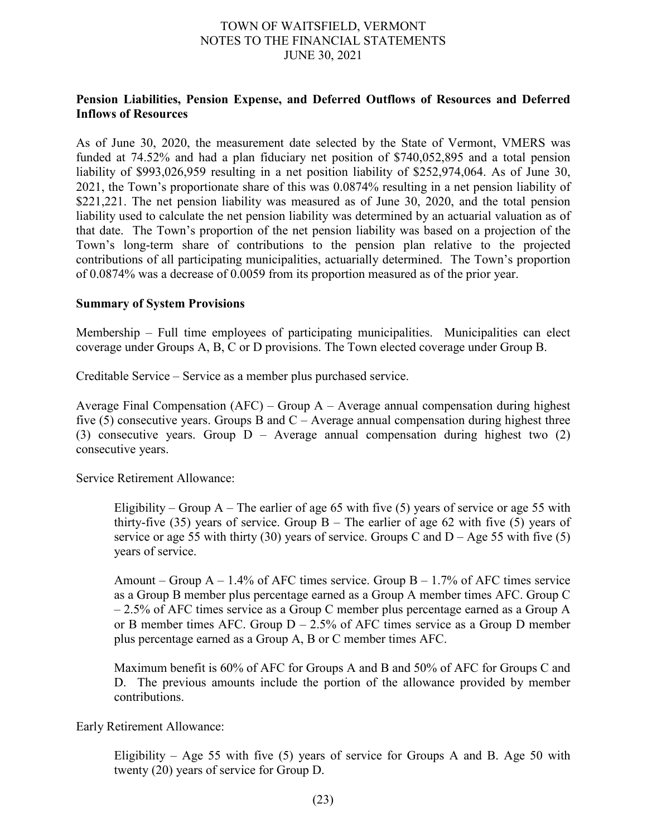### **Pension Liabilities, Pension Expense, and Deferred Outflows of Resources and Deferred Inflows of Resources**

As of June 30, 2020, the measurement date selected by the State of Vermont, VMERS was funded at 74.52% and had a plan fiduciary net position of \$740,052,895 and a total pension liability of \$993,026,959 resulting in a net position liability of \$252,974,064. As of June 30, 2021, the Town's proportionate share of this was 0.0874% resulting in a net pension liability of \$221,221. The net pension liability was measured as of June 30, 2020, and the total pension liability used to calculate the net pension liability was determined by an actuarial valuation as of that date. The Town's proportion of the net pension liability was based on a projection of the Town's long-term share of contributions to the pension plan relative to the projected contributions of all participating municipalities, actuarially determined. The Town's proportion of 0.0874% was a decrease of 0.0059 from its proportion measured as of the prior year.

#### **Summary of System Provisions**

Membership – Full time employees of participating municipalities. Municipalities can elect coverage under Groups A, B, C or D provisions. The Town elected coverage under Group B.

Creditable Service – Service as a member plus purchased service.

Average Final Compensation  $(AFC)$  – Group  $A$  – Average annual compensation during highest five  $(5)$  consecutive years. Groups B and C – Average annual compensation during highest three (3) consecutive years. Group D – Average annual compensation during highest two (2) consecutive years.

Service Retirement Allowance:

Eligibility – Group  $A$  – The earlier of age 65 with five (5) years of service or age 55 with thirty-five (35) years of service. Group  $B -$  The earlier of age 62 with five (5) years of service or age 55 with thirty (30) years of service. Groups C and  $D - Age$  55 with five (5) years of service.

Amount – Group  $A - 1.4\%$  of AFC times service. Group  $B - 1.7\%$  of AFC times service as a Group B member plus percentage earned as a Group A member times AFC. Group C  $-2.5\%$  of AFC times service as a Group C member plus percentage earned as a Group A or B member times AFC. Group  $D - 2.5\%$  of AFC times service as a Group D member plus percentage earned as a Group A, B or C member times AFC.

Maximum benefit is 60% of AFC for Groups A and B and 50% of AFC for Groups C and D. The previous amounts include the portion of the allowance provided by member contributions.

Early Retirement Allowance:

Eligibility – Age 55 with five (5) years of service for Groups A and B. Age 50 with twenty (20) years of service for Group D.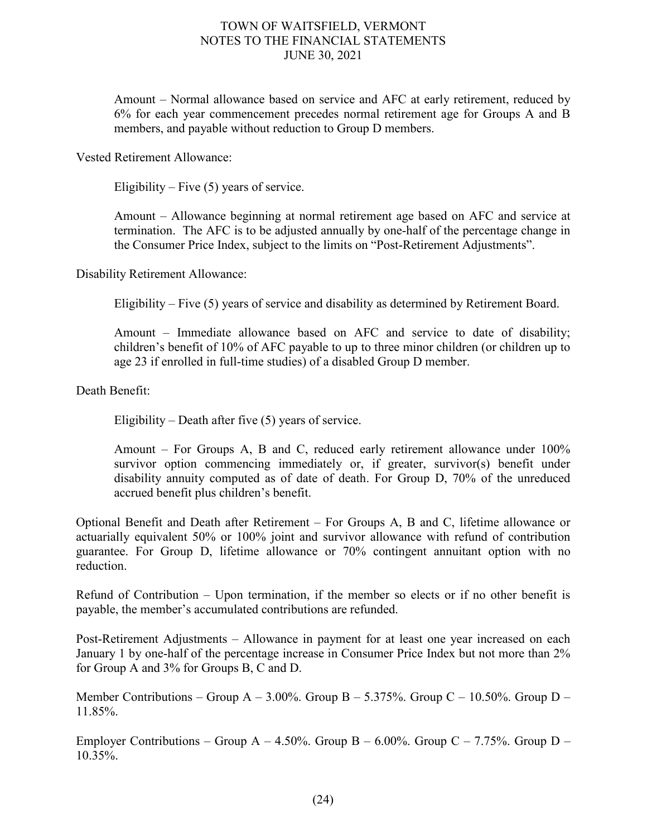Amount – Normal allowance based on service and AFC at early retirement, reduced by 6% for each year commencement precedes normal retirement age for Groups A and B members, and payable without reduction to Group D members.

Vested Retirement Allowance:

Eligibility – Five  $(5)$  years of service.

Amount – Allowance beginning at normal retirement age based on AFC and service at termination. The AFC is to be adjusted annually by one-half of the percentage change in the Consumer Price Index, subject to the limits on "Post-Retirement Adjustments".

Disability Retirement Allowance:

Eligibility – Five (5) years of service and disability as determined by Retirement Board.

Amount – Immediate allowance based on AFC and service to date of disability; children's benefit of 10% of AFC payable to up to three minor children (or children up to age 23 if enrolled in full-time studies) of a disabled Group D member.

Death Benefit:

Eligibility – Death after five (5) years of service.

Amount – For Groups A, B and C, reduced early retirement allowance under 100% survivor option commencing immediately or, if greater, survivor(s) benefit under disability annuity computed as of date of death. For Group D, 70% of the unreduced accrued benefit plus children's benefit.

Optional Benefit and Death after Retirement – For Groups A, B and C, lifetime allowance or actuarially equivalent 50% or 100% joint and survivor allowance with refund of contribution guarantee. For Group D, lifetime allowance or 70% contingent annuitant option with no reduction.

Refund of Contribution – Upon termination, if the member so elects or if no other benefit is payable, the member's accumulated contributions are refunded.

Post-Retirement Adjustments – Allowance in payment for at least one year increased on each January 1 by one-half of the percentage increase in Consumer Price Index but not more than 2% for Group A and 3% for Groups B, C and D.

Member Contributions – Group A – 3.00%. Group B – 5.375%. Group C – 10.50%. Group D – 11.85%.

Employer Contributions – Group A – 4.50%. Group B – 6.00%. Group C – 7.75%. Group D – 10.35%.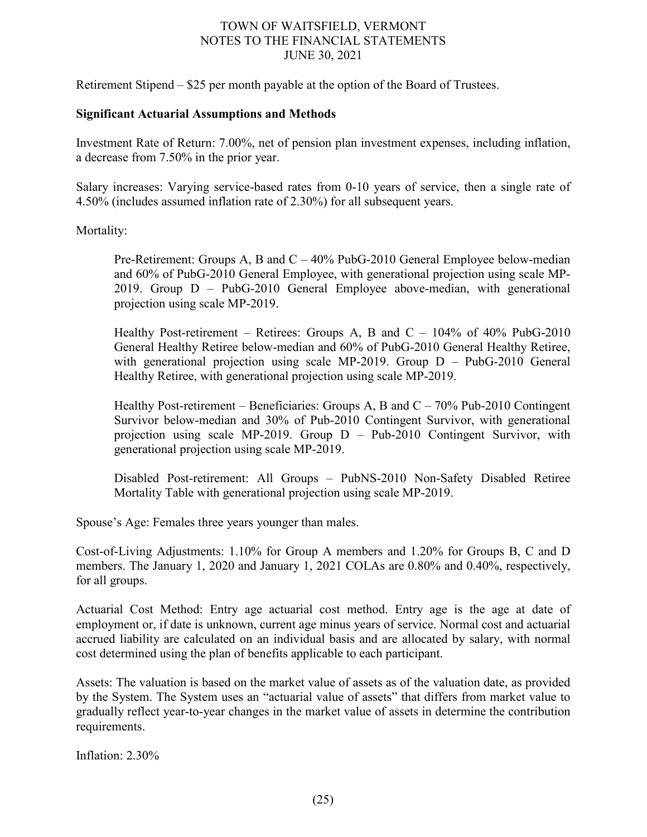Retirement Stipend – \$25 per month payable at the option of the Board of Trustees.

### **Significant Actuarial Assumptions and Methods**

Investment Rate of Return: 7.00%, net of pension plan investment expenses, including inflation, a decrease from 7.50% in the prior year.

Salary increases: Varying service-based rates from 0-10 years of service, then a single rate of 4.50% (includes assumed inflation rate of 2.30%) for all subsequent years.

Mortality:

Pre-Retirement: Groups A, B and C – 40% PubG-2010 General Employee below-median and 60% of PubG-2010 General Employee, with generational projection using scale MP-2019. Group D – PubG-2010 General Employee above-median, with generational projection using scale MP-2019.

Healthy Post-retirement – Retirees: Groups A, B and  $C - 104\%$  of 40% PubG-2010 General Healthy Retiree below-median and 60% of PubG-2010 General Healthy Retiree, with generational projection using scale MP-2019. Group D – PubG-2010 General Healthy Retiree, with generational projection using scale MP-2019.

Healthy Post-retirement – Beneficiaries: Groups A, B and  $C - 70\%$  Pub-2010 Contingent Survivor below-median and 30% of Pub-2010 Contingent Survivor, with generational projection using scale MP-2019. Group D – Pub-2010 Contingent Survivor, with generational projection using scale MP-2019.

Disabled Post-retirement: All Groups – PubNS-2010 Non-Safety Disabled Retiree Mortality Table with generational projection using scale MP-2019.

Spouse's Age: Females three years younger than males.

Cost-of-Living Adjustments: 1.10% for Group A members and 1.20% for Groups B, C and D members. The January 1, 2020 and January 1, 2021 COLAs are 0.80% and 0.40%, respectively, for all groups.

Actuarial Cost Method: Entry age actuarial cost method. Entry age is the age at date of employment or, if date is unknown, current age minus years of service. Normal cost and actuarial accrued liability are calculated on an individual basis and are allocated by salary, with normal cost determined using the plan of benefits applicable to each participant.

Assets: The valuation is based on the market value of assets as of the valuation date, as provided by the System. The System uses an "actuarial value of assets" that differs from market value to gradually reflect year-to-year changes in the market value of assets in determine the contribution requirements.

Inflation: 2.30%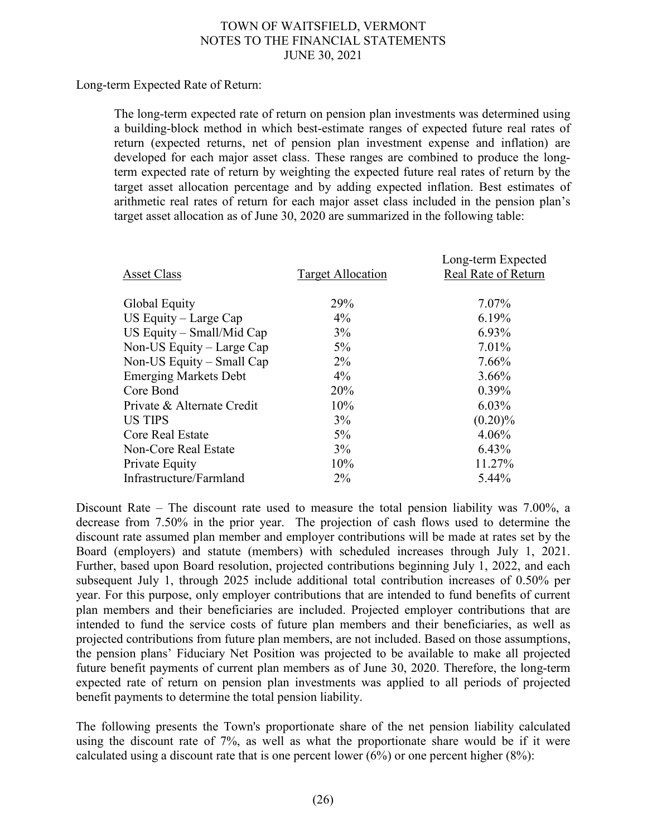Long-term Expected Rate of Return:

The long-term expected rate of return on pension plan investments was determined using a building-block method in which best-estimate ranges of expected future real rates of return (expected returns, net of pension plan investment expense and inflation) are developed for each major asset class. These ranges are combined to produce the longterm expected rate of return by weighting the expected future real rates of return by the target asset allocation percentage and by adding expected inflation. Best estimates of arithmetic real rates of return for each major asset class included in the pension plan's target asset allocation as of June 30, 2020 are summarized in the following table:

| <b>Asset Class</b>           | <b>Target Allocation</b> | Long-term Expected<br>Real Rate of Return |
|------------------------------|--------------------------|-------------------------------------------|
| Global Equity                | 29%                      | 7.07%                                     |
| US Equity $-$ Large Cap      | $4\%$                    | 6.19%                                     |
| US Equity $-$ Small/Mid Cap  | $3\%$                    | 6.93%                                     |
| Non-US Equity – Large Cap    | $5\%$                    | $7.01\%$                                  |
| Non-US Equity – Small Cap    | $2\%$                    | 7.66%                                     |
| <b>Emerging Markets Debt</b> | $4\%$                    | $3.66\%$                                  |
| Core Bond                    | 20%                      | $0.39\%$                                  |
| Private & Alternate Credit   | 10%                      | $6.03\%$                                  |
| <b>US TIPS</b>               | $3\%$                    | $(0.20)\%$                                |
| Core Real Estate             | 5%                       | 4.06%                                     |
| Non-Core Real Estate         | $3\%$                    | 6.43%                                     |
| Private Equity               | 10%                      | 11.27%                                    |
| Infrastructure/Farmland      | $2\%$                    | 5.44%                                     |
|                              |                          |                                           |

Discount Rate – The discount rate used to measure the total pension liability was 7.00%, a decrease from 7.50% in the prior year. The projection of cash flows used to determine the discount rate assumed plan member and employer contributions will be made at rates set by the Board (employers) and statute (members) with scheduled increases through July 1, 2021. Further, based upon Board resolution, projected contributions beginning July 1, 2022, and each subsequent July 1, through 2025 include additional total contribution increases of 0.50% per year. For this purpose, only employer contributions that are intended to fund benefits of current plan members and their beneficiaries are included. Projected employer contributions that are intended to fund the service costs of future plan members and their beneficiaries, as well as projected contributions from future plan members, are not included. Based on those assumptions, the pension plans' Fiduciary Net Position was projected to be available to make all projected future benefit payments of current plan members as of June 30, 2020. Therefore, the long-term expected rate of return on pension plan investments was applied to all periods of projected benefit payments to determine the total pension liability.

The following presents the Town's proportionate share of the net pension liability calculated using the discount rate of 7%, as well as what the proportionate share would be if it were calculated using a discount rate that is one percent lower (6%) or one percent higher (8%):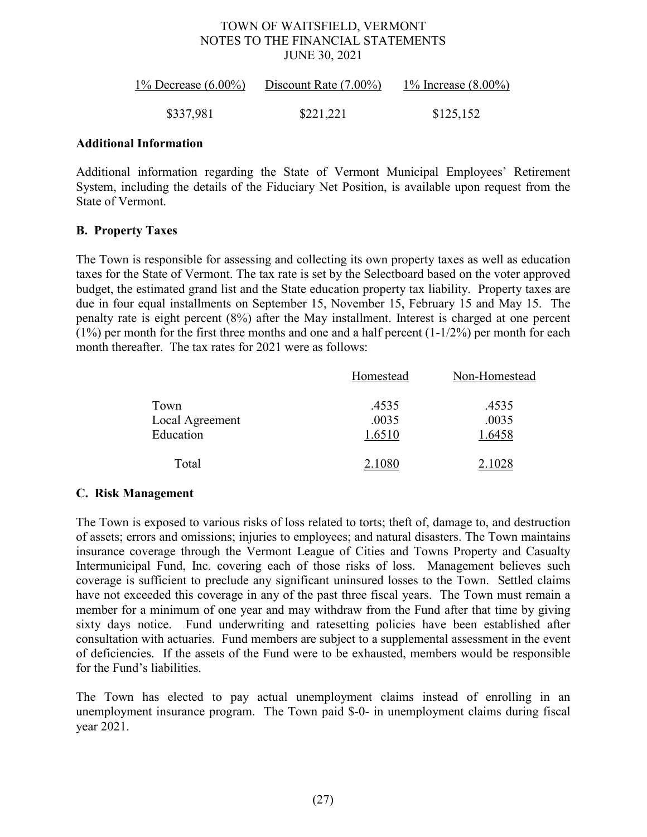| 1% Decrease $(6.00\%)$ | Discount Rate $(7.00\%)$ | 1% Increase $(8.00\%)$ |
|------------------------|--------------------------|------------------------|
| \$337,981              | \$221,221                | \$125,152              |

#### **Additional Information**

Additional information regarding the State of Vermont Municipal Employees' Retirement System, including the details of the Fiduciary Net Position, is available upon request from the State of Vermont.

### **B. Property Taxes**

The Town is responsible for assessing and collecting its own property taxes as well as education taxes for the State of Vermont. The tax rate is set by the Selectboard based on the voter approved budget, the estimated grand list and the State education property tax liability. Property taxes are due in four equal installments on September 15, November 15, February 15 and May 15. The penalty rate is eight percent (8%) after the May installment. Interest is charged at one percent  $(1\%)$  per month for the first three months and one and a half percent  $(1-1/2\%)$  per month for each month thereafter. The tax rates for 2021 were as follows:

|                 | Homestead | Non-Homestead |
|-----------------|-----------|---------------|
| Town            | .4535     | .4535         |
| Local Agreement | .0035     | .0035         |
| Education       | 1.6510    | 1.6458        |
| Total           | 2.1080    | 2.1028        |

# **C. Risk Management**

The Town is exposed to various risks of loss related to torts; theft of, damage to, and destruction of assets; errors and omissions; injuries to employees; and natural disasters. The Town maintains insurance coverage through the Vermont League of Cities and Towns Property and Casualty Intermunicipal Fund, Inc. covering each of those risks of loss. Management believes such coverage is sufficient to preclude any significant uninsured losses to the Town. Settled claims have not exceeded this coverage in any of the past three fiscal years. The Town must remain a member for a minimum of one year and may withdraw from the Fund after that time by giving sixty days notice. Fund underwriting and ratesetting policies have been established after consultation with actuaries. Fund members are subject to a supplemental assessment in the event of deficiencies. If the assets of the Fund were to be exhausted, members would be responsible for the Fund's liabilities.

The Town has elected to pay actual unemployment claims instead of enrolling in an unemployment insurance program. The Town paid \$-0- in unemployment claims during fiscal year 2021.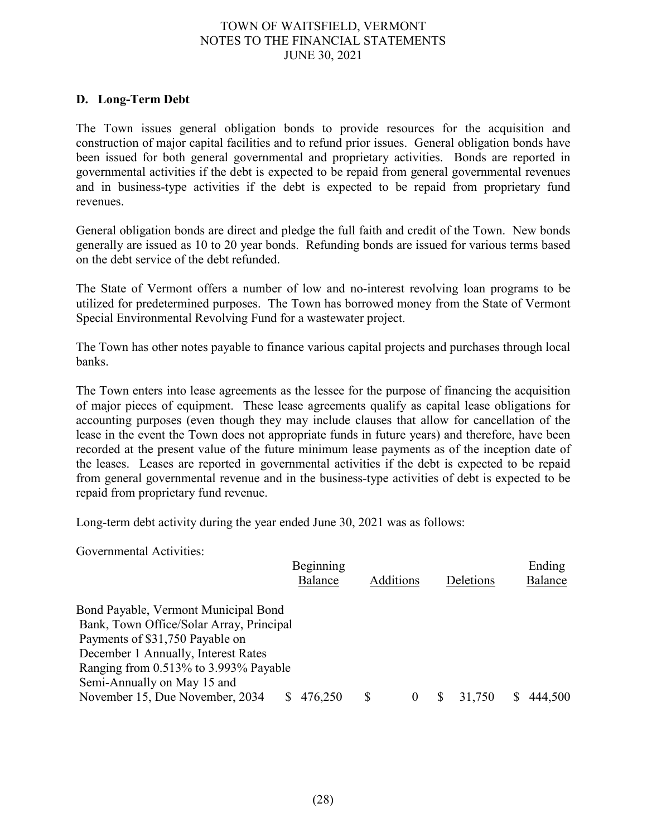## **D. Long-Term Debt**

The Town issues general obligation bonds to provide resources for the acquisition and construction of major capital facilities and to refund prior issues. General obligation bonds have been issued for both general governmental and proprietary activities. Bonds are reported in governmental activities if the debt is expected to be repaid from general governmental revenues and in business-type activities if the debt is expected to be repaid from proprietary fund revenues.

General obligation bonds are direct and pledge the full faith and credit of the Town. New bonds generally are issued as 10 to 20 year bonds. Refunding bonds are issued for various terms based on the debt service of the debt refunded.

The State of Vermont offers a number of low and no-interest revolving loan programs to be utilized for predetermined purposes. The Town has borrowed money from the State of Vermont Special Environmental Revolving Fund for a wastewater project.

The Town has other notes payable to finance various capital projects and purchases through local banks.

The Town enters into lease agreements as the lessee for the purpose of financing the acquisition of major pieces of equipment. These lease agreements qualify as capital lease obligations for accounting purposes (even though they may include clauses that allow for cancellation of the lease in the event the Town does not appropriate funds in future years) and therefore, have been recorded at the present value of the future minimum lease payments as of the inception date of the leases. Leases are reported in governmental activities if the debt is expected to be repaid from general governmental revenue and in the business-type activities of debt is expected to be repaid from proprietary fund revenue.

Long-term debt activity during the year ended June 30, 2021 was as follows:

Governmental Activities:

|                                          | Beginning |           |  |           | Ending  |
|------------------------------------------|-----------|-----------|--|-----------|---------|
|                                          | Balance   | Additions |  | Deletions | Balance |
| Bond Payable, Vermont Municipal Bond     |           |           |  |           |         |
| Bank, Town Office/Solar Array, Principal |           |           |  |           |         |
| Payments of \$31,750 Payable on          |           |           |  |           |         |
| December 1 Annually, Interest Rates      |           |           |  |           |         |
| Ranging from 0.513% to 3.993% Payable    |           |           |  |           |         |
| Semi-Annually on May 15 and              |           |           |  |           |         |
| November 15, Due November, 2034          | 476,250   | \$        |  | 31,750    | 444,500 |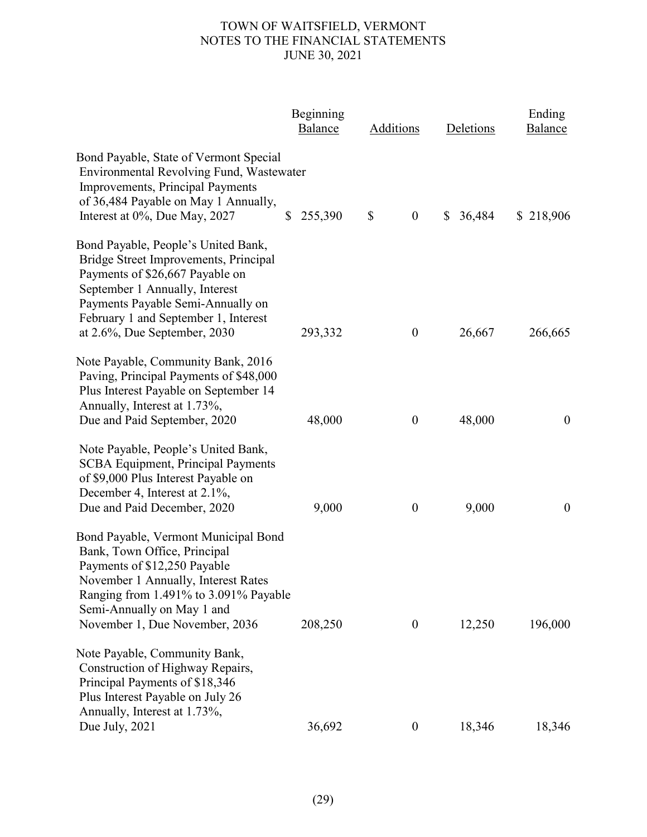|                                                                                                                                                                                                                                                                | Beginning<br>Balance    | Additions                                     | Deletions              | Ending<br>Balance |
|----------------------------------------------------------------------------------------------------------------------------------------------------------------------------------------------------------------------------------------------------------------|-------------------------|-----------------------------------------------|------------------------|-------------------|
| Bond Payable, State of Vermont Special<br>Environmental Revolving Fund, Wastewater<br>Improvements, Principal Payments<br>of 36,484 Payable on May 1 Annually,<br>Interest at 0%, Due May, 2027                                                                | 255,390<br>$\mathbb{S}$ | $\boldsymbol{\mathsf{S}}$<br>$\boldsymbol{0}$ | 36,484<br>$\mathbb{S}$ | \$218,906         |
| Bond Payable, People's United Bank,<br>Bridge Street Improvements, Principal<br>Payments of \$26,667 Payable on<br>September 1 Annually, Interest<br>Payments Payable Semi-Annually on<br>February 1 and September 1, Interest<br>at 2.6%, Due September, 2030 | 293,332                 | $\boldsymbol{0}$                              | 26,667                 | 266,665           |
| Note Payable, Community Bank, 2016<br>Paving, Principal Payments of \$48,000<br>Plus Interest Payable on September 14<br>Annually, Interest at 1.73%,<br>Due and Paid September, 2020                                                                          | 48,000                  | $\boldsymbol{0}$                              | 48,000                 | $\boldsymbol{0}$  |
| Note Payable, People's United Bank,<br><b>SCBA Equipment, Principal Payments</b><br>of \$9,000 Plus Interest Payable on<br>December 4, Interest at 2.1%,<br>Due and Paid December, 2020                                                                        | 9,000                   | $\boldsymbol{0}$                              | 9,000                  | $\boldsymbol{0}$  |
| Bond Payable, Vermont Municipal Bond<br>Bank, Town Office, Principal<br>Payments of \$12,250 Payable<br>November 1 Annually, Interest Rates<br>Ranging from 1.491% to 3.091% Payable<br>Semi-Annually on May 1 and<br>November 1, Due November, 2036           | 208,250                 | $\boldsymbol{0}$                              | 12,250                 | 196,000           |
| Note Payable, Community Bank,<br>Construction of Highway Repairs,<br>Principal Payments of \$18,346<br>Plus Interest Payable on July 26<br>Annually, Interest at 1.73%,                                                                                        |                         | $\boldsymbol{0}$                              |                        |                   |
| Due July, 2021                                                                                                                                                                                                                                                 | 36,692                  |                                               | 18,346                 | 18,346            |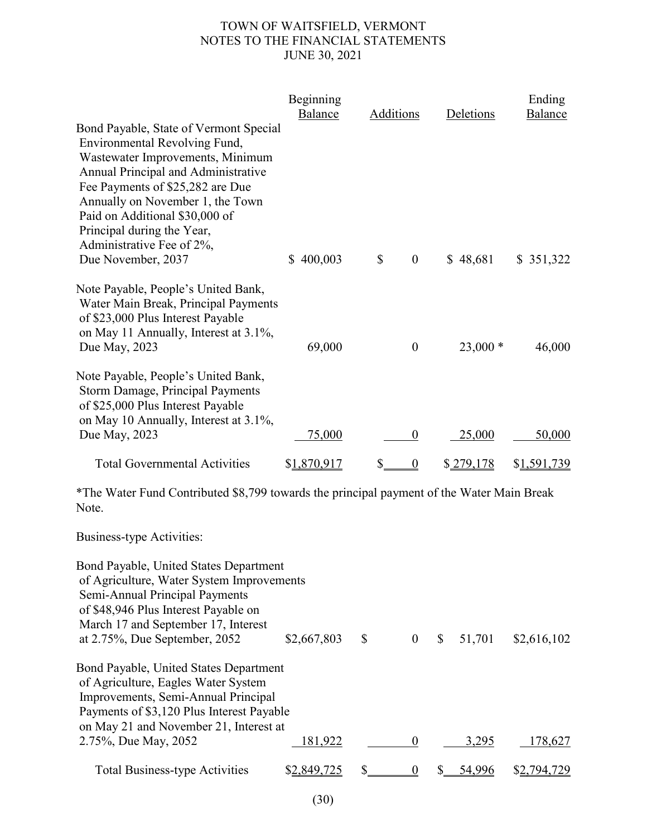|                                                                                                                                                                                                                                                                                                                                               | Beginning<br>Balance | Additions                        | Deletions | Ending<br><b>Balance</b> |
|-----------------------------------------------------------------------------------------------------------------------------------------------------------------------------------------------------------------------------------------------------------------------------------------------------------------------------------------------|----------------------|----------------------------------|-----------|--------------------------|
| Bond Payable, State of Vermont Special<br>Environmental Revolving Fund,<br>Wastewater Improvements, Minimum<br>Annual Principal and Administrative<br>Fee Payments of \$25,282 are Due<br>Annually on November 1, the Town<br>Paid on Additional \$30,000 of<br>Principal during the Year,<br>Administrative Fee of 2%,<br>Due November, 2037 | 400,003<br>S.        | $\mathbb{S}$<br>$\boldsymbol{0}$ | \$48,681  | \$ 351,322               |
| Note Payable, People's United Bank,<br>Water Main Break, Principal Payments<br>of \$23,000 Plus Interest Payable<br>on May 11 Annually, Interest at 3.1%,<br>Due May, 2023                                                                                                                                                                    | 69,000               | $\theta$                         | $23,000*$ | 46,000                   |
| Note Payable, People's United Bank,<br>Storm Damage, Principal Payments<br>of \$25,000 Plus Interest Payable<br>on May 10 Annually, Interest at 3.1%,<br>Due May, 2023                                                                                                                                                                        | 75,000               | $\boldsymbol{0}$                 | 25,000    | 50,000                   |
| <b>Total Governmental Activities</b>                                                                                                                                                                                                                                                                                                          | \$1,870,917          | \$<br>0                          | \$279,178 | \$1,591,739              |

\*The Water Fund Contributed \$8,799 towards the principal payment of the Water Main Break Note.

Business-type Activities:

| <b>Bond Payable, United States Department</b><br>of Agriculture, Water System Improvements<br>Semi-Annual Principal Payments<br>of \$48,946 Plus Interest Payable on<br>March 17 and September 17, Interest        |             |                |              |        |             |
|--------------------------------------------------------------------------------------------------------------------------------------------------------------------------------------------------------------------|-------------|----------------|--------------|--------|-------------|
| at 2.75%, Due September, 2052                                                                                                                                                                                      | \$2,667,803 | \$<br>$\theta$ | $\mathbb{S}$ | 51,701 | \$2,616,102 |
| <b>Bond Payable, United States Department</b><br>of Agriculture, Eagles Water System<br>Improvements, Semi-Annual Principal<br>Payments of \$3,120 Plus Interest Payable<br>on May 21 and November 21, Interest at |             |                |              |        |             |
| 2.75%, Due May, 2052                                                                                                                                                                                               | 181,922     |                |              | 3,295  | 178,627     |
| <b>Total Business-type Activities</b>                                                                                                                                                                              |             |                |              |        |             |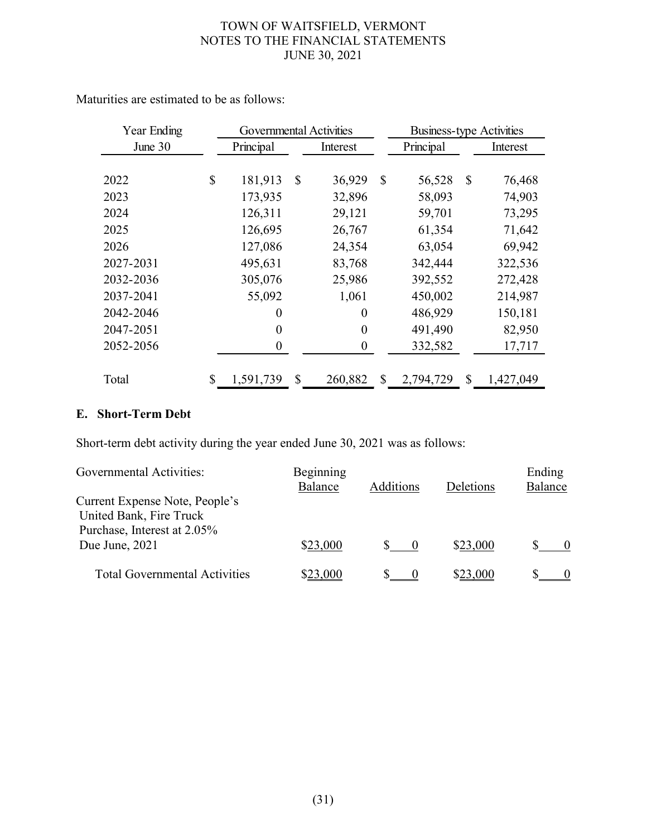| Year Ending | <b>Governmental Activities</b> |    |                  |              | <b>Business-type Activities</b> |          |           |
|-------------|--------------------------------|----|------------------|--------------|---------------------------------|----------|-----------|
| June 30     | Principal                      |    | Interest         |              | Principal                       | Interest |           |
|             |                                |    |                  |              |                                 |          |           |
| 2022        | \$<br>181,913                  | S  | 36,929           | $\mathbb{S}$ | 56,528                          | \$       | 76,468    |
| 2023        | 173,935                        |    | 32,896           |              | 58,093                          |          | 74,903    |
| 2024        | 126,311                        |    | 29,121           |              | 59,701                          |          | 73,295    |
| 2025        | 126,695                        |    | 26,767           |              | 61,354                          |          | 71,642    |
| 2026        | 127,086                        |    | 24,354           |              | 63,054                          |          | 69,942    |
| 2027-2031   | 495,631                        |    | 83,768           |              | 342,444                         |          | 322,536   |
| 2032-2036   | 305,076                        |    | 25,986           |              | 392,552                         |          | 272,428   |
| 2037-2041   | 55,092                         |    | 1,061            |              | 450,002                         |          | 214,987   |
| 2042-2046   | 0                              |    | 0                |              | 486,929                         |          | 150,181   |
| 2047-2051   | 0                              |    | $\theta$         |              | 491,490                         |          | 82,950    |
| 2052-2056   | 0                              |    | $\boldsymbol{0}$ |              | 332,582                         |          | 17,717    |
|             |                                |    |                  |              |                                 |          |           |
| Total       | \$<br>1,591,739                | \$ | 260,882          | \$           | 2,794,729                       | \$       | 1,427,049 |

Maturities are estimated to be as follows:

# **E. Short-Term Debt**

Short-term debt activity during the year ended June 30, 2021 was as follows:

| Governmental Activities:                                  | Beginning<br>Balance | Additions | Deletions | Ending<br>Balance |
|-----------------------------------------------------------|----------------------|-----------|-----------|-------------------|
| Current Expense Note, People's<br>United Bank, Fire Truck |                      |           |           |                   |
| Purchase, Interest at 2.05%                               |                      |           |           |                   |
| Due June, 2021                                            | \$23,000             |           | \$23,000  |                   |
| <b>Total Governmental Activities</b>                      | \$23,000             |           | \$23,000  |                   |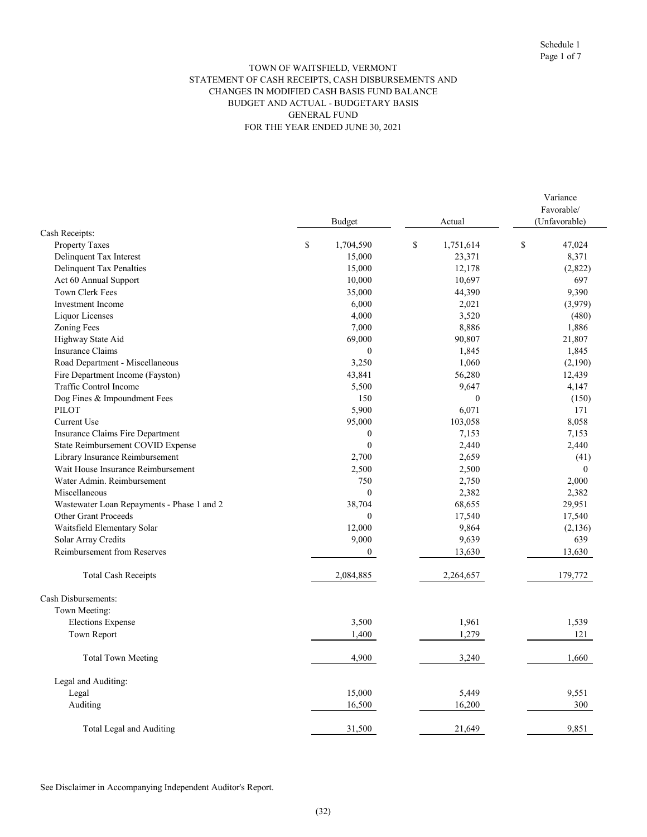#### TOWN OF WAITSFIELD, VERMONT STATEMENT OF CASH RECEIPTS, CASH DISBURSEMENTS AND CHANGES IN MODIFIED CASH BASIS FUND BALANCE BUDGET AND ACTUAL - BUDGETARY BASIS GENERAL FUND FOR THE YEAR ENDED JUNE 30, 2021

|                                            | Budget            | Actual                   | Variance<br>Favorable/<br>(Unfavorable) |  |
|--------------------------------------------|-------------------|--------------------------|-----------------------------------------|--|
| Cash Receipts:                             |                   |                          |                                         |  |
| <b>Property Taxes</b>                      | $\$$<br>1,704,590 | $\mathbb S$<br>1,751,614 | \$<br>47,024                            |  |
| Delinquent Tax Interest                    | 15,000            | 23,371                   | 8,371                                   |  |
| Delinquent Tax Penalties                   | 15,000            | 12,178                   | (2,822)                                 |  |
| Act 60 Annual Support                      | 10,000            | 10,697                   | 697                                     |  |
| Town Clerk Fees                            | 35,000            | 44,390                   | 9,390                                   |  |
| <b>Investment</b> Income                   | 6,000             | 2,021                    | (3,979)                                 |  |
| Liquor Licenses                            | 4,000             | 3,520                    | (480)                                   |  |
| <b>Zoning Fees</b>                         | 7,000             | 8,886                    | 1,886                                   |  |
| Highway State Aid                          | 69,000            | 90,807                   | 21,807                                  |  |
| <b>Insurance Claims</b>                    | $\mathbf{0}$      | 1,845                    | 1,845                                   |  |
| Road Department - Miscellaneous            | 3,250             | 1,060                    | (2,190)                                 |  |
| Fire Department Income (Fayston)           | 43,841            | 56,280                   | 12,439                                  |  |
| Traffic Control Income                     | 5,500             | 9,647                    | 4,147                                   |  |
| Dog Fines & Impoundment Fees               | 150               | $\theta$                 | (150)                                   |  |
| PILOT                                      | 5,900             | 6,071                    | 171                                     |  |
| <b>Current Use</b>                         | 95,000            | 103,058                  | 8,058                                   |  |
| Insurance Claims Fire Department           | $\mathbf{0}$      | 7,153                    | 7,153                                   |  |
| State Reimbursement COVID Expense          | $\mathbf{0}$      | 2,440                    | 2,440                                   |  |
| Library Insurance Reimbursement            | 2,700             | 2,659                    | (41)                                    |  |
| Wait House Insurance Reimbursement         | 2,500             | 2,500                    | $\mathbf{0}$                            |  |
| Water Admin. Reimbursement                 | 750               | 2,750                    | 2,000                                   |  |
| Miscellaneous                              | $\mathbf{0}$      | 2,382                    | 2,382                                   |  |
| Wastewater Loan Repayments - Phase 1 and 2 | 38,704            | 68,655                   | 29,951                                  |  |
| Other Grant Proceeds                       | $\mathbf{0}$      | 17,540                   | 17,540                                  |  |
| Waitsfield Elementary Solar                | 12,000            | 9,864                    | (2,136)                                 |  |
| Solar Array Credits                        | 9,000             | 9,639                    | 639                                     |  |
| <b>Reimbursement from Reserves</b>         | $\mathbf{0}$      | 13,630                   | 13,630                                  |  |
| <b>Total Cash Receipts</b>                 | 2,084,885         | 2,264,657                | 179,772                                 |  |
| Cash Disbursements:                        |                   |                          |                                         |  |
| Town Meeting:                              |                   |                          |                                         |  |
| <b>Elections Expense</b>                   | 3,500             | 1,961                    | 1,539                                   |  |
| Town Report                                | 1,400             | 1,279                    | 121                                     |  |
| <b>Total Town Meeting</b>                  | 4,900             | 3,240                    | 1,660                                   |  |
| Legal and Auditing:                        |                   |                          |                                         |  |
| Legal                                      | 15,000            | 5,449                    | 9,551                                   |  |
| Auditing                                   | 16,500            | 16,200                   | 300                                     |  |
| Total Legal and Auditing                   | 31,500            | 21,649                   | 9,851                                   |  |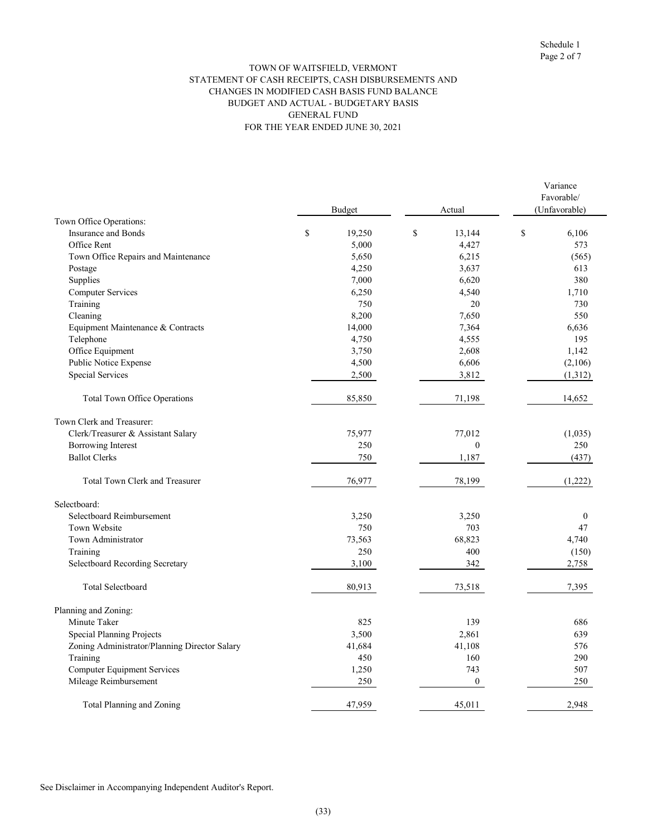#### GENERAL FUND FOR THE YEAR ENDED JUNE 30, 2021 TOWN OF WAITSFIELD, VERMONT STATEMENT OF CASH RECEIPTS, CASH DISBURSEMENTS AND CHANGES IN MODIFIED CASH BASIS FUND BALANCE BUDGET AND ACTUAL - BUDGETARY BASIS

|                                               | <b>Budget</b> |    | Actual       | Variance<br>Favorable/<br>(Unfavorable) |              |  |  |
|-----------------------------------------------|---------------|----|--------------|-----------------------------------------|--------------|--|--|
| Town Office Operations:                       |               |    |              |                                         |              |  |  |
| <b>Insurance and Bonds</b>                    | \$<br>19,250  | \$ | 13,144       | \$                                      | 6,106        |  |  |
| Office Rent                                   | 5,000         |    | 4,427        |                                         | 573          |  |  |
| Town Office Repairs and Maintenance           | 5,650         |    | 6,215        |                                         | (565)        |  |  |
| Postage                                       | 4,250         |    | 3,637        |                                         | 613          |  |  |
| Supplies                                      | 7,000         |    | 6,620        |                                         | 380          |  |  |
| Computer Services                             | 6,250         |    | 4,540        |                                         | 1,710        |  |  |
| Training                                      | 750           |    | 20           |                                         | 730          |  |  |
| Cleaning                                      | 8,200         |    | 7,650        |                                         | 550          |  |  |
| Equipment Maintenance & Contracts             | 14,000        |    | 7,364        |                                         | 6,636        |  |  |
| Telephone                                     | 4,750         |    | 4,555        |                                         | 195          |  |  |
| Office Equipment                              | 3,750         |    | 2,608        |                                         | 1,142        |  |  |
| Public Notice Expense                         | 4,500         |    | 6,606        |                                         | (2,106)      |  |  |
| <b>Special Services</b>                       | 2,500         |    | 3,812        |                                         | (1,312)      |  |  |
| Total Town Office Operations                  | 85,850        |    | 71,198       |                                         | 14,652       |  |  |
| Town Clerk and Treasurer:                     |               |    |              |                                         |              |  |  |
| Clerk/Treasurer & Assistant Salary            | 75,977        |    | 77,012       |                                         | (1,035)      |  |  |
| Borrowing Interest                            | 250           |    | $\mathbf{0}$ |                                         | 250          |  |  |
| <b>Ballot Clerks</b>                          | 750           |    | 1,187        |                                         | (437)        |  |  |
| Total Town Clerk and Treasurer                | 76,977        |    | 78,199       |                                         | (1,222)      |  |  |
| Selectboard:                                  |               |    |              |                                         |              |  |  |
| Selectboard Reimbursement                     | 3,250         |    | 3,250        |                                         | $\mathbf{0}$ |  |  |
| Town Website                                  | 750           |    | 703          |                                         | 47           |  |  |
| Town Administrator                            | 73,563        |    | 68,823       |                                         | 4,740        |  |  |
| Training                                      | 250           |    | 400          |                                         | (150)        |  |  |
| Selectboard Recording Secretary               | 3,100         |    | 342          |                                         | 2,758        |  |  |
| <b>Total Selectboard</b>                      | 80,913        |    | 73,518       |                                         | 7,395        |  |  |
| Planning and Zoning:                          |               |    |              |                                         |              |  |  |
| Minute Taker                                  | 825           |    | 139          |                                         | 686          |  |  |
| <b>Special Planning Projects</b>              | 3,500         |    | 2,861        |                                         | 639          |  |  |
| Zoning Administrator/Planning Director Salary | 41,684        |    | 41,108       |                                         | 576          |  |  |
| Training                                      | 450           |    | 160          |                                         | 290          |  |  |
| <b>Computer Equipment Services</b>            | 1,250         |    | 743          |                                         | 507          |  |  |
| Mileage Reimbursement                         | 250           |    | $\mathbf{0}$ |                                         | 250          |  |  |
| Total Planning and Zoning                     | 47,959        |    | 45,011       |                                         | 2,948        |  |  |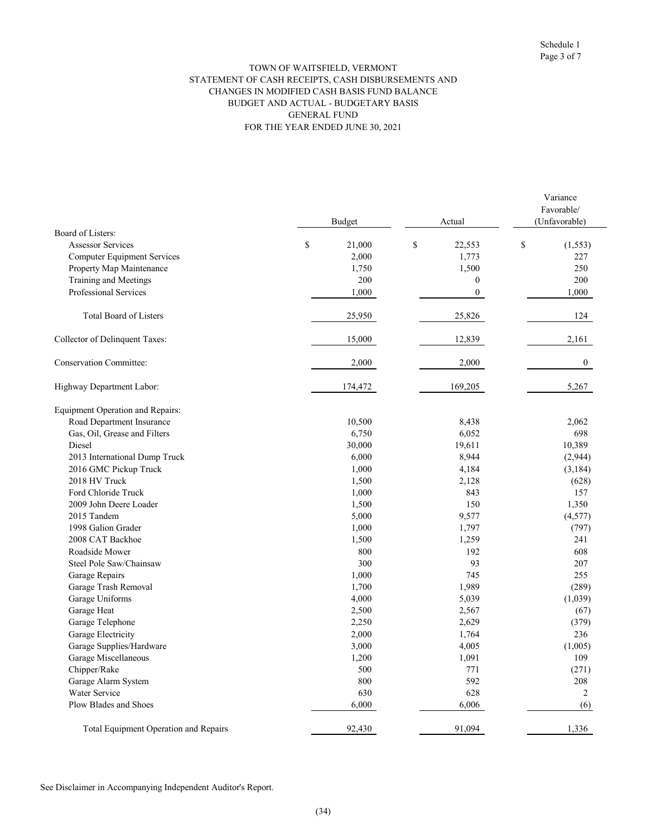#### GENERAL FUND FOR THE YEAR ENDED JUNE 30, 2021 TOWN OF WAITSFIELD, VERMONT STATEMENT OF CASH RECEIPTS, CASH DISBURSEMENTS AND CHANGES IN MODIFIED CASH BASIS FUND BALANCE BUDGET AND ACTUAL - BUDGETARY BASIS

|                                         | Budget       | Actual                 | Variance<br>Favorable/<br>(Unfavorable) |
|-----------------------------------------|--------------|------------------------|-----------------------------------------|
| Board of Listers:                       |              |                        |                                         |
| <b>Assessor Services</b>                | \$<br>21,000 | $\mathbb{S}$<br>22,553 | \$<br>(1, 553)                          |
| <b>Computer Equipment Services</b>      | 2,000        | 1,773                  | 227                                     |
| Property Map Maintenance                | 1,750        | 1,500                  | 250                                     |
| Training and Meetings                   | 200          | $\boldsymbol{0}$       | 200                                     |
| Professional Services                   | 1,000        | $\boldsymbol{0}$       | 1,000                                   |
| <b>Total Board of Listers</b>           | 25,950       | 25,826                 | 124                                     |
| <b>Collector of Delinquent Taxes:</b>   | 15,000       | 12,839                 | 2,161                                   |
| <b>Conservation Committee:</b>          | 2,000        | 2,000                  | $\boldsymbol{0}$                        |
| Highway Department Labor:               | 174,472      | 169,205                | 5,267                                   |
| <b>Equipment Operation and Repairs:</b> |              |                        |                                         |
| Road Department Insurance               | 10,500       | 8,438                  | 2,062                                   |
| Gas, Oil, Grease and Filters            | 6,750        | 6,052                  | 698                                     |
| Diesel                                  | 30,000       | 19,611                 | 10,389                                  |
| 2013 International Dump Truck           | 6,000        | 8,944                  | (2,944)                                 |
| 2016 GMC Pickup Truck                   | 1,000        | 4,184                  | (3, 184)                                |
| 2018 HV Truck                           | 1,500        | 2,128                  | (628)                                   |
| Ford Chloride Truck                     | 1,000        | 843                    | 157                                     |
| 2009 John Deere Loader                  | 1,500        | 150                    | 1,350                                   |
| 2015 Tandem                             | 5,000        | 9,577                  | (4, 577)                                |
| 1998 Galion Grader                      | 1,000        | 1,797                  | (797)                                   |
| 2008 CAT Backhoe                        | 1,500        | 1,259                  | 241                                     |
| Roadside Mower                          | 800          | 192                    | 608                                     |
| Steel Pole Saw/Chainsaw                 | 300          | 93                     | 207                                     |
| Garage Repairs                          | 1,000        | 745                    | 255                                     |
| Garage Trash Removal                    | 1,700        | 1,989                  | (289)                                   |
| Garage Uniforms                         | 4,000        | 5,039                  | (1,039)                                 |
| Garage Heat                             | 2,500        | 2,567                  | (67)                                    |
| Garage Telephone                        | 2,250        | 2,629                  | (379)                                   |
| Garage Electricity                      | 2,000        | 1,764                  | 236                                     |
| Garage Supplies/Hardware                | 3,000        | 4,005                  | (1,005)                                 |
| Garage Miscellaneous                    | 1,200        | 1,091                  | 109                                     |
| Chipper/Rake                            | 500          | 771                    | (271)                                   |
| Garage Alarm System                     | 800          | 592                    | 208                                     |
| Water Service                           | 630          | 628                    | 2                                       |
| Plow Blades and Shoes                   | 6,000        | 6,006                  | (6)                                     |
| Total Equipment Operation and Repairs   | 92,430       | 91,094                 | 1,336                                   |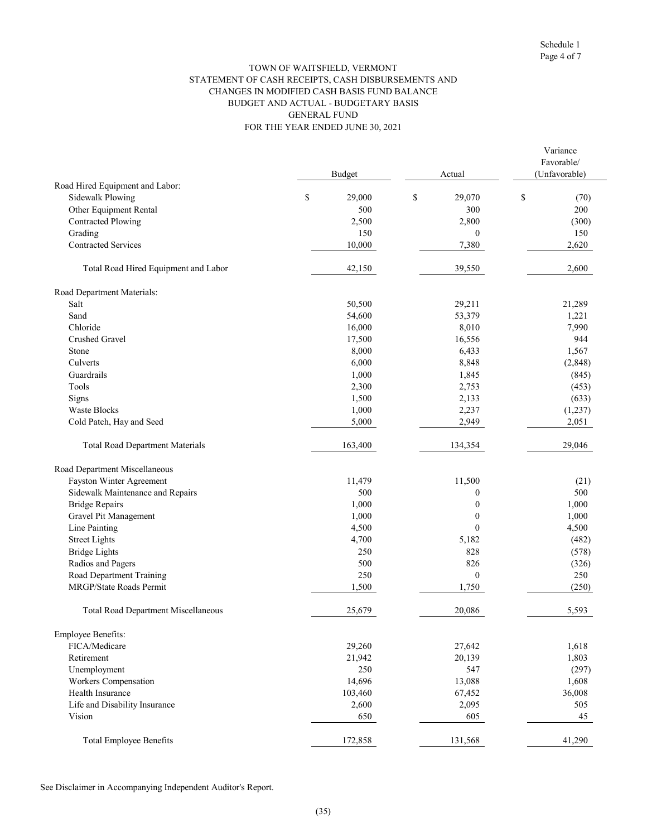#### FOR THE YEAR ENDED JUNE 30, 2021 TOWN OF WAITSFIELD, VERMONT STATEMENT OF CASH RECEIPTS, CASH DISBURSEMENTS AND CHANGES IN MODIFIED CASH BASIS FUND BALANCE BUDGET AND ACTUAL - BUDGETARY BASIS GENERAL FUND

|                                                            |               |    |                   | Variance<br>Favorable/ |  |
|------------------------------------------------------------|---------------|----|-------------------|------------------------|--|
|                                                            | <b>Budget</b> |    | Actual            | (Unfavorable)          |  |
| Road Hired Equipment and Labor:<br><b>Sidewalk Plowing</b> | \$<br>29,000  | \$ | 29,070            | \$<br>(70)             |  |
| Other Equipment Rental                                     | 500           |    | 300               | 200                    |  |
| <b>Contracted Plowing</b>                                  |               |    |                   |                        |  |
| Grading                                                    | 2,500<br>150  |    | 2,800<br>$\theta$ | (300)<br>150           |  |
| <b>Contracted Services</b>                                 | 10,000        |    | 7,380             | 2,620                  |  |
|                                                            |               |    |                   |                        |  |
| Total Road Hired Equipment and Labor                       | 42,150        |    | 39,550            | 2,600                  |  |
| Road Department Materials:                                 |               |    |                   |                        |  |
| Salt                                                       | 50,500        |    | 29,211            | 21,289                 |  |
| Sand                                                       | 54,600        |    | 53,379            | 1,221                  |  |
| Chloride                                                   | 16,000        |    | 8,010             | 7,990                  |  |
| Crushed Gravel                                             | 17,500        |    | 16,556            | 944                    |  |
| Stone                                                      | 8,000         |    | 6,433             | 1,567                  |  |
| Culverts                                                   | 6,000         |    | 8,848             | (2,848)                |  |
| Guardrails                                                 | 1,000         |    | 1,845             | (845)                  |  |
| Tools                                                      | 2,300         |    | 2,753             | (453)                  |  |
| Signs                                                      | 1,500         |    | 2,133             | (633)                  |  |
| <b>Waste Blocks</b>                                        | 1,000         |    | 2,237             | (1,237)                |  |
| Cold Patch, Hay and Seed                                   | 5,000         |    | 2,949             | 2,051                  |  |
| <b>Total Road Department Materials</b>                     | 163,400       |    | 134,354           | 29,046                 |  |
| Road Department Miscellaneous                              |               |    |                   |                        |  |
| Fayston Winter Agreement                                   | 11,479        |    | 11,500            | (21)                   |  |
| Sidewalk Maintenance and Repairs                           | 500           |    | $\boldsymbol{0}$  | 500                    |  |
| <b>Bridge Repairs</b>                                      | 1,000         |    | $\boldsymbol{0}$  | 1,000                  |  |
| Gravel Pit Management                                      | 1,000         |    | $\boldsymbol{0}$  | 1,000                  |  |
| Line Painting                                              | 4,500         |    | $\theta$          | 4,500                  |  |
| <b>Street Lights</b>                                       | 4,700         |    | 5,182             | (482)                  |  |
| <b>Bridge Lights</b>                                       | 250           |    | 828               | (578)                  |  |
| Radios and Pagers                                          | 500           |    | 826               | (326)                  |  |
| Road Department Training                                   | 250           |    | $\mathbf{0}$      | 250                    |  |
| MRGP/State Roads Permit                                    | 1,500         |    | 1,750             | (250)                  |  |
| <b>Total Road Department Miscellaneous</b>                 | 25,679        |    | 20,086            | 5,593                  |  |
| <b>Employee Benefits:</b>                                  |               |    |                   |                        |  |
| FICA/Medicare                                              | 29,260        |    | 27,642            | 1,618                  |  |
| Retirement                                                 | 21,942        |    | 20,139            | 1,803                  |  |
| Unemployment                                               | 250           |    | 547               | (297)                  |  |
| Workers Compensation                                       | 14,696        |    | 13,088            | 1,608                  |  |
| Health Insurance                                           | 103,460       |    | 67,452            | 36,008                 |  |
| Life and Disability Insurance                              | 2,600         |    | 2,095             | 505                    |  |
| Vision                                                     | 650           |    | 605               | 45                     |  |
| <b>Total Employee Benefits</b>                             | 172,858       |    | 131,568           | 41,290                 |  |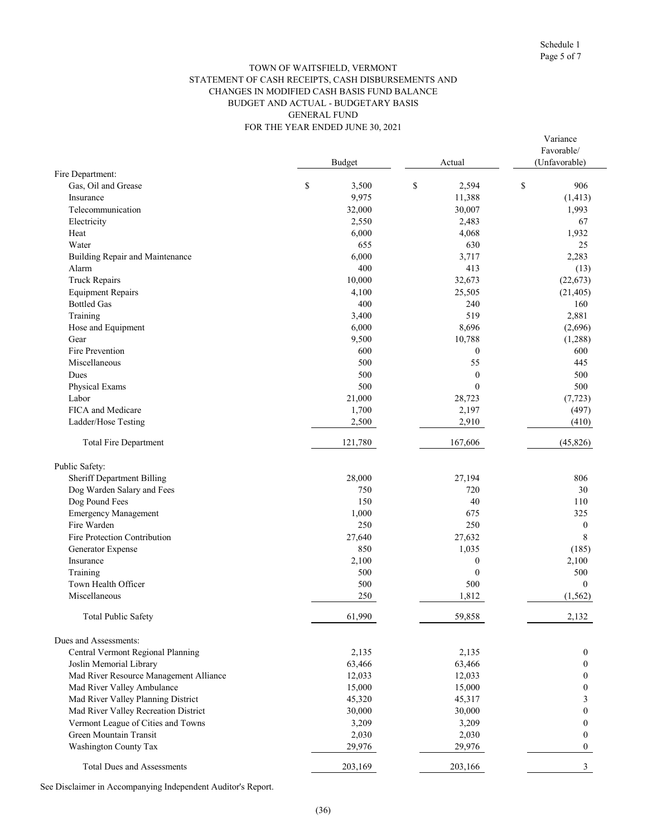Variance

#### FOR THE YEAR ENDED JUNE 30, 2021 TOWN OF WAITSFIELD, VERMONT STATEMENT OF CASH RECEIPTS, CASH DISBURSEMENTS AND CHANGES IN MODIFIED CASH BASIS FUND BALANCE BUDGET AND ACTUAL - BUDGETARY BASIS GENERAL FUND

|                                        | Budget      | Actual           | Favorable/<br>(Unfavorable) |  |  |
|----------------------------------------|-------------|------------------|-----------------------------|--|--|
| Fire Department:                       |             |                  |                             |  |  |
| Gas, Oil and Grease                    | \$<br>3,500 | \$<br>2,594      | \$<br>906                   |  |  |
| Insurance                              | 9,975       | 11,388           | (1, 413)                    |  |  |
| Telecommunication                      | 32,000      | 30,007           | 1,993                       |  |  |
| Electricity                            | 2,550       | 2,483            | 67                          |  |  |
| Heat                                   | 6,000       | 4,068            | 1,932                       |  |  |
| Water                                  | 655         | 630              | 25                          |  |  |
| Building Repair and Maintenance        | 6,000       | 3,717            | 2,283                       |  |  |
| Alarm                                  | 400         | 413              | (13)                        |  |  |
| <b>Truck Repairs</b>                   | 10,000      | 32,673           | (22, 673)                   |  |  |
| <b>Equipment Repairs</b>               | 4,100       | 25,505           | (21, 405)                   |  |  |
| <b>Bottled Gas</b>                     | 400         | 240              | 160                         |  |  |
| Training                               | 3,400       | 519              | 2,881                       |  |  |
| Hose and Equipment                     | 6,000       | 8,696            | (2,696)                     |  |  |
| Gear                                   | 9,500       | 10,788           | (1,288)                     |  |  |
| Fire Prevention                        | 600         | $\boldsymbol{0}$ | 600                         |  |  |
| Miscellaneous                          | 500         | 55               | 445                         |  |  |
| Dues                                   | 500         | $\mathbf{0}$     | 500                         |  |  |
| Physical Exams                         | 500         | $\mathbf{0}$     | 500                         |  |  |
| Labor                                  | 21,000      | 28,723           | (7, 723)                    |  |  |
| FICA and Medicare                      | 1,700       | 2,197            | (497)                       |  |  |
| Ladder/Hose Testing                    | 2,500       | 2,910            | (410)                       |  |  |
| <b>Total Fire Department</b>           | 121,780     | 167,606          | (45, 826)                   |  |  |
| Public Safety:                         |             |                  |                             |  |  |
| <b>Sheriff Department Billing</b>      | 28,000      | 27,194           | 806                         |  |  |
| Dog Warden Salary and Fees             | 750         | 720              | 30                          |  |  |
| Dog Pound Fees                         | 150         | 40               | 110                         |  |  |
| <b>Emergency Management</b>            | 1,000       | 675              | 325                         |  |  |
| Fire Warden                            | 250         | 250              | $\boldsymbol{0}$            |  |  |
| Fire Protection Contribution           | 27,640      | 27,632           | 8                           |  |  |
| Generator Expense                      | 850         | 1,035            | (185)                       |  |  |
| Insurance                              | 2,100       | $\boldsymbol{0}$ | 2,100                       |  |  |
| Training                               | 500         | $\boldsymbol{0}$ | 500                         |  |  |
| Town Health Officer                    | 500         | 500              | $\theta$                    |  |  |
| Miscellaneous                          | 250         | 1,812            | (1, 562)                    |  |  |
| Total Public Safety                    | 61,990      | 59.858           | 2.132                       |  |  |
| Dues and Assessments:                  |             |                  |                             |  |  |
| Central Vermont Regional Planning      | 2,135       | 2,135            | $\mathbf{0}$                |  |  |
| Joslin Memorial Library                | 63,466      | 63,466           | $\boldsymbol{0}$            |  |  |
| Mad River Resource Management Alliance | 12,033      | 12,033           | 0                           |  |  |
| Mad River Valley Ambulance             | 15,000      | 15,000           | 0                           |  |  |
| Mad River Valley Planning District     | 45,320      | 45,317           | 3                           |  |  |
| Mad River Valley Recreation District   | 30,000      | 30,000           | 0                           |  |  |
| Vermont League of Cities and Towns     | 3,209       | 3,209            | 0                           |  |  |
| Green Mountain Transit                 | 2,030       | 2,030            | 0                           |  |  |
| Washington County Tax                  | 29,976      | 29,976           | $\mathbf{0}$                |  |  |
| <b>Total Dues and Assessments</b>      | 203,169     | 203,166          | 3                           |  |  |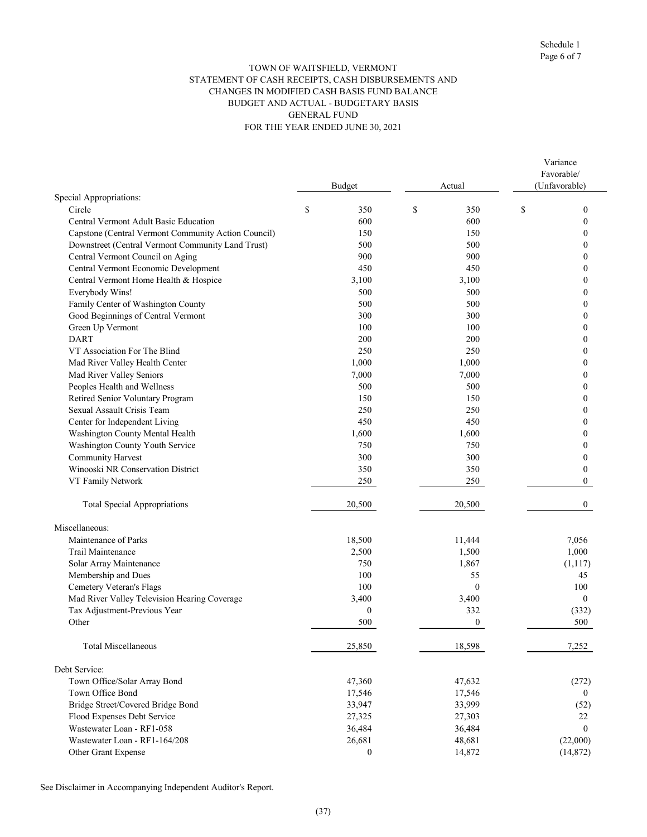#### TOWN OF WAITSFIELD, VERMONT STATEMENT OF CASH RECEIPTS, CASH DISBURSEMENTS AND CHANGES IN MODIFIED CASH BASIS FUND BALANCE BUDGET AND ACTUAL - BUDGETARY BASIS GENERAL FUND FOR THE YEAR ENDED JUNE 30, 2021

| Favorable/<br>(Unfavorable)<br><b>Budget</b><br>Actual<br>Special Appropriations:<br>\$<br>Circle<br>\$<br>350<br>\$<br>350<br>$\mathbf{0}$<br>Central Vermont Adult Basic Education<br>600<br>600<br>$\boldsymbol{0}$<br>Capstone (Central Vermont Community Action Council)<br>150<br>150<br>$\boldsymbol{0}$<br>Downstreet (Central Vermont Community Land Trust)<br>500<br>500<br>$\theta$<br>Central Vermont Council on Aging<br>900<br>900<br>0<br>Central Vermont Economic Development<br>450<br>450<br>0<br>Central Vermont Home Health & Hospice<br>3,100<br>3,100<br>0<br>Everybody Wins!<br>500<br>500<br>0<br>Family Center of Washington County<br>500<br>500<br>0<br>Good Beginnings of Central Vermont<br>300<br>300<br>$\theta$<br>Green Up Vermont<br>100<br>100<br>$\boldsymbol{0}$<br><b>DART</b><br>200<br>200<br>0<br>VT Association For The Blind<br>250<br>250<br>0<br>Mad River Valley Health Center<br>1,000<br>1,000<br>$\theta$<br>Mad River Valley Seniors<br>7,000<br>7,000<br>0<br>Peoples Health and Wellness<br>500<br>500<br>0<br>Retired Senior Voluntary Program<br>150<br>150<br>$\theta$<br>Sexual Assault Crisis Team<br>250<br>250<br>$\boldsymbol{0}$<br>Center for Independent Living<br>450<br>450<br>$\theta$<br>Washington County Mental Health<br>1,600<br>1,600<br>Washington County Youth Service<br>750<br>750<br>0<br><b>Community Harvest</b><br>300<br>300<br>Winooski NR Conservation District<br>350<br>350<br>0<br>VT Family Network<br>250<br>250<br>$\Omega$<br>20,500<br>20,500<br>$\overline{0}$<br><b>Total Special Appropriations</b><br>Miscellaneous:<br>Maintenance of Parks<br>18,500<br>11,444<br>7,056<br>Trail Maintenance<br>2,500<br>1,500<br>1,000<br>Solar Array Maintenance<br>750<br>1,867<br>(1,117)<br>Membership and Dues<br>100<br>55<br>45<br>Cemetery Veteran's Flags<br>$\mathbf{0}$<br>100<br>100<br>Mad River Valley Television Hearing Coverage<br>3,400<br>3,400<br>$\mathbf{0}$<br>Tax Adjustment-Previous Year<br>$\boldsymbol{0}$<br>332<br>(332)<br>500<br>$\boldsymbol{0}$<br>Other<br>500<br><b>Total Miscellaneous</b><br>25,850<br>18,598<br>7,252<br>Debt Service:<br>Town Office/Solar Array Bond<br>47,360<br>47,632<br>(272)<br>Town Office Bond<br>17,546<br>17,546<br>$\theta$<br>Bridge Street/Covered Bridge Bond<br>33,947<br>33,999<br>(52)<br>Flood Expenses Debt Service<br>27,325<br>27,303<br>22<br>Wastewater Loan - RF1-058<br>36,484<br>36,484<br>$\mathbf{0}$<br>Wastewater Loan - RF1-164/208<br>26,681<br>48,681<br>(22,000)<br>14,872<br>$\boldsymbol{0}$<br>(14, 872)<br>Other Grant Expense |  |  |  | Variance |
|----------------------------------------------------------------------------------------------------------------------------------------------------------------------------------------------------------------------------------------------------------------------------------------------------------------------------------------------------------------------------------------------------------------------------------------------------------------------------------------------------------------------------------------------------------------------------------------------------------------------------------------------------------------------------------------------------------------------------------------------------------------------------------------------------------------------------------------------------------------------------------------------------------------------------------------------------------------------------------------------------------------------------------------------------------------------------------------------------------------------------------------------------------------------------------------------------------------------------------------------------------------------------------------------------------------------------------------------------------------------------------------------------------------------------------------------------------------------------------------------------------------------------------------------------------------------------------------------------------------------------------------------------------------------------------------------------------------------------------------------------------------------------------------------------------------------------------------------------------------------------------------------------------------------------------------------------------------------------------------------------------------------------------------------------------------------------------------------------------------------------------------------------------------------------------------------------------------------------------------------------------------------------------------------------------------------------------------------------------------------------------------------------------------------------------------------------------------------------------------------------------------------------------------------------------------------------------------------------------------|--|--|--|----------|
|                                                                                                                                                                                                                                                                                                                                                                                                                                                                                                                                                                                                                                                                                                                                                                                                                                                                                                                                                                                                                                                                                                                                                                                                                                                                                                                                                                                                                                                                                                                                                                                                                                                                                                                                                                                                                                                                                                                                                                                                                                                                                                                                                                                                                                                                                                                                                                                                                                                                                                                                                                                                                |  |  |  |          |
|                                                                                                                                                                                                                                                                                                                                                                                                                                                                                                                                                                                                                                                                                                                                                                                                                                                                                                                                                                                                                                                                                                                                                                                                                                                                                                                                                                                                                                                                                                                                                                                                                                                                                                                                                                                                                                                                                                                                                                                                                                                                                                                                                                                                                                                                                                                                                                                                                                                                                                                                                                                                                |  |  |  |          |
|                                                                                                                                                                                                                                                                                                                                                                                                                                                                                                                                                                                                                                                                                                                                                                                                                                                                                                                                                                                                                                                                                                                                                                                                                                                                                                                                                                                                                                                                                                                                                                                                                                                                                                                                                                                                                                                                                                                                                                                                                                                                                                                                                                                                                                                                                                                                                                                                                                                                                                                                                                                                                |  |  |  |          |
|                                                                                                                                                                                                                                                                                                                                                                                                                                                                                                                                                                                                                                                                                                                                                                                                                                                                                                                                                                                                                                                                                                                                                                                                                                                                                                                                                                                                                                                                                                                                                                                                                                                                                                                                                                                                                                                                                                                                                                                                                                                                                                                                                                                                                                                                                                                                                                                                                                                                                                                                                                                                                |  |  |  |          |
|                                                                                                                                                                                                                                                                                                                                                                                                                                                                                                                                                                                                                                                                                                                                                                                                                                                                                                                                                                                                                                                                                                                                                                                                                                                                                                                                                                                                                                                                                                                                                                                                                                                                                                                                                                                                                                                                                                                                                                                                                                                                                                                                                                                                                                                                                                                                                                                                                                                                                                                                                                                                                |  |  |  |          |
|                                                                                                                                                                                                                                                                                                                                                                                                                                                                                                                                                                                                                                                                                                                                                                                                                                                                                                                                                                                                                                                                                                                                                                                                                                                                                                                                                                                                                                                                                                                                                                                                                                                                                                                                                                                                                                                                                                                                                                                                                                                                                                                                                                                                                                                                                                                                                                                                                                                                                                                                                                                                                |  |  |  |          |
|                                                                                                                                                                                                                                                                                                                                                                                                                                                                                                                                                                                                                                                                                                                                                                                                                                                                                                                                                                                                                                                                                                                                                                                                                                                                                                                                                                                                                                                                                                                                                                                                                                                                                                                                                                                                                                                                                                                                                                                                                                                                                                                                                                                                                                                                                                                                                                                                                                                                                                                                                                                                                |  |  |  |          |
|                                                                                                                                                                                                                                                                                                                                                                                                                                                                                                                                                                                                                                                                                                                                                                                                                                                                                                                                                                                                                                                                                                                                                                                                                                                                                                                                                                                                                                                                                                                                                                                                                                                                                                                                                                                                                                                                                                                                                                                                                                                                                                                                                                                                                                                                                                                                                                                                                                                                                                                                                                                                                |  |  |  |          |
|                                                                                                                                                                                                                                                                                                                                                                                                                                                                                                                                                                                                                                                                                                                                                                                                                                                                                                                                                                                                                                                                                                                                                                                                                                                                                                                                                                                                                                                                                                                                                                                                                                                                                                                                                                                                                                                                                                                                                                                                                                                                                                                                                                                                                                                                                                                                                                                                                                                                                                                                                                                                                |  |  |  |          |
|                                                                                                                                                                                                                                                                                                                                                                                                                                                                                                                                                                                                                                                                                                                                                                                                                                                                                                                                                                                                                                                                                                                                                                                                                                                                                                                                                                                                                                                                                                                                                                                                                                                                                                                                                                                                                                                                                                                                                                                                                                                                                                                                                                                                                                                                                                                                                                                                                                                                                                                                                                                                                |  |  |  |          |
|                                                                                                                                                                                                                                                                                                                                                                                                                                                                                                                                                                                                                                                                                                                                                                                                                                                                                                                                                                                                                                                                                                                                                                                                                                                                                                                                                                                                                                                                                                                                                                                                                                                                                                                                                                                                                                                                                                                                                                                                                                                                                                                                                                                                                                                                                                                                                                                                                                                                                                                                                                                                                |  |  |  |          |
|                                                                                                                                                                                                                                                                                                                                                                                                                                                                                                                                                                                                                                                                                                                                                                                                                                                                                                                                                                                                                                                                                                                                                                                                                                                                                                                                                                                                                                                                                                                                                                                                                                                                                                                                                                                                                                                                                                                                                                                                                                                                                                                                                                                                                                                                                                                                                                                                                                                                                                                                                                                                                |  |  |  |          |
|                                                                                                                                                                                                                                                                                                                                                                                                                                                                                                                                                                                                                                                                                                                                                                                                                                                                                                                                                                                                                                                                                                                                                                                                                                                                                                                                                                                                                                                                                                                                                                                                                                                                                                                                                                                                                                                                                                                                                                                                                                                                                                                                                                                                                                                                                                                                                                                                                                                                                                                                                                                                                |  |  |  |          |
|                                                                                                                                                                                                                                                                                                                                                                                                                                                                                                                                                                                                                                                                                                                                                                                                                                                                                                                                                                                                                                                                                                                                                                                                                                                                                                                                                                                                                                                                                                                                                                                                                                                                                                                                                                                                                                                                                                                                                                                                                                                                                                                                                                                                                                                                                                                                                                                                                                                                                                                                                                                                                |  |  |  |          |
|                                                                                                                                                                                                                                                                                                                                                                                                                                                                                                                                                                                                                                                                                                                                                                                                                                                                                                                                                                                                                                                                                                                                                                                                                                                                                                                                                                                                                                                                                                                                                                                                                                                                                                                                                                                                                                                                                                                                                                                                                                                                                                                                                                                                                                                                                                                                                                                                                                                                                                                                                                                                                |  |  |  |          |
|                                                                                                                                                                                                                                                                                                                                                                                                                                                                                                                                                                                                                                                                                                                                                                                                                                                                                                                                                                                                                                                                                                                                                                                                                                                                                                                                                                                                                                                                                                                                                                                                                                                                                                                                                                                                                                                                                                                                                                                                                                                                                                                                                                                                                                                                                                                                                                                                                                                                                                                                                                                                                |  |  |  |          |
|                                                                                                                                                                                                                                                                                                                                                                                                                                                                                                                                                                                                                                                                                                                                                                                                                                                                                                                                                                                                                                                                                                                                                                                                                                                                                                                                                                                                                                                                                                                                                                                                                                                                                                                                                                                                                                                                                                                                                                                                                                                                                                                                                                                                                                                                                                                                                                                                                                                                                                                                                                                                                |  |  |  |          |
|                                                                                                                                                                                                                                                                                                                                                                                                                                                                                                                                                                                                                                                                                                                                                                                                                                                                                                                                                                                                                                                                                                                                                                                                                                                                                                                                                                                                                                                                                                                                                                                                                                                                                                                                                                                                                                                                                                                                                                                                                                                                                                                                                                                                                                                                                                                                                                                                                                                                                                                                                                                                                |  |  |  |          |
|                                                                                                                                                                                                                                                                                                                                                                                                                                                                                                                                                                                                                                                                                                                                                                                                                                                                                                                                                                                                                                                                                                                                                                                                                                                                                                                                                                                                                                                                                                                                                                                                                                                                                                                                                                                                                                                                                                                                                                                                                                                                                                                                                                                                                                                                                                                                                                                                                                                                                                                                                                                                                |  |  |  |          |
|                                                                                                                                                                                                                                                                                                                                                                                                                                                                                                                                                                                                                                                                                                                                                                                                                                                                                                                                                                                                                                                                                                                                                                                                                                                                                                                                                                                                                                                                                                                                                                                                                                                                                                                                                                                                                                                                                                                                                                                                                                                                                                                                                                                                                                                                                                                                                                                                                                                                                                                                                                                                                |  |  |  |          |
|                                                                                                                                                                                                                                                                                                                                                                                                                                                                                                                                                                                                                                                                                                                                                                                                                                                                                                                                                                                                                                                                                                                                                                                                                                                                                                                                                                                                                                                                                                                                                                                                                                                                                                                                                                                                                                                                                                                                                                                                                                                                                                                                                                                                                                                                                                                                                                                                                                                                                                                                                                                                                |  |  |  |          |
|                                                                                                                                                                                                                                                                                                                                                                                                                                                                                                                                                                                                                                                                                                                                                                                                                                                                                                                                                                                                                                                                                                                                                                                                                                                                                                                                                                                                                                                                                                                                                                                                                                                                                                                                                                                                                                                                                                                                                                                                                                                                                                                                                                                                                                                                                                                                                                                                                                                                                                                                                                                                                |  |  |  |          |
|                                                                                                                                                                                                                                                                                                                                                                                                                                                                                                                                                                                                                                                                                                                                                                                                                                                                                                                                                                                                                                                                                                                                                                                                                                                                                                                                                                                                                                                                                                                                                                                                                                                                                                                                                                                                                                                                                                                                                                                                                                                                                                                                                                                                                                                                                                                                                                                                                                                                                                                                                                                                                |  |  |  |          |
|                                                                                                                                                                                                                                                                                                                                                                                                                                                                                                                                                                                                                                                                                                                                                                                                                                                                                                                                                                                                                                                                                                                                                                                                                                                                                                                                                                                                                                                                                                                                                                                                                                                                                                                                                                                                                                                                                                                                                                                                                                                                                                                                                                                                                                                                                                                                                                                                                                                                                                                                                                                                                |  |  |  |          |
|                                                                                                                                                                                                                                                                                                                                                                                                                                                                                                                                                                                                                                                                                                                                                                                                                                                                                                                                                                                                                                                                                                                                                                                                                                                                                                                                                                                                                                                                                                                                                                                                                                                                                                                                                                                                                                                                                                                                                                                                                                                                                                                                                                                                                                                                                                                                                                                                                                                                                                                                                                                                                |  |  |  |          |
|                                                                                                                                                                                                                                                                                                                                                                                                                                                                                                                                                                                                                                                                                                                                                                                                                                                                                                                                                                                                                                                                                                                                                                                                                                                                                                                                                                                                                                                                                                                                                                                                                                                                                                                                                                                                                                                                                                                                                                                                                                                                                                                                                                                                                                                                                                                                                                                                                                                                                                                                                                                                                |  |  |  |          |
|                                                                                                                                                                                                                                                                                                                                                                                                                                                                                                                                                                                                                                                                                                                                                                                                                                                                                                                                                                                                                                                                                                                                                                                                                                                                                                                                                                                                                                                                                                                                                                                                                                                                                                                                                                                                                                                                                                                                                                                                                                                                                                                                                                                                                                                                                                                                                                                                                                                                                                                                                                                                                |  |  |  |          |
|                                                                                                                                                                                                                                                                                                                                                                                                                                                                                                                                                                                                                                                                                                                                                                                                                                                                                                                                                                                                                                                                                                                                                                                                                                                                                                                                                                                                                                                                                                                                                                                                                                                                                                                                                                                                                                                                                                                                                                                                                                                                                                                                                                                                                                                                                                                                                                                                                                                                                                                                                                                                                |  |  |  |          |
|                                                                                                                                                                                                                                                                                                                                                                                                                                                                                                                                                                                                                                                                                                                                                                                                                                                                                                                                                                                                                                                                                                                                                                                                                                                                                                                                                                                                                                                                                                                                                                                                                                                                                                                                                                                                                                                                                                                                                                                                                                                                                                                                                                                                                                                                                                                                                                                                                                                                                                                                                                                                                |  |  |  |          |
|                                                                                                                                                                                                                                                                                                                                                                                                                                                                                                                                                                                                                                                                                                                                                                                                                                                                                                                                                                                                                                                                                                                                                                                                                                                                                                                                                                                                                                                                                                                                                                                                                                                                                                                                                                                                                                                                                                                                                                                                                                                                                                                                                                                                                                                                                                                                                                                                                                                                                                                                                                                                                |  |  |  |          |
|                                                                                                                                                                                                                                                                                                                                                                                                                                                                                                                                                                                                                                                                                                                                                                                                                                                                                                                                                                                                                                                                                                                                                                                                                                                                                                                                                                                                                                                                                                                                                                                                                                                                                                                                                                                                                                                                                                                                                                                                                                                                                                                                                                                                                                                                                                                                                                                                                                                                                                                                                                                                                |  |  |  |          |
|                                                                                                                                                                                                                                                                                                                                                                                                                                                                                                                                                                                                                                                                                                                                                                                                                                                                                                                                                                                                                                                                                                                                                                                                                                                                                                                                                                                                                                                                                                                                                                                                                                                                                                                                                                                                                                                                                                                                                                                                                                                                                                                                                                                                                                                                                                                                                                                                                                                                                                                                                                                                                |  |  |  |          |
|                                                                                                                                                                                                                                                                                                                                                                                                                                                                                                                                                                                                                                                                                                                                                                                                                                                                                                                                                                                                                                                                                                                                                                                                                                                                                                                                                                                                                                                                                                                                                                                                                                                                                                                                                                                                                                                                                                                                                                                                                                                                                                                                                                                                                                                                                                                                                                                                                                                                                                                                                                                                                |  |  |  |          |
|                                                                                                                                                                                                                                                                                                                                                                                                                                                                                                                                                                                                                                                                                                                                                                                                                                                                                                                                                                                                                                                                                                                                                                                                                                                                                                                                                                                                                                                                                                                                                                                                                                                                                                                                                                                                                                                                                                                                                                                                                                                                                                                                                                                                                                                                                                                                                                                                                                                                                                                                                                                                                |  |  |  |          |
|                                                                                                                                                                                                                                                                                                                                                                                                                                                                                                                                                                                                                                                                                                                                                                                                                                                                                                                                                                                                                                                                                                                                                                                                                                                                                                                                                                                                                                                                                                                                                                                                                                                                                                                                                                                                                                                                                                                                                                                                                                                                                                                                                                                                                                                                                                                                                                                                                                                                                                                                                                                                                |  |  |  |          |
|                                                                                                                                                                                                                                                                                                                                                                                                                                                                                                                                                                                                                                                                                                                                                                                                                                                                                                                                                                                                                                                                                                                                                                                                                                                                                                                                                                                                                                                                                                                                                                                                                                                                                                                                                                                                                                                                                                                                                                                                                                                                                                                                                                                                                                                                                                                                                                                                                                                                                                                                                                                                                |  |  |  |          |
|                                                                                                                                                                                                                                                                                                                                                                                                                                                                                                                                                                                                                                                                                                                                                                                                                                                                                                                                                                                                                                                                                                                                                                                                                                                                                                                                                                                                                                                                                                                                                                                                                                                                                                                                                                                                                                                                                                                                                                                                                                                                                                                                                                                                                                                                                                                                                                                                                                                                                                                                                                                                                |  |  |  |          |
|                                                                                                                                                                                                                                                                                                                                                                                                                                                                                                                                                                                                                                                                                                                                                                                                                                                                                                                                                                                                                                                                                                                                                                                                                                                                                                                                                                                                                                                                                                                                                                                                                                                                                                                                                                                                                                                                                                                                                                                                                                                                                                                                                                                                                                                                                                                                                                                                                                                                                                                                                                                                                |  |  |  |          |
|                                                                                                                                                                                                                                                                                                                                                                                                                                                                                                                                                                                                                                                                                                                                                                                                                                                                                                                                                                                                                                                                                                                                                                                                                                                                                                                                                                                                                                                                                                                                                                                                                                                                                                                                                                                                                                                                                                                                                                                                                                                                                                                                                                                                                                                                                                                                                                                                                                                                                                                                                                                                                |  |  |  |          |
|                                                                                                                                                                                                                                                                                                                                                                                                                                                                                                                                                                                                                                                                                                                                                                                                                                                                                                                                                                                                                                                                                                                                                                                                                                                                                                                                                                                                                                                                                                                                                                                                                                                                                                                                                                                                                                                                                                                                                                                                                                                                                                                                                                                                                                                                                                                                                                                                                                                                                                                                                                                                                |  |  |  |          |
|                                                                                                                                                                                                                                                                                                                                                                                                                                                                                                                                                                                                                                                                                                                                                                                                                                                                                                                                                                                                                                                                                                                                                                                                                                                                                                                                                                                                                                                                                                                                                                                                                                                                                                                                                                                                                                                                                                                                                                                                                                                                                                                                                                                                                                                                                                                                                                                                                                                                                                                                                                                                                |  |  |  |          |
|                                                                                                                                                                                                                                                                                                                                                                                                                                                                                                                                                                                                                                                                                                                                                                                                                                                                                                                                                                                                                                                                                                                                                                                                                                                                                                                                                                                                                                                                                                                                                                                                                                                                                                                                                                                                                                                                                                                                                                                                                                                                                                                                                                                                                                                                                                                                                                                                                                                                                                                                                                                                                |  |  |  |          |
|                                                                                                                                                                                                                                                                                                                                                                                                                                                                                                                                                                                                                                                                                                                                                                                                                                                                                                                                                                                                                                                                                                                                                                                                                                                                                                                                                                                                                                                                                                                                                                                                                                                                                                                                                                                                                                                                                                                                                                                                                                                                                                                                                                                                                                                                                                                                                                                                                                                                                                                                                                                                                |  |  |  |          |
|                                                                                                                                                                                                                                                                                                                                                                                                                                                                                                                                                                                                                                                                                                                                                                                                                                                                                                                                                                                                                                                                                                                                                                                                                                                                                                                                                                                                                                                                                                                                                                                                                                                                                                                                                                                                                                                                                                                                                                                                                                                                                                                                                                                                                                                                                                                                                                                                                                                                                                                                                                                                                |  |  |  |          |
|                                                                                                                                                                                                                                                                                                                                                                                                                                                                                                                                                                                                                                                                                                                                                                                                                                                                                                                                                                                                                                                                                                                                                                                                                                                                                                                                                                                                                                                                                                                                                                                                                                                                                                                                                                                                                                                                                                                                                                                                                                                                                                                                                                                                                                                                                                                                                                                                                                                                                                                                                                                                                |  |  |  |          |
|                                                                                                                                                                                                                                                                                                                                                                                                                                                                                                                                                                                                                                                                                                                                                                                                                                                                                                                                                                                                                                                                                                                                                                                                                                                                                                                                                                                                                                                                                                                                                                                                                                                                                                                                                                                                                                                                                                                                                                                                                                                                                                                                                                                                                                                                                                                                                                                                                                                                                                                                                                                                                |  |  |  |          |
|                                                                                                                                                                                                                                                                                                                                                                                                                                                                                                                                                                                                                                                                                                                                                                                                                                                                                                                                                                                                                                                                                                                                                                                                                                                                                                                                                                                                                                                                                                                                                                                                                                                                                                                                                                                                                                                                                                                                                                                                                                                                                                                                                                                                                                                                                                                                                                                                                                                                                                                                                                                                                |  |  |  |          |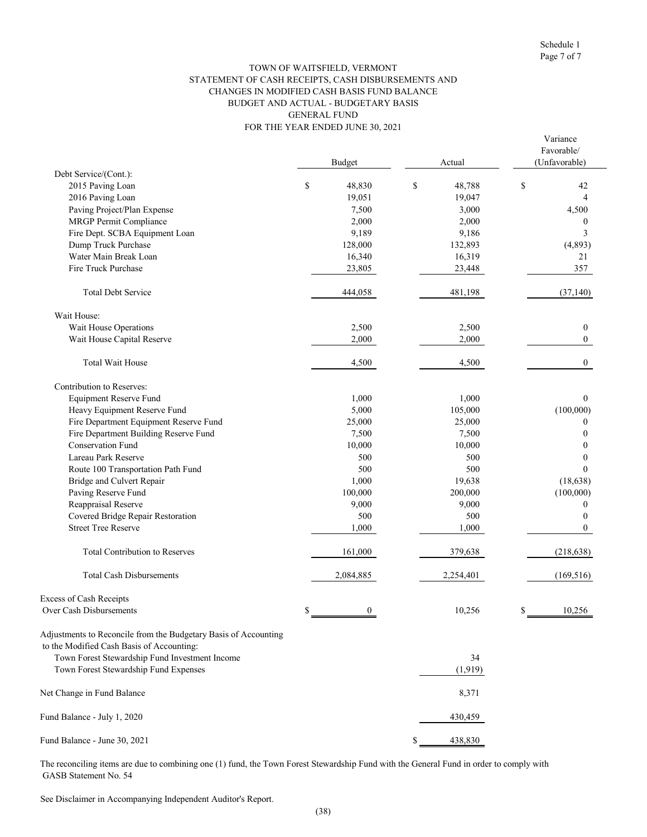#### FOR THE YEAR ENDED JUNE 30, 2021 TOWN OF WAITSFIELD, VERMONT STATEMENT OF CASH RECEIPTS, CASH DISBURSEMENTS AND CHANGES IN MODIFIED CASH BASIS FUND BALANCE BUDGET AND ACTUAL - BUDGETARY BASIS GENERAL FUND

|                                                                                                              |    | <b>Budget</b> | Actual        | Variance<br>Favorable/<br>(Unfavorable) |
|--------------------------------------------------------------------------------------------------------------|----|---------------|---------------|-----------------------------------------|
| Debt Service/(Cont.):                                                                                        |    |               |               |                                         |
| 2015 Paving Loan                                                                                             | \$ | 48,830        | \$<br>48,788  | \$<br>42                                |
| 2016 Paving Loan                                                                                             |    | 19,051        | 19,047        | 4                                       |
| Paving Project/Plan Expense                                                                                  |    | 7,500         | 3,000         | 4,500                                   |
| <b>MRGP</b> Permit Compliance                                                                                |    | 2,000         | 2,000         | 0                                       |
| Fire Dept. SCBA Equipment Loan                                                                               |    | 9,189         | 9,186         | 3                                       |
| Dump Truck Purchase                                                                                          |    | 128,000       | 132,893       | (4,893)                                 |
| Water Main Break Loan                                                                                        |    | 16,340        | 16,319        | 21                                      |
| Fire Truck Purchase                                                                                          |    | 23,805        | 23,448        | 357                                     |
| <b>Total Debt Service</b>                                                                                    |    | 444,058       | 481,198       | (37, 140)                               |
| Wait House:                                                                                                  |    |               |               |                                         |
| Wait House Operations                                                                                        |    | 2,500         | 2,500         | $\mathbf{0}$                            |
| Wait House Capital Reserve                                                                                   |    | 2,000         | 2,000         | $\theta$                                |
| <b>Total Wait House</b>                                                                                      |    | 4,500         | 4,500         | $\mathbf{0}$                            |
| Contribution to Reserves:                                                                                    |    |               |               |                                         |
| <b>Equipment Reserve Fund</b>                                                                                |    | 1,000         | 1,000         | $\Omega$                                |
| Heavy Equipment Reserve Fund                                                                                 |    | 5,000         | 105,000       | (100,000)                               |
| Fire Department Equipment Reserve Fund                                                                       |    | 25,000        | 25,000        | $\theta$                                |
| Fire Department Building Reserve Fund                                                                        |    | 7,500         | 7,500         | $\Omega$                                |
| <b>Conservation Fund</b>                                                                                     |    | 10,000        | 10,000        | 0                                       |
| Lareau Park Reserve                                                                                          |    | 500           | 500           | 0                                       |
| Route 100 Transportation Path Fund                                                                           |    | 500           | 500           | $\Omega$                                |
| Bridge and Culvert Repair                                                                                    |    | 1,000         | 19,638        | (18, 638)                               |
| Paving Reserve Fund                                                                                          |    | 100,000       | 200,000       | (100,000)                               |
| Reappraisal Reserve                                                                                          |    | 9,000         | 9,000         | 0                                       |
| Covered Bridge Repair Restoration                                                                            |    | 500           | 500           | 0                                       |
| <b>Street Tree Reserve</b>                                                                                   |    | 1,000         | 1,000         | $\Omega$                                |
| <b>Total Contribution to Reserves</b>                                                                        |    | 161,000       | 379,638       | (218, 638)                              |
| <b>Total Cash Disbursements</b>                                                                              |    | 2,084,885     | 2,254,401     | (169, 516)                              |
| Excess of Cash Receipts                                                                                      |    |               |               |                                         |
| Over Cash Disbursements                                                                                      | P  | $\bf{0}$      | 10,256        | \$<br>10,256                            |
| Adjustments to Reconcile from the Budgetary Basis of Accounting<br>to the Modified Cash Basis of Accounting: |    |               |               |                                         |
| Town Forest Stewardship Fund Investment Income<br>Town Forest Stewardship Fund Expenses                      |    |               | 34<br>(1,919) |                                         |
| Net Change in Fund Balance                                                                                   |    |               | 8,371         |                                         |
| Fund Balance - July 1, 2020                                                                                  |    |               | 430,459       |                                         |
| Fund Balance - June 30, 2021                                                                                 |    |               | \$<br>438,830 |                                         |

The reconciling items are due to combining one (1) fund, the Town Forest Stewardship Fund with the General Fund in order to comply with GASB Statement No. 54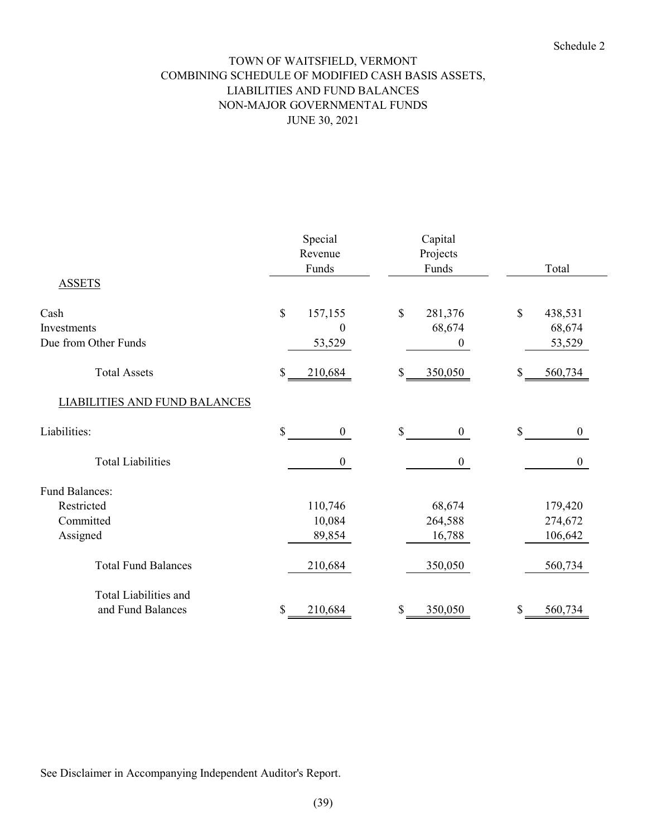# TOWN OF WAITSFIELD, VERMONT COMBINING SCHEDULE OF MODIFIED CASH BASIS ASSETS, LIABILITIES AND FUND BALANCES NON-MAJOR GOVERNMENTAL FUNDS JUNE 30, 2021

|                                      | Special<br>Revenue<br>Funds |                  | Capital<br>Projects<br>Funds |                  |              | Total            |
|--------------------------------------|-----------------------------|------------------|------------------------------|------------------|--------------|------------------|
| <b>ASSETS</b>                        |                             |                  |                              |                  |              |                  |
| Cash                                 | $\boldsymbol{\mathsf{S}}$   | 157,155          | \$                           | 281,376          | \$           | 438,531          |
| Investments                          |                             | $\boldsymbol{0}$ |                              | 68,674           |              | 68,674           |
| Due from Other Funds                 |                             | 53,529           |                              | $\boldsymbol{0}$ |              | 53,529           |
| <b>Total Assets</b>                  | \$                          | 210,684          | \$                           | 350,050          | \$           | 560,734          |
| <b>LIABILITIES AND FUND BALANCES</b> |                             |                  |                              |                  |              |                  |
| Liabilities:                         | $\mathcal{S}$               | $\mathbf{0}$     | \$                           | $\mathbf{0}$     | $\mathbb{S}$ | $\mathbf{0}$     |
| <b>Total Liabilities</b>             |                             | $\boldsymbol{0}$ |                              | $\boldsymbol{0}$ |              | $\boldsymbol{0}$ |
| <b>Fund Balances:</b>                |                             |                  |                              |                  |              |                  |
| Restricted                           |                             | 110,746          |                              | 68,674           |              | 179,420          |
| Committed                            |                             | 10,084           |                              | 264,588          |              | 274,672          |
| Assigned                             |                             | 89,854           |                              | 16,788           |              | 106,642          |
| <b>Total Fund Balances</b>           |                             | 210,684          |                              | 350,050          |              | 560,734          |
| Total Liabilities and                |                             |                  |                              |                  |              |                  |
| and Fund Balances                    | \$                          | 210,684          | \$                           | 350,050          | \$           | 560,734          |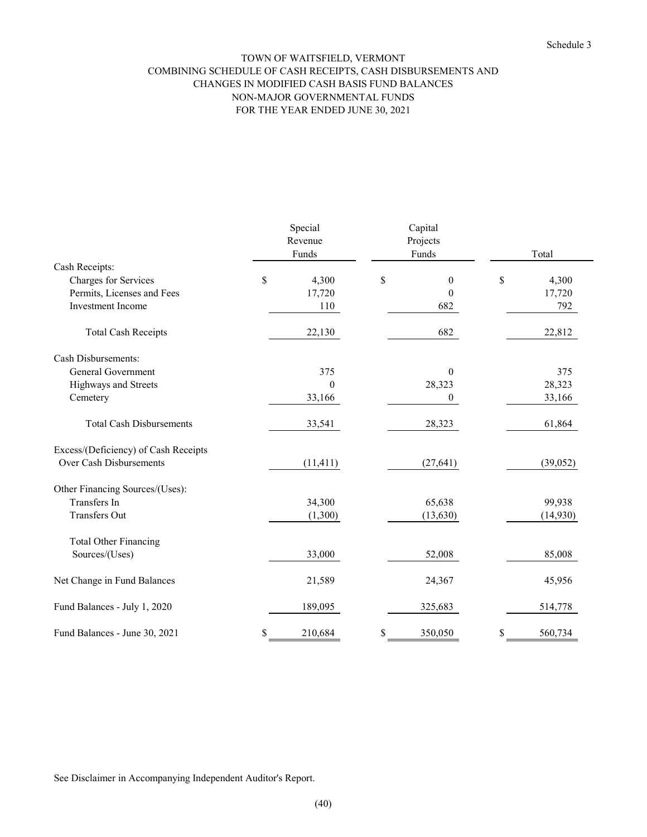#### FOR THE YEAR ENDED JUNE 30, 2021 TOWN OF WAITSFIELD, VERMONT COMBINING SCHEDULE OF CASH RECEIPTS, CASH DISBURSEMENTS AND CHANGES IN MODIFIED CASH BASIS FUND BALANCES NON-MAJOR GOVERNMENTAL FUNDS

|                                      | Special<br>Revenue |                  | Capital<br>Projects    |               |
|--------------------------------------|--------------------|------------------|------------------------|---------------|
|                                      |                    | Funds            | Funds                  | Total         |
| Cash Receipts:                       |                    |                  |                        |               |
| Charges for Services                 | \$                 | 4,300            | \$<br>$\boldsymbol{0}$ | \$<br>4,300   |
| Permits, Licenses and Fees           |                    | 17,720           | $\theta$               | 17,720        |
| <b>Investment</b> Income             |                    | 110              | 682                    | 792           |
| <b>Total Cash Receipts</b>           |                    | 22,130           | 682                    | 22,812        |
| <b>Cash Disbursements:</b>           |                    |                  |                        |               |
| General Government                   |                    | 375              | $\theta$               | 375           |
| Highways and Streets                 |                    | $\boldsymbol{0}$ | 28,323                 | 28,323        |
| Cemetery                             |                    | 33,166           | $\mathbf{0}$           | 33,166        |
| <b>Total Cash Disbursements</b>      |                    | 33,541           | 28,323                 | 61,864        |
| Excess/(Deficiency) of Cash Receipts |                    |                  |                        |               |
| Over Cash Disbursements              |                    | (11, 411)        | (27, 641)              | (39,052)      |
| Other Financing Sources/(Uses):      |                    |                  |                        |               |
| Transfers In                         |                    | 34,300           | 65,638                 | 99,938        |
| <b>Transfers Out</b>                 |                    | (1,300)          | (13, 630)              | (14,930)      |
| <b>Total Other Financing</b>         |                    |                  |                        |               |
| Sources/(Uses)                       |                    | 33,000           | 52,008                 | 85,008        |
| Net Change in Fund Balances          |                    | 21,589           | 24,367                 | 45,956        |
| Fund Balances - July 1, 2020         |                    | 189,095          | 325,683                | 514,778       |
| Fund Balances - June 30, 2021        | \$                 | 210,684          | \$<br>350,050          | \$<br>560,734 |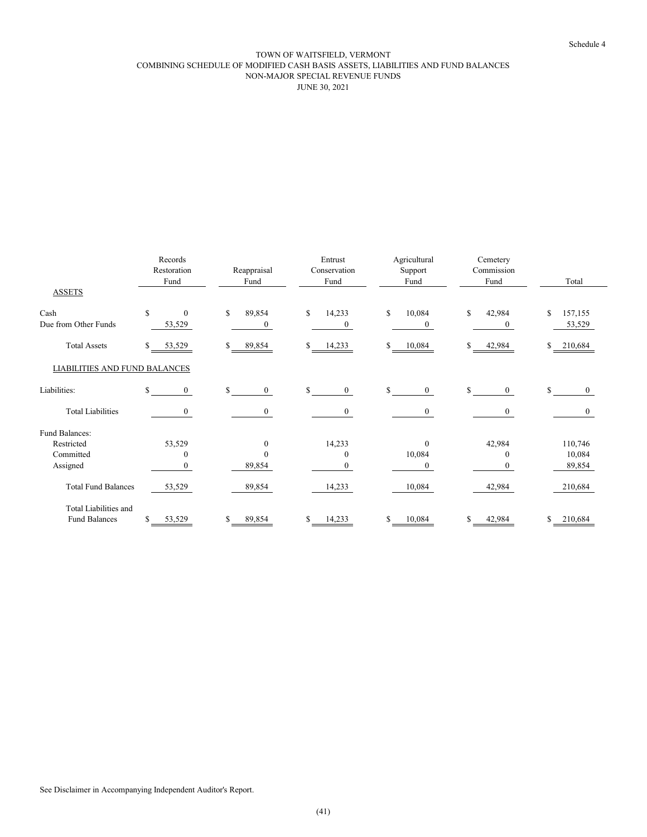#### TOWN OF WAITSFIELD, VERMONT COMBINING SCHEDULE OF MODIFIED CASH BASIS ASSETS, LIABILITIES AND FUND BALANCES NON-MAJOR SPECIAL REVENUE FUNDS JUNE 30, 2021

|                                               | Records<br>Restoration<br>Fund | Reappraisal<br>Fund          | Entrust<br>Conservation<br>Fund  | Agricultural<br>Support<br>Fund | Cemetery<br>Commission<br>Fund | Total                   |
|-----------------------------------------------|--------------------------------|------------------------------|----------------------------------|---------------------------------|--------------------------------|-------------------------|
| <b>ASSETS</b>                                 |                                |                              |                                  |                                 |                                |                         |
| Cash<br>Due from Other Funds                  | \$<br>$\mathbf{0}$<br>53,529   | \$<br>89,854<br>$\mathbf{0}$ | \$<br>14,233<br>$\boldsymbol{0}$ | 10,084<br>\$<br>$\mathbf{0}$    | \$<br>42,984<br>$\Omega$       | \$<br>157,155<br>53,529 |
| <b>Total Assets</b>                           | \$<br>53,529                   | 89,854<br>\$                 | \$<br>14,233                     | 10,084<br>\$                    | \$<br>42,984                   | 210,684                 |
| LIABILITIES AND FUND BALANCES                 |                                |                              |                                  |                                 |                                |                         |
| Liabilities:                                  | \$<br>$\overline{0}$           | \$.<br>$\mathbf{0}$          | \$<br>$\boldsymbol{0}$           | \$<br>$\mathbf{0}$              | S.<br>$\overline{0}$           | \$<br>$\boldsymbol{0}$  |
| <b>Total Liabilities</b>                      | $\mathbf{0}$                   | $\overline{0}$               | $\mathbf{0}$                     | $\overline{0}$                  | $\overline{0}$                 | $\overline{0}$          |
| Fund Balances:                                |                                |                              |                                  |                                 |                                |                         |
| Restricted                                    | 53,529                         | $\theta$                     | 14,233                           | $\mathbf{0}$                    | 42,984                         | 110,746                 |
| Committed                                     | $\theta$                       | 0                            | $\mathbf{0}$                     | 10,084                          | $\theta$                       | 10,084                  |
| Assigned                                      | $\Omega$                       | 89,854                       | $\Omega$                         | $\Omega$                        |                                | 89,854                  |
| <b>Total Fund Balances</b>                    | 53,529                         | 89,854                       | 14,233                           | 10,084                          | 42,984                         | 210,684                 |
| Total Liabilities and<br><b>Fund Balances</b> | \$<br>53,529                   | 89,854<br>S                  | \$<br>14,233                     | 10,084                          | 42,984                         | 210,684                 |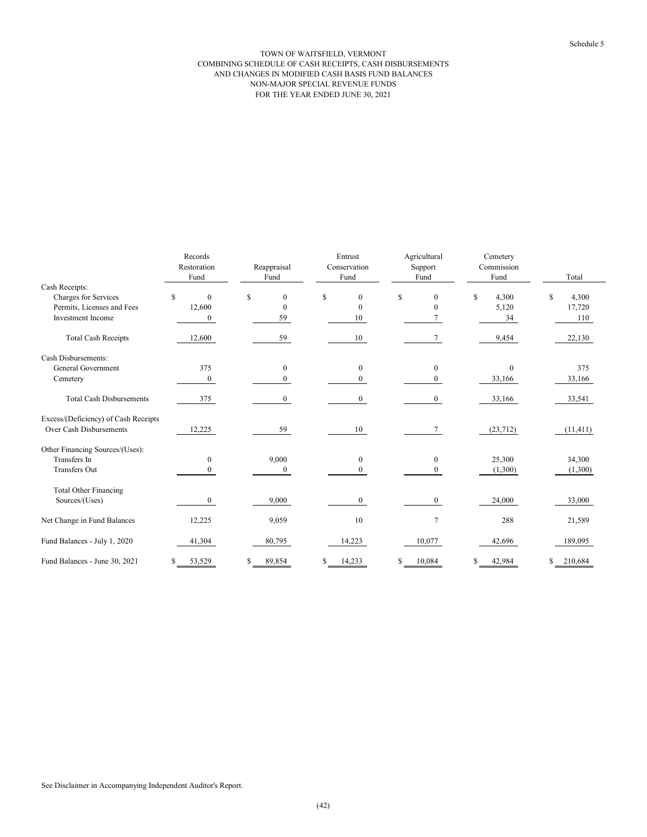#### NON-MAJOR SPECIAL REVENUE FUNDS FOR THE YEAR ENDED JUNE 30, 2021 TOWN OF WAITSFIELD, VERMONT COMBINING SCHEDULE OF CASH RECEIPTS, CASH DISBURSEMENTS AND CHANGES IN MODIFIED CASH BASIS FUND BALANCES

|                                      | Records<br>Restoration<br>Fund | Reappraisal<br>Fund |    | Entrust<br>Conservation<br>Fund |    | Agricultural<br>Support<br>Fund | Cemetery<br>Commission<br>Fund |    | Total     |
|--------------------------------------|--------------------------------|---------------------|----|---------------------------------|----|---------------------------------|--------------------------------|----|-----------|
| Cash Receipts:                       |                                |                     |    |                                 |    |                                 |                                |    |           |
| Charges for Services                 | \$<br>$\mathbf{0}$             | \$<br>$\theta$      | \$ | $\mathbf{0}$                    | \$ | $\mathbf{0}$                    | \$<br>4,300                    | \$ | 4,300     |
| Permits, Licenses and Fees           | 12,600                         | $\mathbf{0}$        |    | $\mathbf{0}$                    |    | $\theta$                        | 5,120                          |    | 17,720    |
| <b>Investment Income</b>             | $\mathbf{0}$                   | 59                  |    | 10                              |    |                                 | 34                             |    | 110       |
| <b>Total Cash Receipts</b>           | 12,600                         | 59                  |    | 10                              |    | 7                               | 9,454                          |    | 22,130    |
| Cash Disbursements:                  |                                |                     |    |                                 |    |                                 |                                |    |           |
| General Government                   | 375                            | $\mathbf{0}$        |    | $\mathbf{0}$                    |    | $\boldsymbol{0}$                | $\theta$                       |    | 375       |
| Cemetery                             | $\mathbf{0}$                   | $\mathbf{0}$        |    | $\overline{0}$                  |    | $\mathbf{0}$                    | 33,166                         |    | 33,166    |
| <b>Total Cash Disbursements</b>      | 375                            | $\overline{0}$      |    | $\overline{0}$                  |    | $\overline{0}$                  | 33,166                         |    | 33,541    |
| Excess/(Deficiency) of Cash Receipts |                                |                     |    |                                 |    |                                 |                                |    |           |
| Over Cash Disbursements              | 12,225                         | 59                  |    | 10                              |    | 7                               | (23, 712)                      |    | (11, 411) |
| Other Financing Sources/(Uses):      |                                |                     |    |                                 |    |                                 |                                |    |           |
| Transfers In                         | $\mathbf{0}$                   | 9,000               |    | $\mathbf{0}$                    |    | $\mathbf{0}$                    | 25,300                         |    | 34,300    |
| <b>Transfers Out</b>                 | $\Omega$                       | $\theta$            |    | 0                               |    | 0                               | (1,300)                        |    | (1,300)   |
| <b>Total Other Financing</b>         |                                |                     |    |                                 |    |                                 |                                |    |           |
| Sources/(Uses)                       | $\mathbf{0}$                   | 9,000               |    | 0                               |    | $\Omega$                        | 24,000                         |    | 33,000    |
| Net Change in Fund Balances          | 12,225                         | 9,059               |    | 10                              |    | 7                               | 288                            |    | 21,589    |
| Fund Balances - July 1, 2020         | 41,304                         | 80,795              |    | 14,223                          |    | 10,077                          | 42,696                         |    | 189,095   |
| Fund Balances - June 30, 2021        | 53,529                         | 89,854              | S  | 14,233                          | S  | 10,084                          | \$<br>42,984                   | S  | 210,684   |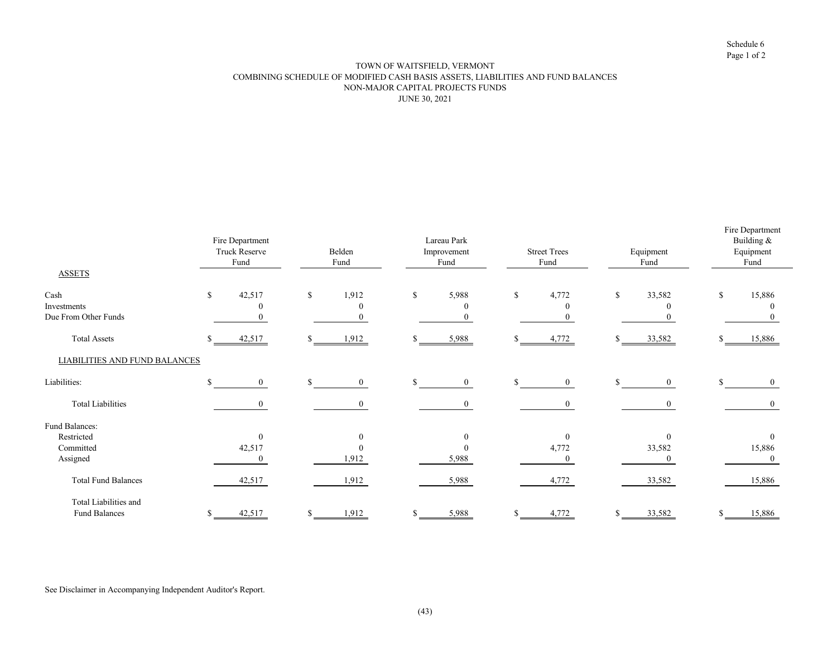Schedule 6 Page 1 of 2

#### TOWN OF WAITSFIELD, VERMONT COMBINING SCHEDULE OF MODIFIED CASH BASIS ASSETS, LIABILITIES AND FUND BALANCES NON-MAJOR CAPITAL PROJECTS FUNDS JUNE 30, 2021

|                                      | Fire Department<br><b>Truck Reserve</b><br>Fund | Belden<br>Fund           | Lareau Park<br>Improvement<br>Fund | <b>Street Trees</b><br>Fund | Equipment<br>Fund | Fire Department<br>Building &<br>Equipment<br>Fund |
|--------------------------------------|-------------------------------------------------|--------------------------|------------------------------------|-----------------------------|-------------------|----------------------------------------------------|
| <b>ASSETS</b>                        |                                                 |                          |                                    |                             |                   |                                                    |
| Cash                                 | 42,517<br>\$                                    | 1,912<br>$\mathbb S$     | 5,988<br>\$                        | 4,772<br>\$                 | 33,582<br>S       | 15,886<br>\$.                                      |
| Investments                          | $\Omega$                                        | $\Omega$                 | $\theta$                           |                             | $\theta$          | $\theta$                                           |
| Due From Other Funds                 |                                                 | $\Omega$                 |                                    |                             | $\mathbf{0}$      |                                                    |
| <b>Total Assets</b>                  | $\mathbb{S}$<br>42,517                          | 1,912<br>\$              | 5,988<br>\$                        | 4,772                       | 33,582            | 15,886                                             |
| <b>LIABILITIES AND FUND BALANCES</b> |                                                 |                          |                                    |                             |                   |                                                    |
| Liabilities:                         | $\mathcal{S}$<br>$\theta$                       | $\mathbf{s}$<br>$\theta$ | S.<br>$\Omega$                     | \$<br>$\theta$              | $\overline{0}$    | ፍ<br>$\Omega$                                      |
| <b>Total Liabilities</b>             | $\theta$                                        | $\theta$                 | $\Omega$                           | $\Omega$                    | $\mathbf{0}$      | $\theta$                                           |
| Fund Balances:                       |                                                 |                          |                                    |                             |                   |                                                    |
| Restricted                           | $\theta$                                        | $\theta$                 |                                    | $\Omega$                    | $\theta$          | $\mathbf{0}$                                       |
| Committed                            | 42,517                                          | $\theta$                 |                                    | 4,772                       | 33,582            | 15,886                                             |
| Assigned                             | $\Omega$                                        | 1,912                    | 5,988                              |                             | $\theta$          |                                                    |
| <b>Total Fund Balances</b>           | 42,517                                          | 1,912                    | 5,988                              | 4,772                       | 33,582            | 15,886                                             |
| Total Liabilities and                |                                                 |                          |                                    |                             |                   |                                                    |
| <b>Fund Balances</b>                 | 42,517<br>\$.                                   | 1,912<br>\$              | 5,988                              | 4,772                       | 33,582            | 15,886                                             |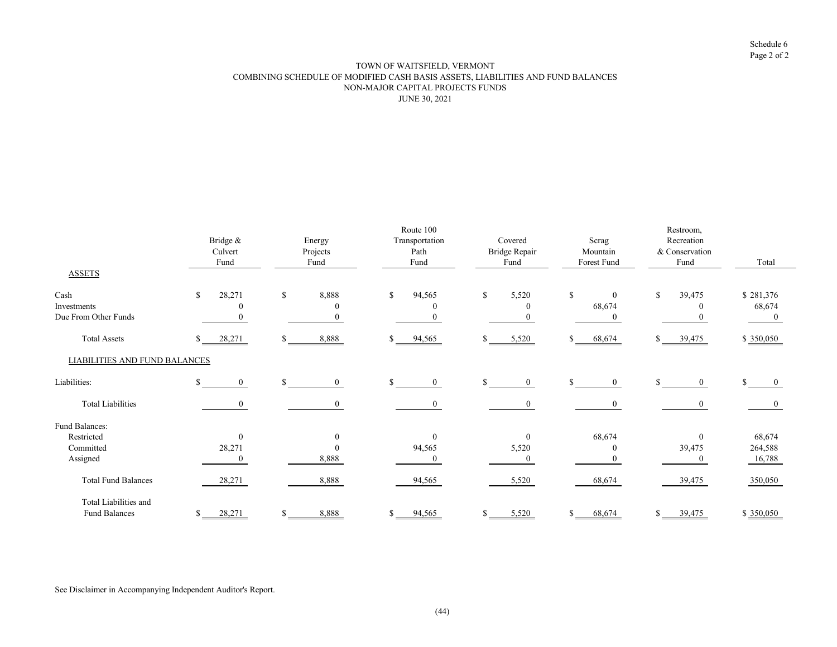Schedule 6 Page 2 of 2

#### NON-MAJOR CAPITAL PROJECTS FUNDS JUNE 30, 2021 TOWN OF WAITSFIELD, VERMONT COMBINING SCHEDULE OF MODIFIED CASH BASIS ASSETS, LIABILITIES AND FUND BALANCES

|                                        | Bridge &<br>Culvert<br>Fund | Energy<br>Projects<br>Fund    | Route 100<br>Transportation<br>Path<br>Fund | Covered<br>Bridge Repair<br>Fund | Scrag<br>Mountain<br>Forest Fund | Restroom,<br>Recreation<br>& Conservation<br>Fund | Total                     |
|----------------------------------------|-----------------------------|-------------------------------|---------------------------------------------|----------------------------------|----------------------------------|---------------------------------------------------|---------------------------|
| <b>ASSETS</b>                          |                             |                               |                                             |                                  |                                  |                                                   |                           |
| Cash                                   | 28,271<br>\$                | 8,888<br>\$                   | 94,565<br>\$                                | \$<br>5,520                      | \$<br>$\bf{0}$                   | 39,475<br>\$                                      | \$281,376                 |
| Investments                            |                             | 0                             |                                             |                                  | 68,674                           | $\Omega$                                          | 68,674                    |
| Due From Other Funds                   |                             |                               | $\bf{0}$                                    |                                  | $\bf{0}$                         |                                                   | $\bf{0}$                  |
| <b>Total Assets</b>                    | <sup>\$</sup><br>28,271     | 8,888<br>S                    | 94,565                                      | 5,520<br>ፍ                       | 68,674                           | 39,475<br>S.                                      | \$ 350,050                |
| <b>LIABILITIES AND FUND BALANCES</b>   |                             |                               |                                             |                                  |                                  |                                                   |                           |
| Liabilities:                           | \$<br>$\mathbf{0}$          | $\mathcal{S}$<br>$\mathbf{0}$ | $\overline{0}$<br>\$                        | $\mathcal{L}$<br>$\mathbf{0}$    | $\mathbf{0}$                     | $\overline{0}$                                    | $\mathcal{L}$<br>$\bf{0}$ |
| <b>Total Liabilities</b>               | $\theta$                    | $\overline{0}$                | $\mathbf{0}$                                | $\theta$                         | $\overline{0}$                   | $\theta$                                          | $\mathbf{0}$              |
| Fund Balances:                         |                             |                               |                                             |                                  |                                  |                                                   |                           |
| Restricted                             | $\theta$                    | $\boldsymbol{0}$              | $\theta$                                    | $\theta$                         | 68,674                           | $\theta$                                          | 68,674                    |
| Committed                              | 28,271                      | $\mathbf{0}$                  | 94,565                                      | 5,520                            | $\theta$                         | 39,475                                            | 264,588                   |
| Assigned                               |                             | 8,888                         | $\mathbf{0}$                                | $\theta$                         | 0                                | $\Omega$                                          | 16,788                    |
| <b>Total Fund Balances</b>             | 28,271                      | 8,888                         | 94,565                                      | 5,520                            | 68,674                           | 39,475                                            | 350,050                   |
| Total Liabilities and<br>Fund Balances | 28,271<br>\$                | 8,888                         | 94,565                                      | 5,520                            | 68,674                           | 39,475                                            | \$350,050                 |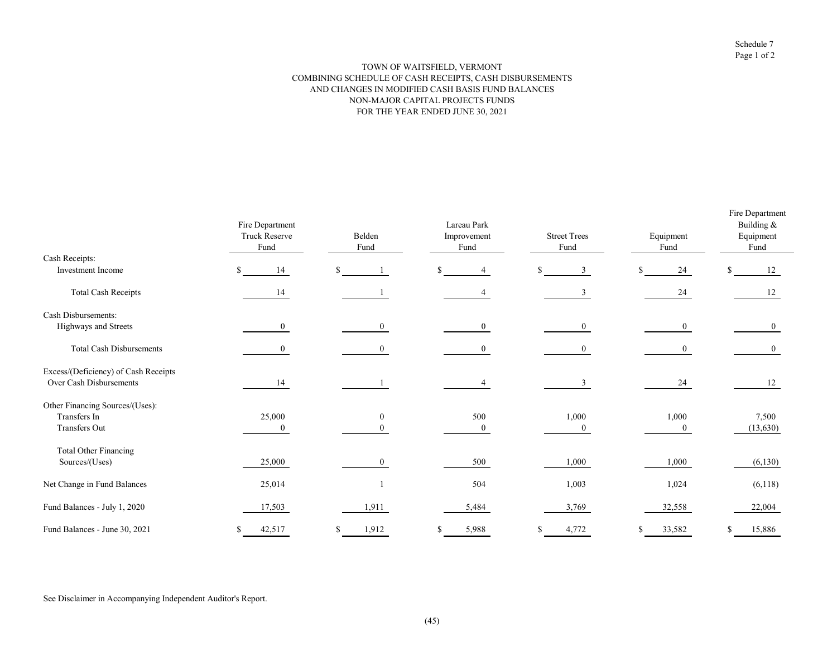#### TOWN OF WAITSFIELD, VERMONT COMBINING SCHEDULE OF CASH RECEIPTS, CASH DISBURSEMENTS AND CHANGES IN MODIFIED CASH BASIS FUND BALANCES NON-MAJOR CAPITAL PROJECTS FUNDS FOR THE YEAR ENDED JUNE 30, 2021

|                                      | Fire Department<br><b>Truck Reserve</b><br>Fund | Belden<br>Fund | Lareau Park<br>Improvement<br>Fund | <b>Street Trees</b><br>Fund | Equipment<br>Fund | Fire Department<br>Building &<br>Equipment<br>Fund |
|--------------------------------------|-------------------------------------------------|----------------|------------------------------------|-----------------------------|-------------------|----------------------------------------------------|
| Cash Receipts:                       |                                                 |                |                                    |                             |                   |                                                    |
| Investment Income                    | 14                                              | \$             | ς                                  | \$<br>3                     | 24<br>\$          | 12<br>S                                            |
| <b>Total Cash Receipts</b>           | 14                                              |                |                                    | 3                           | 24                | 12                                                 |
| Cash Disbursements:                  |                                                 |                |                                    |                             |                   |                                                    |
| Highways and Streets                 | $\left($                                        | $\Omega$       | $\mathbf{0}$                       | $\theta$                    | $\overline{0}$    | $\theta$                                           |
| <b>Total Cash Disbursements</b>      | $\Omega$                                        | $\Omega$       | $\theta$                           | $\Omega$                    | $\overline{0}$    | $\mathbf{0}$                                       |
| Excess/(Deficiency) of Cash Receipts |                                                 |                |                                    |                             |                   |                                                    |
| Over Cash Disbursements              | 14                                              |                |                                    |                             | 24                | 12                                                 |
| Other Financing Sources/(Uses):      |                                                 |                |                                    |                             |                   |                                                    |
| Transfers In                         | 25,000                                          | $\theta$       | 500                                | 1,000                       | 1,000             | 7,500                                              |
| Transfers Out                        | $\mathbf{0}$                                    |                | $\boldsymbol{0}$                   | $\mathbf{0}$                | $\overline{0}$    | (13, 630)                                          |
| <b>Total Other Financing</b>         |                                                 |                |                                    |                             |                   |                                                    |
| Sources/(Uses)                       | 25,000                                          |                | 500                                | 1,000                       | 1,000             | (6,130)                                            |
| Net Change in Fund Balances          | 25,014                                          |                | 504                                | 1,003                       | 1,024             | (6,118)                                            |
| Fund Balances - July 1, 2020         | 17,503                                          | 1,911          | 5,484                              | 3,769                       | 32,558            | 22,004                                             |
| Fund Balances - June 30, 2021        | 42,517                                          | 1,912          | 5,988                              | 4,772                       | 33,582            | 15,886                                             |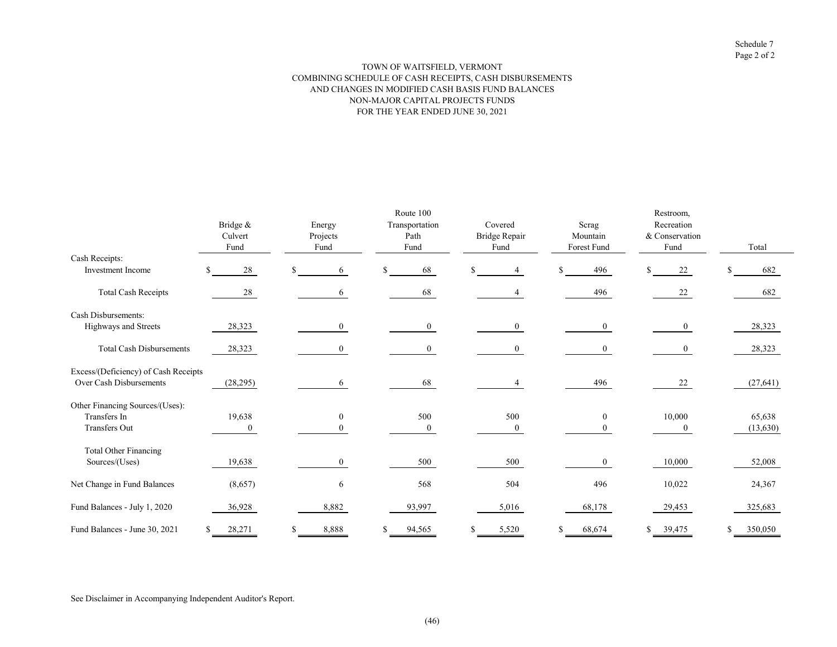#### TOWN OF WAITSFIELD, VERMONT COMBINING SCHEDULE OF CASH RECEIPTS, CASH DISBURSEMENTS AND CHANGES IN MODIFIED CASH BASIS FUND BALANCES NON-MAJOR CAPITAL PROJECTS FUNDS FOR THE YEAR ENDED JUNE 30, 2021

|                                      |                     |                    | Route 100              |                          |                   | Restroom,                    |           |
|--------------------------------------|---------------------|--------------------|------------------------|--------------------------|-------------------|------------------------------|-----------|
|                                      | Bridge &<br>Culvert | Energy<br>Projects | Transportation<br>Path | Covered<br>Bridge Repair | Scrag<br>Mountain | Recreation<br>& Conservation |           |
|                                      | Fund                | Fund               | Fund                   | Fund                     | Forest Fund       | Fund                         | Total     |
| Cash Receipts:                       |                     |                    |                        |                          |                   |                              |           |
| <b>Investment</b> Income             | 28                  | 6                  | \$<br>68               | \$.                      | 496               | 22                           | 682<br>S  |
| <b>Total Cash Receipts</b>           | 28                  | 6                  | 68                     |                          | 496               | 22                           | 682       |
| Cash Disbursements:                  |                     |                    |                        |                          |                   |                              |           |
| Highways and Streets                 | 28,323              | $\overline{0}$     | $\mathbf{0}$           | $\overline{0}$           | $\bf{0}$          | $\overline{0}$               | 28,323    |
| <b>Total Cash Disbursements</b>      | 28,323              | $\overline{0}$     | $\mathbf{0}$           | $\boldsymbol{0}$         | $\overline{0}$    | $\mathbf{0}$                 | 28,323    |
| Excess/(Deficiency) of Cash Receipts |                     |                    |                        |                          |                   |                              |           |
| Over Cash Disbursements              | (28, 295)           | 6.                 | 68                     |                          | 496               | 22                           | (27, 641) |
| Other Financing Sources/(Uses):      |                     |                    |                        |                          |                   |                              |           |
| Transfers In                         | 19,638              | $\mathbf{0}$       | 500                    | 500                      | $\mathbf{0}$      | 10,000                       | 65,638    |
| Transfers Out                        | $\mathbf{0}$        |                    | $\overline{0}$         | $\mathbf{0}$             |                   | $\mathbf{0}$                 | (13, 630) |
| <b>Total Other Financing</b>         |                     |                    |                        |                          |                   |                              |           |
| Sources/(Uses)                       | 19,638              | $\theta$           | 500                    | 500                      | $\mathbf{0}$      | 10,000                       | 52,008    |
| Net Change in Fund Balances          | (8,657)             | 6                  | 568                    | 504                      | 496               | 10,022                       | 24,367    |
| Fund Balances - July 1, 2020         | 36,928              | 8,882              | 93,997                 | 5,016                    | 68,178            | 29,453                       | 325,683   |
| Fund Balances - June 30, 2021        | 28,271              | 8,888              | 94,565<br>S            | 5,520                    | 68,674<br>S.      | 39,475                       | 350,050   |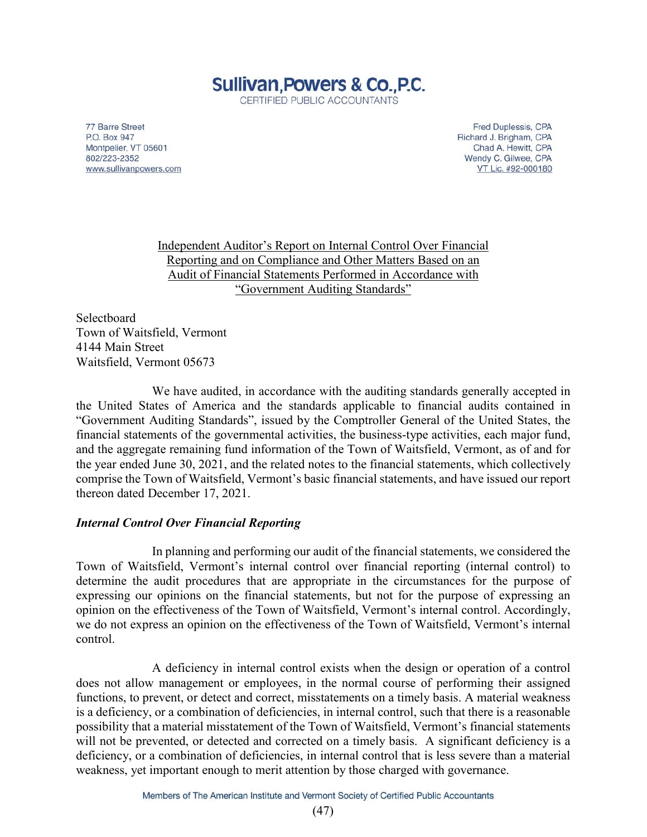# **Sullivan, Powers & Co., P.C.** CERTIFIED PUBLIC ACCOUNTANTS

77 Barre Street P.O. Box 947 Montpelier, VT 05601 802/223-2352 www.sullivanpowers.com

Fred Duplessis, CPA Richard J. Brigham, CPA Chad A. Hewitt, CPA Wendy C. Gilwee, CPA VT Lic. #92-000180

Independent Auditor's Report on Internal Control Over Financial Reporting and on Compliance and Other Matters Based on an Audit of Financial Statements Performed in Accordance with "Government Auditing Standards"

Selectboard Town of Waitsfield, Vermont 4144 Main Street Waitsfield, Vermont 05673

We have audited, in accordance with the auditing standards generally accepted in the United States of America and the standards applicable to financial audits contained in "Government Auditing Standards", issued by the Comptroller General of the United States, the financial statements of the governmental activities, the business-type activities, each major fund, and the aggregate remaining fund information of the Town of Waitsfield, Vermont, as of and for the year ended June 30, 2021, and the related notes to the financial statements, which collectively comprise the Town of Waitsfield, Vermont's basic financial statements, and have issued our report thereon dated December 17, 2021.

# *Internal Control Over Financial Reporting*

In planning and performing our audit of the financial statements, we considered the Town of Waitsfield, Vermont's internal control over financial reporting (internal control) to determine the audit procedures that are appropriate in the circumstances for the purpose of expressing our opinions on the financial statements, but not for the purpose of expressing an opinion on the effectiveness of the Town of Waitsfield, Vermont's internal control. Accordingly, we do not express an opinion on the effectiveness of the Town of Waitsfield, Vermont's internal control.

A deficiency in internal control exists when the design or operation of a control does not allow management or employees, in the normal course of performing their assigned functions, to prevent, or detect and correct, misstatements on a timely basis. A material weakness is a deficiency, or a combination of deficiencies, in internal control, such that there is a reasonable possibility that a material misstatement of the Town of Waitsfield, Vermont's financial statements will not be prevented, or detected and corrected on a timely basis. A significant deficiency is a deficiency, or a combination of deficiencies, in internal control that is less severe than a material weakness, yet important enough to merit attention by those charged with governance.